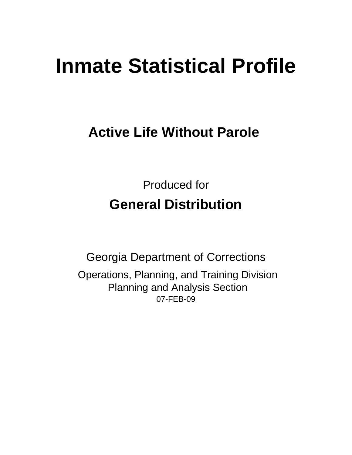# **Inmate Statistical Profile**

# **Active Life Without Parole**

Produced for **General Distribution**

07-FEB-09 Georgia Department of Corrections Operations, Planning, and Training Division Planning and Analysis Section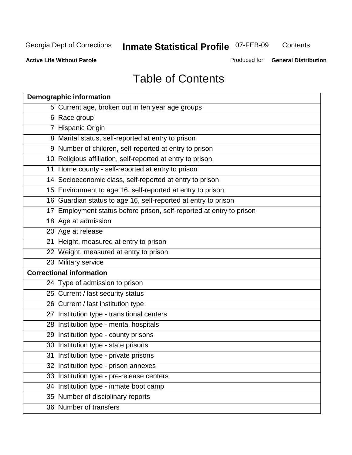**Contents** 

**Active Life Without Parole** 

Produced for **General Distribution**

# Table of Contents

| <b>Demographic information</b>                                       |
|----------------------------------------------------------------------|
| 5 Current age, broken out in ten year age groups                     |
| 6 Race group                                                         |
| 7 Hispanic Origin                                                    |
| 8 Marital status, self-reported at entry to prison                   |
| 9 Number of children, self-reported at entry to prison               |
| 10 Religious affiliation, self-reported at entry to prison           |
| 11 Home county - self-reported at entry to prison                    |
| 14 Socioeconomic class, self-reported at entry to prison             |
| 15 Environment to age 16, self-reported at entry to prison           |
| 16 Guardian status to age 16, self-reported at entry to prison       |
| 17 Employment status before prison, self-reported at entry to prison |
| 18 Age at admission                                                  |
| 20 Age at release                                                    |
| 21 Height, measured at entry to prison                               |
| 22 Weight, measured at entry to prison                               |
| 23 Military service                                                  |
| <b>Correctional information</b>                                      |
| 24 Type of admission to prison                                       |
| 25 Current / last security status                                    |
| 26 Current / last institution type                                   |
| 27 Institution type - transitional centers                           |
| 28 Institution type - mental hospitals                               |
| 29 Institution type - county prisons                                 |
| 30 Institution type - state prisons                                  |
| 31 Institution type - private prisons                                |
| 32 Institution type - prison annexes                                 |
| 33 Institution type - pre-release centers                            |
| 34 Institution type - inmate boot camp                               |
| 35 Number of disciplinary reports                                    |
| 36 Number of transfers                                               |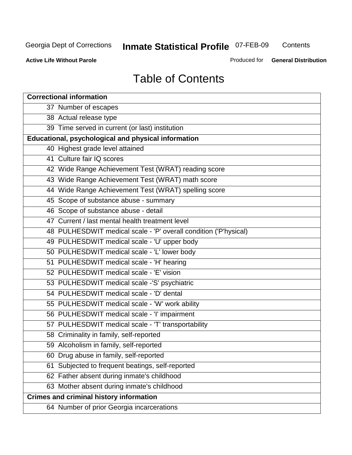**Contents** 

**Active Life Without Parole** 

Produced for **General Distribution**

# Table of Contents

| <b>Correctional information</b>                                  |  |  |  |  |  |  |  |
|------------------------------------------------------------------|--|--|--|--|--|--|--|
| 37 Number of escapes                                             |  |  |  |  |  |  |  |
| 38 Actual release type                                           |  |  |  |  |  |  |  |
| 39 Time served in current (or last) institution                  |  |  |  |  |  |  |  |
| <b>Educational, psychological and physical information</b>       |  |  |  |  |  |  |  |
| 40 Highest grade level attained                                  |  |  |  |  |  |  |  |
| 41 Culture fair IQ scores                                        |  |  |  |  |  |  |  |
| 42 Wide Range Achievement Test (WRAT) reading score              |  |  |  |  |  |  |  |
| 43 Wide Range Achievement Test (WRAT) math score                 |  |  |  |  |  |  |  |
| 44 Wide Range Achievement Test (WRAT) spelling score             |  |  |  |  |  |  |  |
| 45 Scope of substance abuse - summary                            |  |  |  |  |  |  |  |
| 46 Scope of substance abuse - detail                             |  |  |  |  |  |  |  |
| 47 Current / last mental health treatment level                  |  |  |  |  |  |  |  |
| 48 PULHESDWIT medical scale - 'P' overall condition ('P'hysical) |  |  |  |  |  |  |  |
| 49 PULHESDWIT medical scale - 'U' upper body                     |  |  |  |  |  |  |  |
| 50 PULHESDWIT medical scale - 'L' lower body                     |  |  |  |  |  |  |  |
| 51 PULHESDWIT medical scale - 'H' hearing                        |  |  |  |  |  |  |  |
| 52 PULHESDWIT medical scale - 'E' vision                         |  |  |  |  |  |  |  |
| 53 PULHESDWIT medical scale -'S' psychiatric                     |  |  |  |  |  |  |  |
| 54 PULHESDWIT medical scale - 'D' dental                         |  |  |  |  |  |  |  |
| 55 PULHESDWIT medical scale - 'W' work ability                   |  |  |  |  |  |  |  |
| 56 PULHESDWIT medical scale - 'I' impairment                     |  |  |  |  |  |  |  |
| 57 PULHESDWIT medical scale - 'T' transportability               |  |  |  |  |  |  |  |
| 58 Criminality in family, self-reported                          |  |  |  |  |  |  |  |
| 59 Alcoholism in family, self-reported                           |  |  |  |  |  |  |  |
| 60 Drug abuse in family, self-reported                           |  |  |  |  |  |  |  |
| Subjected to frequent beatings, self-reported<br>61              |  |  |  |  |  |  |  |
| 62 Father absent during inmate's childhood                       |  |  |  |  |  |  |  |
| 63 Mother absent during inmate's childhood                       |  |  |  |  |  |  |  |
| <b>Crimes and criminal history information</b>                   |  |  |  |  |  |  |  |
| 64 Number of prior Georgia incarcerations                        |  |  |  |  |  |  |  |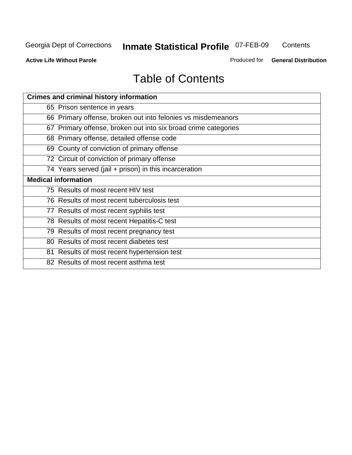**Contents** 

**Active Life Without Parole** 

Produced for **General Distribution**

# Table of Contents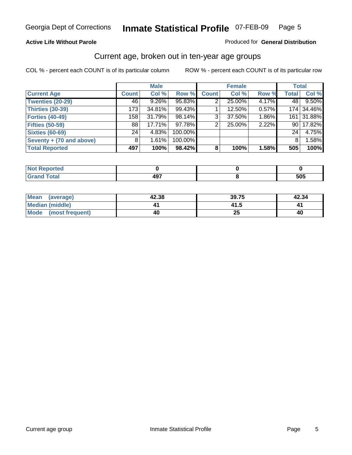#### **Active Life Without Parole**

#### Produced for **General Distribution**

#### Current age, broken out in ten-year age groups

|                          |                 | <b>Male</b> |         |              | <b>Female</b> |       | <b>Total</b>    |        |
|--------------------------|-----------------|-------------|---------|--------------|---------------|-------|-----------------|--------|
| <b>Current Age</b>       | <b>Count</b>    | Col %       | Row %   | <b>Count</b> | Col %         | Row % | <b>Total</b>    | Col %  |
| <b>Twenties (20-29)</b>  | 46              | $9.26\%$    | 95.83%  | 2            | 25.00%        | 4.17% | 48 l            | 9.50%  |
| <b>Thirties (30-39)</b>  | 173             | 34.81%      | 99.43%  |              | 12.50%        | 0.57% | 174             | 34.46% |
| Forties (40-49)          | 158             | 31.79%      | 98.14%  | 3            | 37.50%        | 1.86% | 161             | 31.88% |
| <b>Fifties (50-59)</b>   | 88              | 17.71%      | 97.78%  | 2            | 25.00%        | 2.22% | 90 I            | 17.82% |
| <b>Sixties (60-69)</b>   | 24 <sub>1</sub> | 4.83%       | 100.00% |              |               |       | 24 <sub>1</sub> | 4.75%  |
| Seventy + (70 and above) | 8               | 1.61%       | 100.00% |              |               |       | 8               | 1.58%  |
| <b>Total Reported</b>    | 497             | 100%        | 98.42%  | 8            | 100%          | 1.58% | 505             | 100%   |

| اد د کم<br><u>prteo </u> |     |     |
|--------------------------|-----|-----|
| <b>Total</b><br>$\sim$   | 497 | 505 |

| Mean (average)       | 42.38 | 39.75     | 42.34 |
|----------------------|-------|-----------|-------|
| Median (middle)      |       | 41.5      |       |
| Mode (most frequent) | 40    | ን ቤ<br>ZJ | 40    |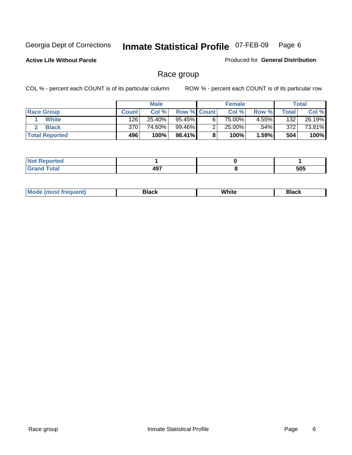**Active Life Without Parole** 

Produced for **General Distribution**

#### Race group

|                       |              | <b>Male</b> |                    |   | <b>Female</b> |         |                  | <b>Total</b> |
|-----------------------|--------------|-------------|--------------------|---|---------------|---------|------------------|--------------|
| <b>Race Group</b>     | <b>Count</b> | Col %       | <b>Row % Count</b> |   | Col %         | Row %   | Total            | Col %        |
| <b>White</b>          | 126          | 25.40%      | 95.45%             | 6 | 75.00%        | 4.55%   | 132              | 26.19%       |
| <b>Black</b>          | 370          | 74.60%      | 99.46%             |   | 25.00%        | $.54\%$ | 372 <sub>1</sub> | 73.81%       |
| <b>Total Reported</b> | 496          | 100%        | 98.41%             |   | 100%          | 1.59%   | 504              | 100%         |

| eported<br>.<br>$\cdots$ |            |     |
|--------------------------|------------|-----|
| fota'                    | 107<br>471 | 505 |

| $^1$ Mo. | Rlack | White | 3lack |
|----------|-------|-------|-------|
| .        |       |       |       |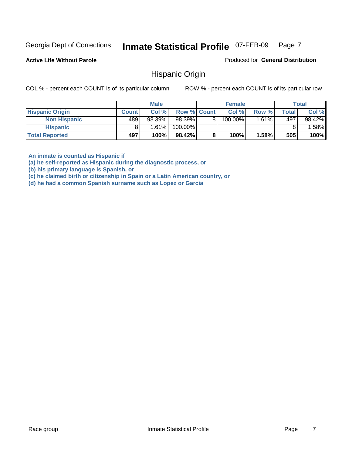**Active Life Without Parole** 

Produced for **General Distribution**

#### Hispanic Origin

COL % - percent each COUNT is of its particular column ROW % - percent each COUNT is of its particular row

|                        |              | <b>Male</b> |                    |   | <b>Female</b> |       |       | <b>Total</b> |
|------------------------|--------------|-------------|--------------------|---|---------------|-------|-------|--------------|
| <b>Hispanic Origin</b> | <b>Count</b> | Col %       | <b>Row % Count</b> |   | Col %         | Row % | Total | Col %        |
| <b>Non Hispanic</b>    | 489          | 98.39%      | 98.39%             | 8 | 100.00%       | 1.61% | 497   | 98.42%       |
| <b>Hispanic</b>        |              | 1.61%       | 100.00%            |   |               |       |       | .58%         |
| <b>Total Reported</b>  | 497          | 100%        | 98.42%             |   | 100%          | 1.58% | 505   | 100%         |

**An inmate is counted as Hispanic if** 

**(a) he self-reported as Hispanic during the diagnostic process, or** 

**(b) his primary language is Spanish, or** 

**(c) he claimed birth or citizenship in Spain or a Latin American country, or** 

**(d) he had a common Spanish surname such as Lopez or Garcia**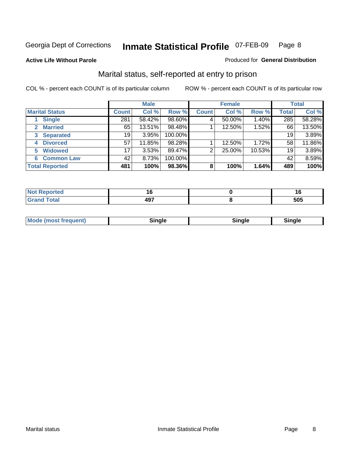#### **Active Life Without Parole**

#### Produced for **General Distribution**

#### Marital status, self-reported at entry to prison

|                        | <b>Male</b>  |        |         | <b>Female</b>  |        |        | <b>Total</b> |        |
|------------------------|--------------|--------|---------|----------------|--------|--------|--------------|--------|
| <b>Marital Status</b>  | <b>Count</b> | Col %  | Row %   | <b>Count</b>   | Col %  | Row %  | <b>Total</b> | Col %  |
| <b>Single</b>          | 281          | 58.42% | 98.60%  | 4              | 50.00% | 1.40%  | 285          | 58.28% |
| <b>Married</b><br>2    | 65           | 13.51% | 98.48%  |                | 12.50% | 1.52%  | 66           | 13.50% |
| <b>Separated</b><br>3  | 19           | 3.95%  | 100.00% |                |        |        | 19           | 3.89%  |
| <b>Divorced</b><br>4   | 57           | 11.85% | 98.28%  |                | 12.50% | 1.72%  | 58           | 11.86% |
| <b>Widowed</b><br>5    | 17           | 3.53%  | 89.47%  | $\overline{2}$ | 25.00% | 10.53% | 19           | 3.89%  |
| <b>Common Law</b><br>6 | 42           | 8.73%  | 100.00% |                |        |        | 42           | 8.59%  |
| <b>Total Reported</b>  | 481          | 100%   | 98.36%  | 8              | 100%   | 1.64%  | 489          | 100%   |

|                                  | . . |
|----------------------------------|-----|
| $\overline{\phantom{a}}$<br>TV 1 | -^- |

| <b>Mode (most frequent)</b><br>Sinale<br>™ale |
|-----------------------------------------------|
|-----------------------------------------------|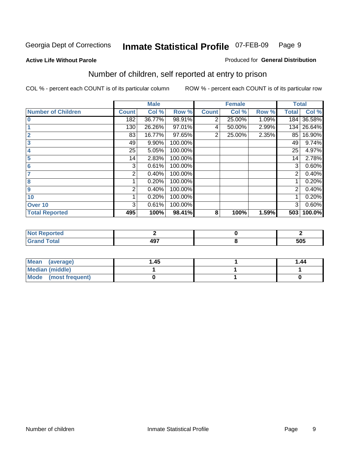#### **Active Life Without Parole**

#### Produced for **General Distribution**

### Number of children, self reported at entry to prison

|                           |              | <b>Male</b> |         |                | <b>Female</b> |       |              | <b>Total</b> |
|---------------------------|--------------|-------------|---------|----------------|---------------|-------|--------------|--------------|
| <b>Number of Children</b> | <b>Count</b> | Col %       | Row %   | <b>Count</b>   | Col %         | Row % | <b>Total</b> | Col %        |
| $\bf{0}$                  | 182          | 36.77%      | 98.91%  | 2              | 25.00%        | 1.09% | 184          | 36.58%       |
|                           | 130          | 26.26%      | 97.01%  | 4              | 50.00%        | 2.99% | 134          | 26.64%       |
| $\overline{2}$            | 83           | 16.77%      | 97.65%  | $\overline{2}$ | 25.00%        | 2.35% | 85           | 16.90%       |
| 3                         | 49           | 9.90%       | 100.00% |                |               |       | 49           | 9.74%        |
| 4                         | 25           | 5.05%       | 100.00% |                |               |       | 25           | 4.97%        |
| 5                         | 14           | 2.83%       | 100.00% |                |               |       | 14           | 2.78%        |
| $6\phantom{1}6$           | 3            | 0.61%       | 100.00% |                |               |       | 3            | 0.60%        |
|                           | 2            | 0.40%       | 100.00% |                |               |       | 2            | 0.40%        |
| 8                         |              | 0.20%       | 100.00% |                |               |       |              | 0.20%        |
| 9                         | 2            | 0.40%       | 100.00% |                |               |       | 2            | 0.40%        |
| 10                        |              | 0.20%       | 100.00% |                |               |       |              | 0.20%        |
| Over 10                   | 3            | 0.61%       | 100.00% |                |               |       | 3            | 0.60%        |
| <b>Total Reported</b>     | 495          | 100%        | 98.41%  | 8              | 100%          | 1.59% | 503          | 100.0%       |

| ™teu<br>.                               |            |     |
|-----------------------------------------|------------|-----|
| <b>otal</b><br>$\sim$ . $\sim$ . $\sim$ | כ ה<br>т., | 505 |

| <b>Mean</b><br>(average) | 45. ا | 1.44 |
|--------------------------|-------|------|
| Median (middle)          |       |      |
| Mode (most frequent)     |       |      |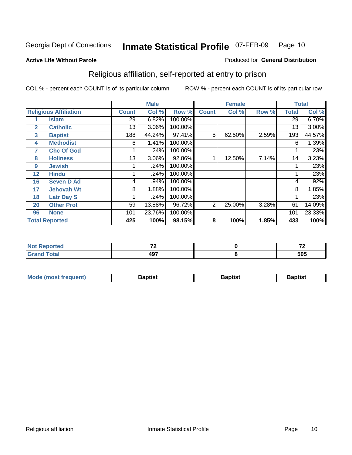#### **Active Life Without Parole**

#### Produced for **General Distribution**

### Religious affiliation, self-reported at entry to prison

|              |                              |                 | <b>Male</b> |         |                | <b>Female</b> |       |              | <b>Total</b> |
|--------------|------------------------------|-----------------|-------------|---------|----------------|---------------|-------|--------------|--------------|
|              | <b>Religious Affiliation</b> | <b>Count</b>    | Col %       | Row %   | <b>Count</b>   | Col %         | Row % | <b>Total</b> | Col %        |
|              | <b>Islam</b>                 | 29              | 6.82%       | 100.00% |                |               |       | 29           | 6.70%        |
| $\mathbf{2}$ | <b>Catholic</b>              | 13              | 3.06%       | 100.00% |                |               |       | 13           | 3.00%        |
| 3            | <b>Baptist</b>               | 188             | 44.24%      | 97.41%  | 5              | 62.50%        | 2.59% | 193          | 44.57%       |
| 4            | <b>Methodist</b>             | 6               | 1.41%       | 100.00% |                |               |       | 6            | 1.39%        |
| 7            | <b>Chc Of God</b>            |                 | .24%        | 100.00% |                |               |       |              | .23%         |
| 8            | <b>Holiness</b>              | 13 <sub>1</sub> | 3.06%       | 92.86%  |                | 12.50%        | 7.14% | 14           | 3.23%        |
| 9            | <b>Jewish</b>                |                 | .24%        | 100.00% |                |               |       |              | .23%         |
| 12           | <b>Hindu</b>                 |                 | .24%        | 100.00% |                |               |       |              | .23%         |
| 16           | <b>Seven D Ad</b>            | 4               | .94%        | 100.00% |                |               |       | 4            | .92%         |
| 17           | <b>Jehovah Wt</b>            | 8               | 1.88%       | 100.00% |                |               |       | 8            | 1.85%        |
| 18           | <b>Latr Day S</b>            |                 | .24%        | 100.00% |                |               |       |              | .23%         |
| 20           | <b>Other Prot</b>            | 59              | 13.88%      | 96.72%  | $\overline{2}$ | 25.00%        | 3.28% | 61           | 14.09%       |
| 96           | <b>None</b>                  | 101             | 23.76%      | 100.00% |                |               |       | 101          | 23.33%       |
|              | <b>Total Reported</b>        | 425             | 100%        | 98.15%  | 8              | 100%          | 1.85% | 433          | 100%         |

| Reported<br>NOT.                | $-$       | --  |
|---------------------------------|-----------|-----|
| <b>otal</b><br>$\mathbf{v}$ and | "~<br>131 | 505 |

| <b>Mode (most frequent)</b><br><b>Baptist</b><br>Baptist | Baptist |
|----------------------------------------------------------|---------|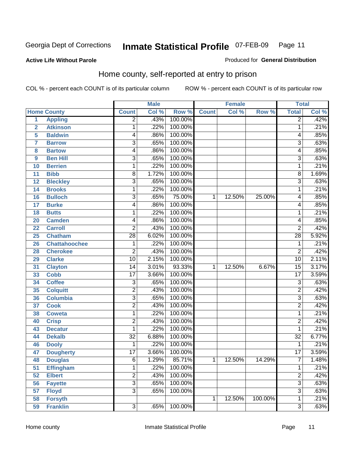#### **Active Life Without Parole**

#### Produced for **General Distribution**

#### Home county, self-reported at entry to prison

|                  |                      |                 | <b>Male</b> |         |              | <b>Female</b> |         | <b>Total</b>    |       |
|------------------|----------------------|-----------------|-------------|---------|--------------|---------------|---------|-----------------|-------|
|                  | <b>Home County</b>   | <b>Count</b>    | Col %       | Row %   | <b>Count</b> | Col %         | Row %   | <b>Total</b>    | Col % |
| $\overline{1}$   | <b>Appling</b>       | $\overline{2}$  | .43%        | 100.00% |              |               |         | $\overline{2}$  | .42%  |
| $\overline{2}$   | <b>Atkinson</b>      | 1               | .22%        | 100.00% |              |               |         | 1               | .21%  |
| 5                | <b>Baldwin</b>       | 4               | .86%        | 100.00% |              |               |         | 4               | .85%  |
| 7                | <b>Barrow</b>        | 3               | .65%        | 100.00% |              |               |         | 3               | .63%  |
| 8                | <b>Bartow</b>        | 4               | .86%        | 100.00% |              |               |         | 4               | .85%  |
| $\boldsymbol{9}$ | <b>Ben Hill</b>      | $\overline{3}$  | .65%        | 100.00% |              |               |         | $\overline{3}$  | .63%  |
| 10               | <b>Berrien</b>       | 1               | .22%        | 100.00% |              |               |         | 1               | .21%  |
| 11               | <b>Bibb</b>          | 8               | 1.72%       | 100.00% |              |               |         | 8               | 1.69% |
| 12               | <b>Bleckley</b>      | 3               | .65%        | 100.00% |              |               |         | 3               | .63%  |
| 14               | <b>Brooks</b>        | 1               | .22%        | 100.00% |              |               |         | 1               | .21%  |
| 16               | <b>Bulloch</b>       | 3               | .65%        | 75.00%  | 1            | 12.50%        | 25.00%  | 4               | .85%  |
| 17               | <b>Burke</b>         | 4               | .86%        | 100.00% |              |               |         | 4               | .85%  |
| 18               | <b>Butts</b>         | 1               | .22%        | 100.00% |              |               |         | 1               | .21%  |
| 20               | <b>Camden</b>        | 4               | .86%        | 100.00% |              |               |         | 4               | .85%  |
| 22               | <b>Carroll</b>       | 2               | .43%        | 100.00% |              |               |         | $\overline{2}$  | .42%  |
| 25               | <b>Chatham</b>       | 28              | 6.02%       | 100.00% |              |               |         | 28              | 5.92% |
| 26               | <b>Chattahoochee</b> | 1               | .22%        | 100.00% |              |               |         | 1               | .21%  |
| 28               | <b>Cherokee</b>      | $\overline{2}$  | .43%        | 100.00% |              |               |         | $\overline{2}$  | .42%  |
| 29               | <b>Clarke</b>        | $\overline{10}$ | 2.15%       | 100.00% |              |               |         | $\overline{10}$ | 2.11% |
| 31               | <b>Clayton</b>       | 14              | 3.01%       | 93.33%  | 1            | 12.50%        | 6.67%   | 15              | 3.17% |
| 33               | <b>Cobb</b>          | $\overline{17}$ | 3.66%       | 100.00% |              |               |         | $\overline{17}$ | 3.59% |
| 34               | <b>Coffee</b>        | 3               | .65%        | 100.00% |              |               |         | 3               | .63%  |
| 35               | <b>Colquitt</b>      | $\overline{2}$  | .43%        | 100.00% |              |               |         | $\overline{2}$  | .42%  |
| 36               | <b>Columbia</b>      | $\overline{3}$  | .65%        | 100.00% |              |               |         | $\overline{3}$  | .63%  |
| 37               | <b>Cook</b>          | $\overline{2}$  | .43%        | 100.00% |              |               |         | $\overline{2}$  | .42%  |
| 38               | <b>Coweta</b>        | 1               | .22%        | 100.00% |              |               |         | 1               | .21%  |
| 40               | <b>Crisp</b>         | $\overline{2}$  | .43%        | 100.00% |              |               |         | $\overline{2}$  | .42%  |
| 43               | <b>Decatur</b>       | 1               | .22%        | 100.00% |              |               |         | 1               | .21%  |
| 44               | <b>Dekalb</b>        | $\overline{32}$ | 6.88%       | 100.00% |              |               |         | $\overline{32}$ | 6.77% |
| 46               | <b>Dooly</b>         | 1               | .22%        | 100.00% |              |               |         | 1               | .21%  |
| 47               | <b>Dougherty</b>     | $\overline{17}$ | 3.66%       | 100.00% |              |               |         | $\overline{17}$ | 3.59% |
| 48               | <b>Douglas</b>       | 6               | 1.29%       | 85.71%  | 1            | 12.50%        | 14.29%  | ſ               | 1.48% |
| 51               | <b>Effingham</b>     | $\mathbf{1}$    | .22%        | 100.00% |              |               |         | 1               | .21%  |
| 52               | <b>Elbert</b>        | $\overline{2}$  | .43%        | 100.00% |              |               |         | $\overline{2}$  | .42%  |
| 56               | <b>Fayette</b>       | $\overline{3}$  | .65%        | 100.00% |              |               |         | $\overline{3}$  | .63%  |
| 57               | <b>Floyd</b>         | $\overline{3}$  | .65%        | 100.00% |              |               |         | $\overline{3}$  | .63%  |
| 58               | <b>Forsyth</b>       |                 |             |         | 1            | 12.50%        | 100.00% | 1               | .21%  |
| 59               | <b>Franklin</b>      | $\overline{3}$  | .65%        | 100.00% |              |               |         | $\overline{3}$  | .63%  |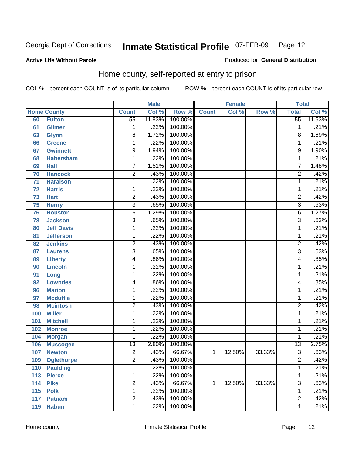#### **Active Life Without Parole**

#### Produced for **General Distribution**

#### Home county, self-reported at entry to prison

|     |                    |                 | <b>Male</b> |         |              | <b>Female</b> |        | <b>Total</b>    |        |
|-----|--------------------|-----------------|-------------|---------|--------------|---------------|--------|-----------------|--------|
|     | <b>Home County</b> | <b>Count</b>    | Col %       | Row %   | <b>Count</b> | Col %         | Row %  | <b>Total</b>    | Col %  |
| 60  | <b>Fulton</b>      | $\overline{55}$ | 11.83%      | 100.00% |              |               |        | $\overline{55}$ | 11.63% |
| 61  | Gilmer             | 1               | .22%        | 100.00% |              |               |        | 1               | .21%   |
| 63  | <b>Glynn</b>       | 8               | 1.72%       | 100.00% |              |               |        | $\overline{8}$  | 1.69%  |
| 66  | <b>Greene</b>      | 1               | .22%        | 100.00% |              |               |        | 1               | .21%   |
| 67  | <b>Gwinnett</b>    | $\overline{9}$  | 1.94%       | 100.00% |              |               |        | 9               | 1.90%  |
| 68  | <b>Habersham</b>   | $\mathbf{1}$    | .22%        | 100.00% |              |               |        | 1               | .21%   |
| 69  | <b>Hall</b>        | 7               | 1.51%       | 100.00% |              |               |        | 7               | 1.48%  |
| 70  | <b>Hancock</b>     | $\overline{2}$  | .43%        | 100.00% |              |               |        | 2               | .42%   |
| 71  | <b>Haralson</b>    | 1               | .22%        | 100.00% |              |               |        | 1               | .21%   |
| 72  | <b>Harris</b>      | 1               | .22%        | 100.00% |              |               |        | 1               | .21%   |
| 73  | <b>Hart</b>        | $\overline{2}$  | .43%        | 100.00% |              |               |        | 2               | .42%   |
| 75  | <b>Henry</b>       | $\overline{3}$  | .65%        | 100.00% |              |               |        | 3               | .63%   |
| 76  | <b>Houston</b>     | 6               | 1.29%       | 100.00% |              |               |        | 6               | 1.27%  |
| 78  | <b>Jackson</b>     | $\overline{3}$  | .65%        | 100.00% |              |               |        | 3               | .63%   |
| 80  | <b>Jeff Davis</b>  | 1               | .22%        | 100.00% |              |               |        | 1               | .21%   |
| 81  | <b>Jefferson</b>   | 1               | .22%        | 100.00% |              |               |        | 1               | .21%   |
| 82  | <b>Jenkins</b>     | $\overline{2}$  | .43%        | 100.00% |              |               |        | 2               | .42%   |
| 87  | <b>Laurens</b>     | $\overline{3}$  | .65%        | 100.00% |              |               |        | 3               | .63%   |
| 89  | <b>Liberty</b>     | $\overline{4}$  | .86%        | 100.00% |              |               |        | 4               | .85%   |
| 90  | <b>Lincoln</b>     | $\mathbf 1$     | .22%        | 100.00% |              |               |        | 1               | .21%   |
| 91  | Long               | $\mathbf{1}$    | .22%        | 100.00% |              |               |        | 1               | .21%   |
| 92  | <b>Lowndes</b>     | 4               | .86%        | 100.00% |              |               |        | 4               | .85%   |
| 96  | <b>Marion</b>      | 1               | .22%        | 100.00% |              |               |        | 1               | .21%   |
| 97  | <b>Mcduffie</b>    | 1               | .22%        | 100.00% |              |               |        | 1               | .21%   |
| 98  | <b>Mcintosh</b>    | $\overline{2}$  | .43%        | 100.00% |              |               |        | 2               | .42%   |
| 100 | <b>Miller</b>      | 1               | .22%        | 100.00% |              |               |        | 1               | .21%   |
| 101 | <b>Mitchell</b>    | $\mathbf 1$     | .22%        | 100.00% |              |               |        | 1               | .21%   |
| 102 | <b>Monroe</b>      | $\mathbf 1$     | .22%        | 100.00% |              |               |        | 1               | .21%   |
| 104 | <b>Morgan</b>      | 1               | .22%        | 100.00% |              |               |        | 1               | .21%   |
| 106 | <b>Muscogee</b>    | $\overline{13}$ | 2.80%       | 100.00% |              |               |        | $\overline{13}$ | 2.75%  |
| 107 | <b>Newton</b>      | $\overline{2}$  | .43%        | 66.67%  | 1            | 12.50%        | 33.33% | $\overline{3}$  | .63%   |
| 109 | <b>Oglethorpe</b>  | 2               | .43%        | 100.00% |              |               |        | 2               | .42%   |
| 110 | <b>Paulding</b>    | $\mathbf{1}$    | .22%        | 100.00% |              |               |        | 1               | .21%   |
| 113 | <b>Pierce</b>      | $\mathbf 1$     | .22%        | 100.00% |              |               |        | 1               | .21%   |
| 114 | <b>Pike</b>        | $\overline{2}$  | .43%        | 66.67%  | 1            | 12.50%        | 33.33% | $\overline{3}$  | .63%   |
| 115 | <b>Polk</b>        | $\mathbf 1$     | .22%        | 100.00% |              |               |        | 1               | .21%   |
| 117 | <b>Putnam</b>      | $\overline{2}$  | .43%        | 100.00% |              |               |        | 2               | .42%   |
| 119 | <b>Rabun</b>       | $\mathbf{1}$    | .22%        | 100.00% |              |               |        | 1               | .21%   |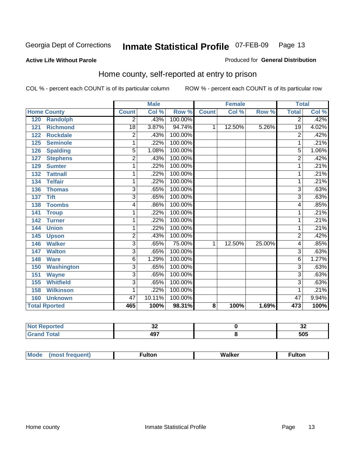#### **Active Life Without Parole**

#### Produced for **General Distribution**

#### Home county, self-reported at entry to prison

|                          |                | <b>Male</b> |         |              | <b>Female</b> |        | <b>Total</b>   |       |
|--------------------------|----------------|-------------|---------|--------------|---------------|--------|----------------|-------|
| <b>Home County</b>       | <b>Count</b>   | Col %       | Row %   | <b>Count</b> | Col %         | Row %  | <b>Total</b>   | Col % |
| 120<br><b>Randolph</b>   | 2              | .43%        | 100.00% |              |               |        | $\overline{2}$ | .42%  |
| <b>Richmond</b><br>121   | 18             | 3.87%       | 94.74%  | 1            | 12.50%        | 5.26%  | 19             | 4.02% |
| <b>Rockdale</b><br>122   | $\overline{2}$ | .43%        | 100.00% |              |               |        | $\overline{2}$ | .42%  |
| <b>Seminole</b><br>125   | 1              | .22%        | 100.00% |              |               |        | 1              | .21%  |
| <b>Spalding</b><br>126   | $\overline{5}$ | 1.08%       | 100.00% |              |               |        | $\overline{5}$ | 1.06% |
| <b>Stephens</b><br>127   | 2              | .43%        | 100.00% |              |               |        | 2              | .42%  |
| <b>Sumter</b><br>129     | 1              | .22%        | 100.00% |              |               |        | 1              | .21%  |
| <b>Tattnall</b><br>132   | 1              | .22%        | 100.00% |              |               |        | 1              | .21%  |
| <b>Telfair</b><br>134    | 1              | .22%        | 100.00% |              |               |        | 1              | .21%  |
| <b>Thomas</b><br>136     | $\overline{3}$ | .65%        | 100.00% |              |               |        | $\overline{3}$ | .63%  |
| <b>Tift</b><br>137       | $\overline{3}$ | .65%        | 100.00% |              |               |        | $\overline{3}$ | .63%  |
| <b>Toombs</b><br>138     | 4              | .86%        | 100.00% |              |               |        | 4              | .85%  |
| 141<br><b>Troup</b>      | 1              | .22%        | 100.00% |              |               |        | 1              | .21%  |
| 142<br><b>Turner</b>     | 1              | .22%        | 100.00% |              |               |        | 1              | .21%  |
| 144<br><b>Union</b>      | 1              | .22%        | 100.00% |              |               |        | 1              | .21%  |
| <b>Upson</b><br>145      | 2              | .43%        | 100.00% |              |               |        | 2              | .42%  |
| <b>Walker</b><br>146     | $\overline{3}$ | .65%        | 75.00%  | 1            | 12.50%        | 25.00% | 4              | .85%  |
| <b>Walton</b><br>147     | 3              | .65%        | 100.00% |              |               |        | 3              | .63%  |
| <b>Ware</b><br>148       | 6              | 1.29%       | 100.00% |              |               |        | 6              | 1.27% |
| <b>Washington</b><br>150 | 3              | .65%        | 100.00% |              |               |        | 3              | .63%  |
| <b>Wayne</b><br>151      | $\overline{3}$ | .65%        | 100.00% |              |               |        | $\overline{3}$ | .63%  |
| <b>Whitfield</b><br>155  | 3              | .65%        | 100.00% |              |               |        | 3              | .63%  |
| <b>Wilkinson</b><br>158  | 1              | .22%        | 100.00% |              |               |        | 1              | .21%  |
| <b>Unknown</b><br>160    | 47             | 10.11%      | 100.00% |              |               |        | 47             | 9.94% |
| <b>Total Rported</b>     | 465            | 100%        | 98.31%  | 8            | 100%          | 1.69%  | 473            | 100%  |

| المناسبة المتعاد<br>portea | u          | n r<br>◡▵ |
|----------------------------|------------|-----------|
| <b>otal</b>                | 407<br>171 | 505       |

| Mode | (most frequent) | <b>ulton</b> | Walker | ·ulton |
|------|-----------------|--------------|--------|--------|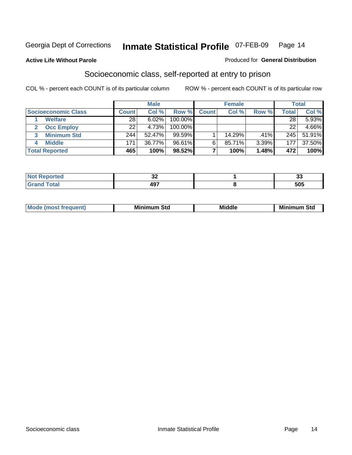#### **Active Life Without Parole**

#### Produced for **General Distribution**

#### Socioeconomic class, self-reported at entry to prison

|                            |              | <b>Male</b> |           |              | <b>Female</b> |       |              | <b>Total</b> |
|----------------------------|--------------|-------------|-----------|--------------|---------------|-------|--------------|--------------|
| <b>Socioeconomic Class</b> | <b>Count</b> | Col %       | Row %     | <b>Count</b> | Col %         | Row % | <b>Total</b> | Col %        |
| <b>Welfare</b>             | 28           | 6.02%       | 100.00%   |              |               |       | 28           | 5.93%        |
| <b>Occ Employ</b>          | 22           | 4.73%       | 100.00%   |              |               |       | 22           | 4.66%        |
| <b>Minimum Std</b><br>3    | 244          | 52.47%      | $99.59\%$ |              | 14.29%        | .41%  | 245          | 51.91%       |
| <b>Middle</b>              | 171          | 36.77%      | 96.61%    | 6.           | 85.71%        | 3.39% | 177          | 37.50%       |
| <b>Total Reported</b>      | 465          | 100%        | 98.52%    |              | 100%          | 1.48% | 472          | 100%         |

| <b>Contractor</b>     | n n         | $\sim$            |
|-----------------------|-------------|-------------------|
| TE O                  | ◡▵          |                   |
| $f \wedge f \wedge f$ | 107<br>− ⊌. | <b>FAF</b><br>ບບບ |

| M<br>Mir<br>Mi<br><b>Middle</b><br><b>C</b> ta<br>Sta<br>əτu<br>.<br>the contract of the contract of the contract of the contract of the contract of the contract of the contract of<br>___ |
|---------------------------------------------------------------------------------------------------------------------------------------------------------------------------------------------|
|---------------------------------------------------------------------------------------------------------------------------------------------------------------------------------------------|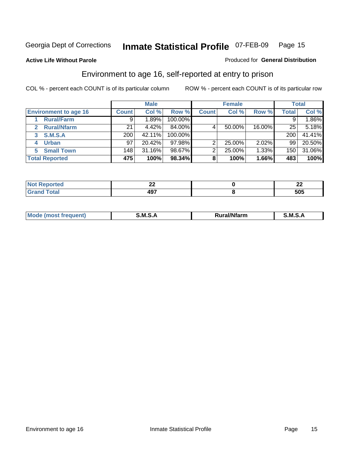Produced for **General Distribution**

#### **Active Life Without Parole**

#### Environment to age 16, self-reported at entry to prison

|                              |              | <b>Male</b> |            |              | <b>Female</b> |        |              | <b>Total</b> |
|------------------------------|--------------|-------------|------------|--------------|---------------|--------|--------------|--------------|
| <b>Environment to age 16</b> | <b>Count</b> | Col %       | Row %      | <b>Count</b> | Col %         | Row %  | <b>Total</b> | Col %        |
| <b>Rural/Farm</b>            | 9            | $.89\%$     | 100.00%    |              |               |        |              | 1.86%        |
| <b>Rural/Nfarm</b><br>2      | 21           | 4.42%       | 84.00%     |              | 50.00%        | 16.00% | 25           | 5.18%        |
| S.M.S.A<br>3                 | 200          | 42.11%      | $100.00\%$ |              |               |        | 200          | 41.41%       |
| <b>Urban</b>                 | 97           | 20.42%      | $97.98\%$  |              | 25.00%        | 2.02%  | 99           | 20.50%       |
| <b>Small Town</b><br>5.      | 148          | 31.16%      | 98.67%     |              | 25.00%        | 1.33%  | 150          | 31.06%       |
| <b>Total Reported</b>        | 475          | 100%        | 98.34%     | 8            | 100%          | 1.66%  | 483          | 100%         |

| .<br>ec | --          | $\sim$<br>-- |
|---------|-------------|--------------|
| --      | 107<br>TV 1 | 505          |

| Mo<br><b>CONTRACTOR</b><br>. M S<br>M<br>---<br>Nfarn<br>.<br>_____<br>______ |  |  |
|-------------------------------------------------------------------------------|--|--|
|                                                                               |  |  |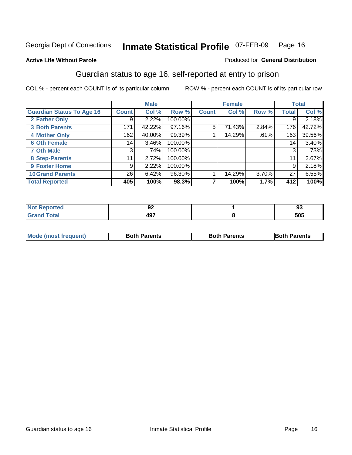#### **Active Life Without Parole**

#### Produced for **General Distribution**

#### Guardian status to age 16, self-reported at entry to prison

|                                  |              | <b>Male</b> |         |              | <b>Female</b> |       |              | <b>Total</b> |
|----------------------------------|--------------|-------------|---------|--------------|---------------|-------|--------------|--------------|
| <b>Guardian Status To Age 16</b> | <b>Count</b> | Col %       | Row %   | <b>Count</b> | Col %         | Row % | <b>Total</b> | Col %        |
| 2 Father Only                    | 9            | 2.22%       | 100.00% |              |               |       | 9            | 2.18%        |
| <b>3 Both Parents</b>            | 171          | 42.22%      | 97.16%  | 5            | 71.43%        | 2.84% | 176          | 42.72%       |
| <b>4 Mother Only</b>             | 162          | 40.00%      | 99.39%  |              | 14.29%        | .61%  | 163          | 39.56%       |
| <b>6 Oth Female</b>              | 14           | 3.46%       | 100.00% |              |               |       | 14           | 3.40%        |
| <b>7 Oth Male</b>                | 3            | .74%        | 100.00% |              |               |       | 3            | .73%         |
| 8 Step-Parents                   | 11           | 2.72%       | 100.00% |              |               |       | 11           | 2.67%        |
| 9 Foster Home                    | 9            | 2.22%       | 100.00% |              |               |       | 9            | 2.18%        |
| <b>10 Grand Parents</b>          | 26           | 6.42%       | 96.30%  |              | 14.29%        | 3.70% | 27           | 6.55%        |
| <b>Total Reported</b>            | 405          | 100%        | 98.3%   |              | 100%          | 1.7%  | 412          | 100%         |

| U∸                      | ۵ʻ<br>JJ |
|-------------------------|----------|
| $A\Omega$<br>᠇ᡂ<br>$ -$ | 505      |

| Mode (most frequent) | <b>Both Parents</b> | <b>Both Parents</b> | <b>IBoth Parents</b> |
|----------------------|---------------------|---------------------|----------------------|
|                      |                     |                     |                      |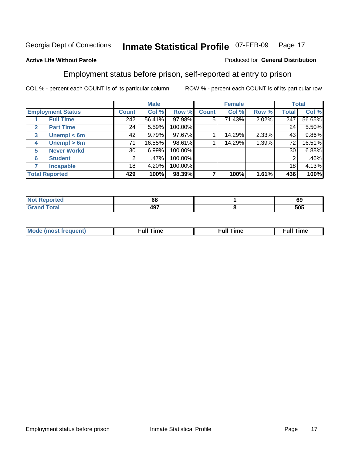#### **Active Life Without Parole**

#### Produced for **General Distribution**

#### Employment status before prison, self-reported at entry to prison

|              |                          |                  | <b>Male</b> |         |              | <b>Female</b> |       |              | <b>Total</b> |
|--------------|--------------------------|------------------|-------------|---------|--------------|---------------|-------|--------------|--------------|
|              | <b>Employment Status</b> | <b>Count</b>     | Col %       | Row %   | <b>Count</b> | Col %         | Row % | <b>Total</b> | Col %        |
|              | <b>Full Time</b>         | $\overline{242}$ | 56.41%      | 97.98%  | 5            | 71.43%        | 2.02% | 247          | 56.65%       |
| $\mathbf{2}$ | <b>Part Time</b>         | 24               | 5.59%       | 100.00% |              |               |       | 24           | 5.50%        |
| 3            | Unempl $<$ 6m            | 42               | 9.79%       | 97.67%  |              | 14.29%        | 2.33% | 43           | 9.86%        |
| 4            | Unempl $> 6m$            | 71               | 16.55%      | 98.61%  |              | 14.29%        | 1.39% | 72           | 16.51%       |
| 5            | <b>Never Workd</b>       | 30               | 6.99%       | 100.00% |              |               |       | 30           | 6.88%        |
| 6            | <b>Student</b>           | 2                | .47%        | 100.00% |              |               |       | 2            | .46%         |
|              | <b>Incapable</b>         | 18               | 4.20%       | 100.00% |              |               |       | 18           | 4.13%        |
|              | <b>Total Reported</b>    | 429              | 100%        | 98.39%  |              | 100%          | 1.61% | 436          | 100%         |

| тес.             | - -<br>68  | ~~<br>໐ະ |
|------------------|------------|----------|
| Coto"<br>_______ | 107<br>471 | 505      |

| Mo | 'me<br>uн<br>the contract of the contract of the contract of the contract of the contract of the contract of the contract of | ïme<br>uı.<br>the contract of the contract of the contract of the contract of the contract of the contract of the contract of the contract of the contract of the contract of the contract of the contract of the contract of the contract o |
|----|------------------------------------------------------------------------------------------------------------------------------|----------------------------------------------------------------------------------------------------------------------------------------------------------------------------------------------------------------------------------------------|
|    |                                                                                                                              |                                                                                                                                                                                                                                              |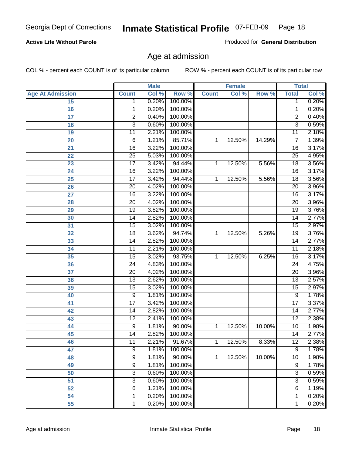#### **Active Life Without Parole**

Produced for **General Distribution**

#### Age at admission

|                         |                 | <b>Male</b> |         |              | <b>Female</b> |        |                 | <b>Total</b> |
|-------------------------|-----------------|-------------|---------|--------------|---------------|--------|-----------------|--------------|
| <b>Age At Admission</b> | <b>Count</b>    | Col %       | Row %   | <b>Count</b> | Col %         | Row %  | <b>Total</b>    | Col %        |
| 15                      | 1               | 0.20%       | 100.00% |              |               |        | 1               | 0.20%        |
| 16                      | 1               | 0.20%       | 100.00% |              |               |        | 1               | 0.20%        |
| 17                      | $\overline{2}$  | 0.40%       | 100.00% |              |               |        | 2               | 0.40%        |
| 18                      | $\overline{3}$  | 0.60%       | 100.00% |              |               |        | $\overline{3}$  | 0.59%        |
| 19                      | 11              | 2.21%       | 100.00% |              |               |        | 11              | 2.18%        |
| 20                      | 6               | 1.21%       | 85.71%  | 1            | 12.50%        | 14.29% | $\overline{7}$  | 1.39%        |
| 21                      | $\overline{16}$ | 3.22%       | 100.00% |              |               |        | 16              | 3.17%        |
| 22                      | $\overline{25}$ | 5.03%       | 100.00% |              |               |        | $\overline{25}$ | 4.95%        |
| 23                      | $\overline{17}$ | 3.42%       | 94.44%  | 1            | 12.50%        | 5.56%  | 18              | 3.56%        |
| 24                      | 16              | 3.22%       | 100.00% |              |               |        | 16              | 3.17%        |
| 25                      | $\overline{17}$ | 3.42%       | 94.44%  | 1            | 12.50%        | 5.56%  | $\overline{18}$ | 3.56%        |
| 26                      | 20              | 4.02%       | 100.00% |              |               |        | $\overline{20}$ | 3.96%        |
| 27                      | $\overline{16}$ | 3.22%       | 100.00% |              |               |        | 16              | 3.17%        |
| 28                      | $\overline{20}$ | 4.02%       | 100.00% |              |               |        | 20              | 3.96%        |
| 29                      | $\overline{19}$ | 3.82%       | 100.00% |              |               |        | $\overline{19}$ | 3.76%        |
| 30                      | 14              | 2.82%       | 100.00% |              |               |        | 14              | 2.77%        |
| 31                      | $\overline{15}$ | 3.02%       | 100.00% |              |               |        | 15              | 2.97%        |
| 32                      | 18              | 3.62%       | 94.74%  | 1            | 12.50%        | 5.26%  | 19              | 3.76%        |
| 33                      | $\overline{14}$ | 2.82%       | 100.00% |              |               |        | $\overline{14}$ | 2.77%        |
| 34                      | 11              | 2.21%       | 100.00% |              |               |        | 11              | 2.18%        |
| 35                      | $\overline{15}$ | 3.02%       | 93.75%  | 1            | 12.50%        | 6.25%  | 16              | 3.17%        |
| 36                      | $\overline{24}$ | 4.83%       | 100.00% |              |               |        | $\overline{24}$ | 4.75%        |
| 37                      | $\overline{20}$ | 4.02%       | 100.00% |              |               |        | $\overline{20}$ | 3.96%        |
| 38                      | 13              | 2.62%       | 100.00% |              |               |        | 13              | 2.57%        |
| 39                      | 15              | 3.02%       | 100.00% |              |               |        | $\overline{15}$ | 2.97%        |
| 40                      | 9               | 1.81%       | 100.00% |              |               |        | 9               | 1.78%        |
| 41                      | $\overline{17}$ | 3.42%       | 100.00% |              |               |        | $\overline{17}$ | 3.37%        |
| 42                      | 14              | 2.82%       | 100.00% |              |               |        | 14              | 2.77%        |
| 43                      | $\overline{12}$ | 2.41%       | 100.00% |              |               |        | $\overline{12}$ | 2.38%        |
| 44                      | 9               | 1.81%       | 90.00%  | 1            | 12.50%        | 10.00% | 10              | 1.98%        |
| 45                      | $\overline{14}$ | 2.82%       | 100.00% |              |               |        | $\overline{14}$ | 2.77%        |
| 46                      | 11              | 2.21%       | 91.67%  | 1            | 12.50%        | 8.33%  | 12              | 2.38%        |
| 47                      | $\overline{9}$  | 1.81%       | 100.00% |              |               |        | $\overline{9}$  | 1.78%        |
| 48                      | 9               | 1.81%       | 90.00%  | 1            | 12.50%        | 10.00% | 10              | 1.98%        |
| 49                      | $\overline{9}$  | 1.81%       | 100.00% |              |               |        | $\overline{9}$  | 1.78%        |
| 50                      | 3               | 0.60%       | 100.00% |              |               |        | 3               | 0.59%        |
| 51                      | $\overline{3}$  | 0.60%       | 100.00% |              |               |        | $\overline{3}$  | 0.59%        |
| 52                      | 6               | 1.21%       | 100.00% |              |               |        | 6               | 1.19%        |
| 54                      | 1               | 0.20%       | 100.00% |              |               |        | 1               | 0.20%        |
| 55                      | 1               | 0.20%       | 100.00% |              |               |        | 1               | 0.20%        |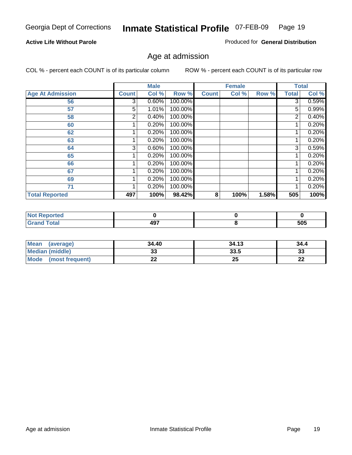#### **Active Life Without Parole**

Produced for **General Distribution**

#### Age at admission

|                         |              | <b>Male</b> |         |              | <b>Female</b> |       |              | <b>Total</b> |
|-------------------------|--------------|-------------|---------|--------------|---------------|-------|--------------|--------------|
| <b>Age At Admission</b> | <b>Count</b> | Col %       | Row %   | <b>Count</b> | Col %         | Row % | <b>Total</b> | Col %        |
| 56                      | 3            | 0.60%       | 100.00% |              |               |       | 3            | 0.59%        |
| 57                      | 5            | 1.01%       | 100.00% |              |               |       | 5            | 0.99%        |
| 58                      | 2            | 0.40%       | 100.00% |              |               |       | 2            | 0.40%        |
| 60                      |              | 0.20%       | 100.00% |              |               |       |              | 0.20%        |
| 62                      |              | 0.20%       | 100.00% |              |               |       |              | 0.20%        |
| 63                      |              | 0.20%       | 100.00% |              |               |       |              | 0.20%        |
| 64                      | 3            | 0.60%       | 100.00% |              |               |       | 3            | 0.59%        |
| 65                      |              | 0.20%       | 100.00% |              |               |       |              | 0.20%        |
| 66                      |              | 0.20%       | 100.00% |              |               |       |              | 0.20%        |
| 67                      |              | 0.20%       | 100.00% |              |               |       |              | 0.20%        |
| 69                      |              | 0.20%       | 100.00% |              |               |       |              | 0.20%        |
| 71                      |              | 0.20%       | 100.00% |              |               |       |              | 0.20%        |
| <b>Total Reported</b>   | 497          | 100%        | 98.42%  | 8            | 100%          | 1.58% | 505          | 100%         |

| rted |                      |     |
|------|----------------------|-----|
| -    | 107<br>- 7<br>$\sim$ | 505 |

| <b>Mean</b><br>(average)       | 34.40 | 34.13 | 34.4     |
|--------------------------------|-------|-------|----------|
| <b>Median (middle)</b>         |       | 33.5  | າາ<br>აა |
| <b>Mode</b><br>(most frequent) | --    | 25    | n,<br>LL |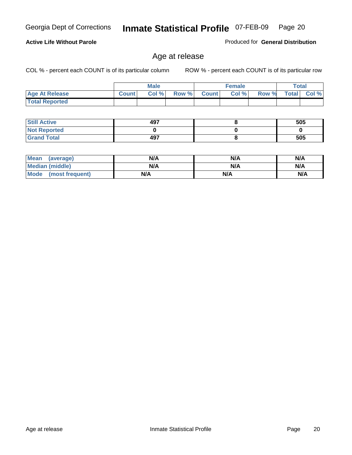**Active Life Without Parole** 

Georgia Dept of Corrections **Inmate Statistical Profile** 07-FEB-09 Page 20

Produced for **General Distribution**

#### Age at release

|                       |              | <b>Male</b> |       |                | <b>Female</b> |       |              | Total |
|-----------------------|--------------|-------------|-------|----------------|---------------|-------|--------------|-------|
| <b>Age At Release</b> | <b>Count</b> | Col %       | Row % | <b>Count</b> Ⅰ | Col%          | Row % | <b>Total</b> | Col % |
| <b>Total Reported</b> |              |             |       |                |               |       |              |       |

| <b>Still Active</b> | 497 | 505 |
|---------------------|-----|-----|
| <b>Not Reported</b> |     |     |
| <b>Grand Total</b>  | 497 | 505 |

| Mean (average)         | N/A | N/A | N/A |
|------------------------|-----|-----|-----|
| <b>Median (middle)</b> | N/A | N/A | N/A |
| Mode (most frequent)   | N/A | N/A | N/A |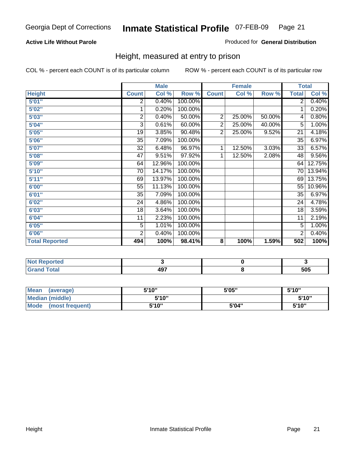#### **Active Life Without Parole**

#### Produced for **General Distribution**

#### Height, measured at entry to prison

|                       |                 | <b>Male</b> |         |                | <b>Female</b> |        | <b>Total</b>    |          |
|-----------------------|-----------------|-------------|---------|----------------|---------------|--------|-----------------|----------|
| <b>Height</b>         | <b>Count</b>    | Col %       | Row %   | <b>Count</b>   | Col %         | Row %  | <b>Total</b>    | Col %    |
| 5'01''                | 2               | 0.40%       | 100.00% |                |               |        | $\overline{2}$  | 0.40%    |
| 5'02"                 | 1               | 0.20%       | 100.00% |                |               |        | 1               | 0.20%    |
| 5'03"                 | 2               | 0.40%       | 50.00%  | $\overline{c}$ | 25.00%        | 50.00% | 4               | 0.80%    |
| 5'04"                 | 3               | 0.61%       | 60.00%  | $\overline{2}$ | 25.00%        | 40.00% | 5               | 1.00%    |
| 5'05"                 | 19              | 3.85%       | 90.48%  | $\overline{2}$ | 25.00%        | 9.52%  | 21              | 4.18%    |
| 5'06"                 | 35              | 7.09%       | 100.00% |                |               |        | $\overline{35}$ | 6.97%    |
| 5'07''                | 32              | 6.48%       | 96.97%  | 1              | 12.50%        | 3.03%  | 33              | 6.57%    |
| 5'08''                | $\overline{47}$ | 9.51%       | 97.92%  | 1              | 12.50%        | 2.08%  | 48              | 9.56%    |
| 5'09"                 | 64              | 12.96%      | 100.00% |                |               |        | 64              | 12.75%   |
| 5'10''                | 70              | 14.17%      | 100.00% |                |               |        | 70              | 13.94%   |
| 5'11''                | 69              | 13.97%      | 100.00% |                |               |        | 69              | 13.75%   |
| 6'00"                 | 55              | 11.13%      | 100.00% |                |               |        | 55              | 10.96%   |
| 6'01"                 | 35              | 7.09%       | 100.00% |                |               |        | 35              | 6.97%    |
| 6'02''                | 24              | 4.86%       | 100.00% |                |               |        | 24              | 4.78%    |
| 6'03"                 | 18              | 3.64%       | 100.00% |                |               |        | 18              | 3.59%    |
| 6'04"                 | 11              | 2.23%       | 100.00% |                |               |        | 11              | 2.19%    |
| 6'05"                 | 5               | 1.01%       | 100.00% |                |               |        | 5               | $1.00\%$ |
| 6'06"                 | $\overline{2}$  | 0.40%       | 100.00% |                |               |        | $\overline{2}$  | 0.40%    |
| <b>Total Reported</b> | 494             | 100%        | 98.41%  | 8              | 100%          | 1.59%  | 502             | 100%     |

| τeα<br>$\cdots$ |                  |     |
|-----------------|------------------|-----|
| _____           | "~<br>13,<br>$-$ | 505 |

| <b>Mean</b><br>(average)       | 5'10" | 5'05" | 5'10" |
|--------------------------------|-------|-------|-------|
| Median (middle)                | 5'10" |       | 5'10" |
| <b>Mode</b><br>(most frequent) | 5'10" | 5'04" | 5'10" |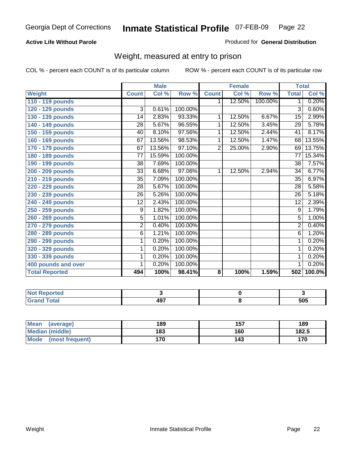#### **Active Life Without Parole**

#### Produced for **General Distribution**

#### Weight, measured at entry to prison

|                       |                 | <b>Male</b> |         |                | <b>Female</b> |         | <b>Total</b>    |        |
|-----------------------|-----------------|-------------|---------|----------------|---------------|---------|-----------------|--------|
| <b>Weight</b>         | <b>Count</b>    | Col %       | Row %   | <b>Count</b>   | Col %         | Row %   | <b>Total</b>    | Col %  |
| 110 - 119 pounds      |                 |             |         | $\mathbf 1$    | 12.50%        | 100.00% | $\mathbf 1$     | 0.20%  |
| 120 - 129 pounds      | 3               | 0.61%       | 100.00% |                |               |         | 3               | 0.60%  |
| 130 - 139 pounds      | 14              | 2.83%       | 93.33%  | 1              | 12.50%        | 6.67%   | $\overline{15}$ | 2.99%  |
| 140 - 149 pounds      | 28              | 5.67%       | 96.55%  | 1              | 12.50%        | 3.45%   | 29              | 5.78%  |
| 150 - 159 pounds      | 40              | 8.10%       | 97.56%  | 1              | 12.50%        | 2.44%   | 41              | 8.17%  |
| 160 - 169 pounds      | 67              | 13.56%      | 98.53%  | 1              | 12.50%        | 1.47%   | 68              | 13.55% |
| 170 - 179 pounds      | 67              | 13.56%      | 97.10%  | $\overline{2}$ | 25.00%        | 2.90%   | 69              | 13.75% |
| 180 - 189 pounds      | $\overline{77}$ | 15.59%      | 100.00% |                |               |         | $\overline{77}$ | 15.34% |
| 190 - 199 pounds      | 38              | 7.69%       | 100.00% |                |               |         | 38              | 7.57%  |
| 200 - 209 pounds      | 33              | 6.68%       | 97.06%  | 1              | 12.50%        | 2.94%   | $\overline{34}$ | 6.77%  |
| 210 - 219 pounds      | 35              | 7.09%       | 100.00% |                |               |         | 35              | 6.97%  |
| 220 - 229 pounds      | 28              | 5.67%       | 100.00% |                |               |         | $\overline{28}$ | 5.58%  |
| 230 - 239 pounds      | 26              | 5.26%       | 100.00% |                |               |         | 26              | 5.18%  |
| 240 - 249 pounds      | $\overline{12}$ | 2.43%       | 100.00% |                |               |         | $\overline{12}$ | 2.39%  |
| 250 - 259 pounds      | 9               | 1.82%       | 100.00% |                |               |         | 9               | 1.79%  |
| 260 - 269 pounds      | $\overline{5}$  | 1.01%       | 100.00% |                |               |         | $\overline{5}$  | 1.00%  |
| 270 - 279 pounds      | $\overline{2}$  | 0.40%       | 100.00% |                |               |         | $\overline{2}$  | 0.40%  |
| 280 - 289 pounds      | $\overline{6}$  | 1.21%       | 100.00% |                |               |         | $\overline{6}$  | 1.20%  |
| 290 - 299 pounds      | 1               | 0.20%       | 100.00% |                |               |         | 1               | 0.20%  |
| 320 - 329 pounds      | 1               | 0.20%       | 100.00% |                |               |         | 1               | 0.20%  |
| 330 - 339 pounds      | 1               | 0.20%       | 100.00% |                |               |         | 1               | 0.20%  |
| 400 pounds and over   | 1               | 0.20%       | 100.00% |                |               |         | 1               | 0.20%  |
| <b>Total Reported</b> | 494             | 100%        | 98.41%  | 8              | 100%          | 1.59%   | 502             | 100.0% |

| ported<br><b>AGL</b>     |             |     |
|--------------------------|-------------|-----|
| <b>Total</b><br>$\sim$ . | 407<br>TV 1 | 505 |

| <b>Mean</b><br>(average)       | 189 | 157 | 189   |
|--------------------------------|-----|-----|-------|
| Median (middle)                | 183 | 160 | 182.5 |
| <b>Mode</b><br>(most frequent) | 170 | 143 | 170   |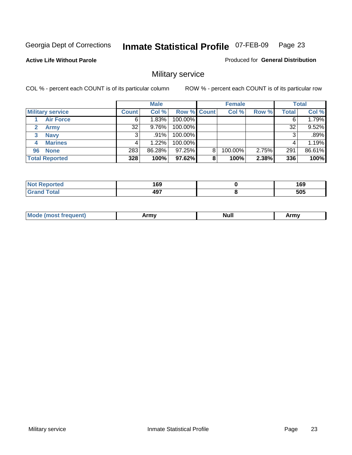Produced for **General Distribution**

**Active Life Without Parole** 

### Military service

|                         |              | <b>Male</b> |                    |   | <b>Female</b> |          |       | <b>Total</b> |
|-------------------------|--------------|-------------|--------------------|---|---------------|----------|-------|--------------|
| <b>Military service</b> | <b>Count</b> | Col %       | <b>Row % Count</b> |   | Col %         | Row %    | Total | Col %        |
| <b>Air Force</b>        | 6            | 1.83%       | 100.00%            |   |               |          |       | 1.79%        |
| <b>Army</b>             | 32           | $9.76\%$    | 100.00%            |   |               |          | 32    | 9.52%        |
| <b>Navy</b><br>3        |              | $.91\%$     | 100.00%            |   |               |          |       | .89%         |
| <b>Marines</b><br>4     |              | 1.22%       | 100.00%            |   |               |          |       | 1.19%        |
| 96 None                 | 283          | 86.28%      | 97.25%             | 8 | 100.00%       | $2.75\%$ | 291   | 86.61%       |
| <b>Total Reported</b>   | 328          | 100%        | 97.62%             | 8 | 100%          | 2.38%    | 336   | 100%         |

| المتحامين | 1 C N      | 169 |
|-----------|------------|-----|
| тео       | פט ו       | - - |
| Cotot     | 107<br>49. | 505 |

| M<br><b>INUIL</b><br>.<br>. |
|-----------------------------|
|-----------------------------|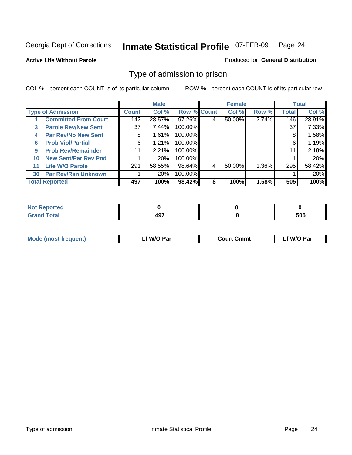#### **Active Life Without Parole**

#### Produced for **General Distribution**

#### Type of admission to prison

|    |                             |              | <b>Male</b> |                    |   | <b>Female</b> |       |              | <b>Total</b> |
|----|-----------------------------|--------------|-------------|--------------------|---|---------------|-------|--------------|--------------|
|    | <b>Type of Admission</b>    | <b>Count</b> | Col %       | <b>Row % Count</b> |   | Col %         | Row % | <b>Total</b> | Col %        |
|    | <b>Committed From Court</b> | 142          | 28.57%      | 97.26%             | 4 | 50.00%        | 2.74% | 146          | 28.91%       |
| 3  | <b>Parole Rev/New Sent</b>  | 37           | 7.44%       | 100.00%            |   |               |       | 37           | 7.33%        |
| 4  | <b>Par Rev/No New Sent</b>  | 8            | 1.61%       | 100.00%            |   |               |       | 8            | 1.58%        |
| 6  | <b>Prob Viol/Partial</b>    | 6            | 1.21%       | 100.00%            |   |               |       | 6            | 1.19%        |
| 9  | <b>Prob Rev/Remainder</b>   | 11           | 2.21%       | 100.00%            |   |               |       | 11           | 2.18%        |
| 10 | <b>New Sent/Par Rev Pnd</b> |              | .20%        | 100.00%            |   |               |       |              | .20%         |
| 11 | <b>Life W/O Parole</b>      | 291          | 58.55%      | 98.64%             | 4 | 50.00%        | 1.36% | 295          | 58.42%       |
| 30 | <b>Par Rev/Rsn Unknown</b>  |              | .20%        | 100.00%            |   |               |       |              | .20%         |
|    | <b>Total Reported</b>       | 497          | 100%        | 98.42%             | 8 | 100%          | 1.58% | 505          | 100%         |

| eported                     |     |     |
|-----------------------------|-----|-----|
| <b>Total</b><br>r<br>$\sim$ | 107 | 505 |

| <b>Mode (most frequent)</b> | <sup>€</sup> W/O Par | <b>Court Cmmt</b> | W/O Par |
|-----------------------------|----------------------|-------------------|---------|
|                             |                      |                   |         |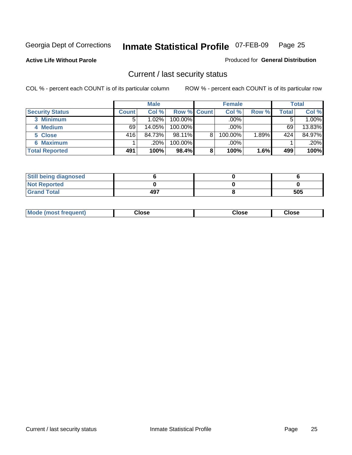**Active Life Without Parole** 

Produced for **General Distribution**

#### Current / last security status

|                        |              | <b>Male</b> |                    |   | <b>Female</b> |       |       | <b>Total</b> |
|------------------------|--------------|-------------|--------------------|---|---------------|-------|-------|--------------|
| <b>Security Status</b> | <b>Count</b> | Col %       | <b>Row % Count</b> |   | Col %         | Row % | Total | Col %        |
| 3 Minimum              |              | 1.02%       | $100.00\%$         |   | .00%          |       |       | 1.00%        |
| 4 Medium               | 69           | 14.05%      | $100.00\%$         |   | $.00\%$       |       | 69    | 13.83%       |
| 5 Close                | 416          | 84.73%      | $98.11\%$          | 8 | 100.00%       | 1.89% | 424   | 84.97%       |
| <b>6 Maximum</b>       |              | .20%        | 100.00%            |   | .00%          |       |       | $.20\%$      |
| <b>Total Reported</b>  | 491          | 100%        | 98.4%              | 8 | 100%          | 1.6%  | 499   | 100%         |

| <b>Still being diagnosed</b> |     |     |
|------------------------------|-----|-----|
| <b>Not Reported</b>          |     |     |
| <b>Grand Total</b>           | 497 | 505 |

| <b>Mode</b><br><b>OSE</b><br>∵lose<br>(most frequent)<br>oseث<br>- - - -<br>- - - -<br>- - - - |  |
|------------------------------------------------------------------------------------------------|--|
|------------------------------------------------------------------------------------------------|--|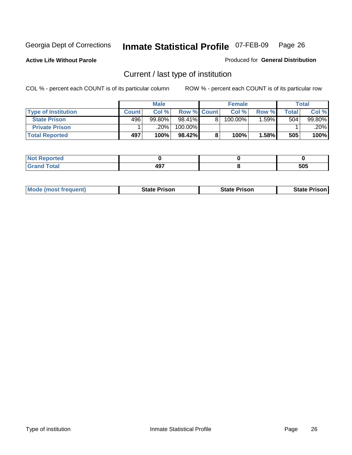**Active Life Without Parole** 

Produced for **General Distribution**

### Current / last type of institution

|                            |              | <b>Male</b> |                    | <b>Female</b> |       |       | <b>Total</b> |
|----------------------------|--------------|-------------|--------------------|---------------|-------|-------|--------------|
| <b>Type of Institution</b> | <b>Count</b> | Col %       | <b>Row % Count</b> | Col%          | Row % | Total | Col %        |
| <b>State Prison</b>        | 496          | 99.80%      | 98.41%             | $100.00\%$    | .59%  | 504   | 99.80%       |
| <b>Private Prison</b>      |              | ا 20%.      | 100.00%            |               |       |       | .20%         |
| <b>Total Reported</b>      | 497          | 100%        | 98.42%             | 100%          | 1.58% | 505   | 100%         |

| ted                   |            |     |
|-----------------------|------------|-----|
| <b>otal</b><br>$\sim$ | 497<br>тэ. | 505 |

| <b>Mode (most frequent)</b> | <b>State Prison</b> | <b>State Prison</b> | <b>State Prison</b> |
|-----------------------------|---------------------|---------------------|---------------------|
|                             |                     |                     |                     |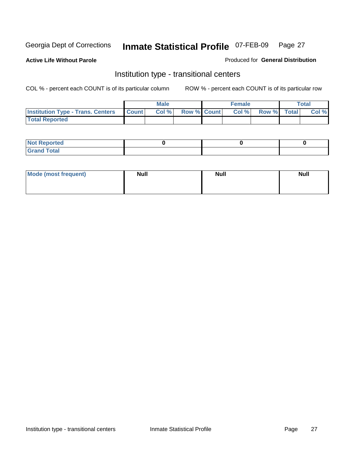**Active Life Without Parole** 

Produced for **General Distribution**

#### Institution type - transitional centers

|                                          |              | <b>Male</b> |                    | <b>Female</b> |             | Total |
|------------------------------------------|--------------|-------------|--------------------|---------------|-------------|-------|
| <b>Institution Type - Trans. Centers</b> | <b>Count</b> | Col%        | <b>Row % Count</b> | Col %         | Row % Total | Col % |
| <b>Total Reported</b>                    |              |             |                    |               |             |       |

| rtea<br>20 NGL 2<br>  |  |  |
|-----------------------|--|--|
| into!<br>---<br>_____ |  |  |

| Mode (most frequent) | <b>Null</b> | <b>Null</b> | <b>Null</b> |
|----------------------|-------------|-------------|-------------|
|                      |             |             |             |
|                      |             |             |             |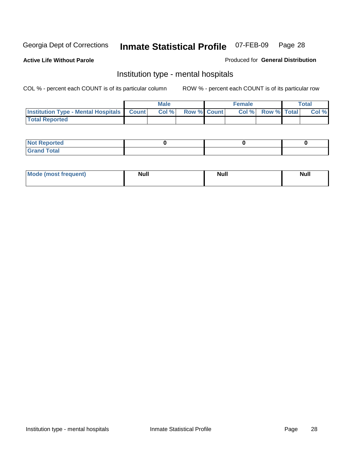**Active Life Without Parole** 

Produced for **General Distribution**

#### Institution type - mental hospitals

|                                                  | <b>Male</b> |                    | <b>Female</b> |                   | <b>Total</b> |
|--------------------------------------------------|-------------|--------------------|---------------|-------------------|--------------|
| <b>Institution Type - Mental Hospitals Count</b> | Col%        | <b>Row % Count</b> |               | Col % Row % Total | Col %        |
| <b>Total Reported</b>                            |             |                    |               |                   |              |

| <b>Not Reported</b> |  |  |
|---------------------|--|--|
| <b>Fotal</b><br>Cro |  |  |

| Mode (most frequent) | <b>Null</b> | <b>Null</b> | <b>Null</b> |
|----------------------|-------------|-------------|-------------|
|                      |             |             |             |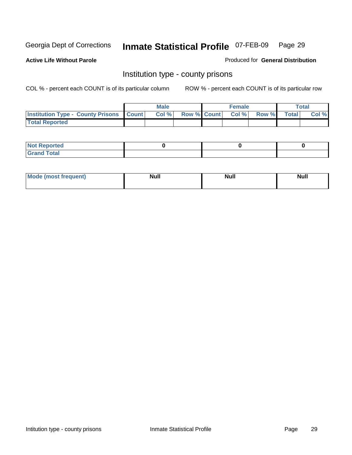**Active Life Without Parole** 

Produced for **General Distribution**

#### Institution type - county prisons

|                                                    | <b>Male</b> |  | <b>Female</b>            |              |       | Total |
|----------------------------------------------------|-------------|--|--------------------------|--------------|-------|-------|
| <b>Institution Type - County Prisons   Count  </b> | Col %       |  | <b>Row % Count Col %</b> | <b>Row %</b> | Total | Col % |
| <b>Total Reported</b>                              |             |  |                          |              |       |       |

| <b>Not</b><br><b>Reported</b> |  |  |
|-------------------------------|--|--|
| <b>Grand Total</b>            |  |  |

| <b>Mo</b><br>frequent) | NI. . II<br>1u 11 | <b>Moll</b> | <b>Null</b> |
|------------------------|-------------------|-------------|-------------|
|                        |                   |             |             |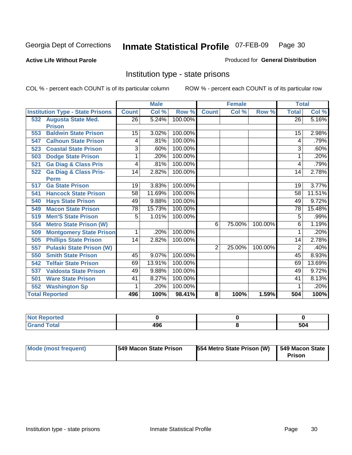#### **Active Life Without Parole**

#### Produced for **General Distribution**

#### Institution type - state prisons

|     |                                         | <b>Male</b>     |                           | <b>Female</b> |                         |        | <b>Total</b> |                 |        |
|-----|-----------------------------------------|-----------------|---------------------------|---------------|-------------------------|--------|--------------|-----------------|--------|
|     | <b>Institution Type - State Prisons</b> | <b>Count</b>    | $\overline{\text{Col}}$ % | Row %         | <b>Count</b>            | Col %  | Row %        | <b>Total</b>    | Col %  |
|     | 532 Augusta State Med.                  | $\overline{26}$ | 5.24%                     | 100.00%       |                         |        |              | $\overline{26}$ | 5.16%  |
|     | <b>Prison</b>                           |                 |                           |               |                         |        |              |                 |        |
| 553 | <b>Baldwin State Prison</b>             | 15              | 3.02%                     | 100.00%       |                         |        |              | 15              | 2.98%  |
| 547 | <b>Calhoun State Prison</b>             | 4               | .81%                      | 100.00%       |                         |        |              | 4               | .79%   |
| 523 | <b>Coastal State Prison</b>             | 3               | .60%                      | 100.00%       |                         |        |              | 3               | .60%   |
| 503 | <b>Dodge State Prison</b>               | 1               | .20%                      | 100.00%       |                         |        |              | 1               | .20%   |
| 521 | <b>Ga Diag &amp; Class Pris</b>         | 4               | .81%                      | 100.00%       |                         |        |              | 4               | .79%   |
| 522 | <b>Ga Diag &amp; Class Pris-</b>        | 14              | 2.82%                     | 100.00%       |                         |        |              | 14              | 2.78%  |
|     | <b>Perm</b>                             |                 |                           |               |                         |        |              |                 |        |
| 517 | <b>Ga State Prison</b>                  | 19              | 3.83%                     | 100.00%       |                         |        |              | 19              | 3.77%  |
| 541 | <b>Hancock State Prison</b>             | 58              | 11.69%                    | 100.00%       |                         |        |              | 58              | 11.51% |
| 540 | <b>Hays State Prison</b>                | 49              | 9.88%                     | 100.00%       |                         |        |              | 49              | 9.72%  |
| 549 | <b>Macon State Prison</b>               | 78              | 15.73%                    | 100.00%       |                         |        |              | 78              | 15.48% |
| 519 | <b>Men'S State Prison</b>               | 5               | 1.01%                     | 100.00%       |                         |        |              | 5               | .99%   |
| 554 | <b>Metro State Prison (W)</b>           |                 |                           |               | 6                       | 75.00% | 100.00%      | 6               | 1.19%  |
| 509 | <b>Montgomery State Prison</b>          | 1               | .20%                      | 100.00%       |                         |        |              |                 | .20%   |
| 505 | <b>Phillips State Prison</b>            | 14              | 2.82%                     | 100.00%       |                         |        |              | 14              | 2.78%  |
| 557 | <b>Pulaski State Prison (W)</b>         |                 |                           |               | $\overline{2}$          | 25.00% | 100.00%      | $\overline{2}$  | .40%   |
| 550 | <b>Smith State Prison</b>               | 45              | 9.07%                     | 100.00%       |                         |        |              | 45              | 8.93%  |
| 542 | <b>Telfair State Prison</b>             | 69              | 13.91%                    | 100.00%       |                         |        |              | 69              | 13.69% |
| 537 | <b>Valdosta State Prison</b>            | 49              | 9.88%                     | 100.00%       |                         |        |              | 49              | 9.72%  |
| 501 | <b>Ware State Prison</b>                | 41              | 8.27%                     | 100.00%       |                         |        |              | 41              | 8.13%  |
| 552 | <b>Washington Sp</b>                    | 1               | .20%                      | 100.00%       |                         |        |              |                 | .20%   |
|     | <b>Total Reported</b>                   | 496             | 100%                      | 98.41%        | $\overline{\mathbf{8}}$ | 100%   | 1.59%        | 504             | 100%   |

| <b>Reported</b><br>$\sim$ |            |     |
|---------------------------|------------|-----|
| <b>otal</b>               | ۸۵۵<br>430 | 504 |

| Mode (most frequent) | <b>1549 Macon State Prison</b> | <b>554 Metro State Prison (W)</b> | 549 Macon State  <br>Prison |
|----------------------|--------------------------------|-----------------------------------|-----------------------------|
|----------------------|--------------------------------|-----------------------------------|-----------------------------|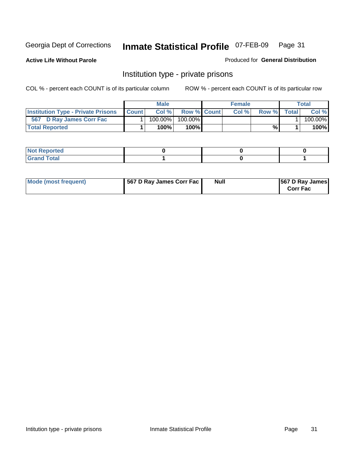**Active Life Without Parole** 

Produced for **General Distribution**

#### Institution type - private prisons

|                                           |              | <b>Male</b> |               | <b>Female</b> |       |       | Total   |
|-------------------------------------------|--------------|-------------|---------------|---------------|-------|-------|---------|
| <b>Institution Type - Private Prisons</b> | <b>Count</b> | Col %       | Row % Count   | Col %         | Row % | Total | Col %   |
| 567 D Ray James Corr Fac                  |              | $100.00\%$  | 100.00%       |               |       |       | 100.00% |
| <b>Total Reported</b>                     |              | 100%        | 100% <b>I</b> |               | %     |       | 100%    |

| <b>Not Reported</b>             |  |  |
|---------------------------------|--|--|
| <b>Total</b><br>Gr2<br>$\sim$ . |  |  |

| Mode (most frequent) | 567 D Ray James Corr Fac | <b>Null</b> | <b>567 D Ray James</b><br><b>Corr Fac</b> |
|----------------------|--------------------------|-------------|-------------------------------------------|
|----------------------|--------------------------|-------------|-------------------------------------------|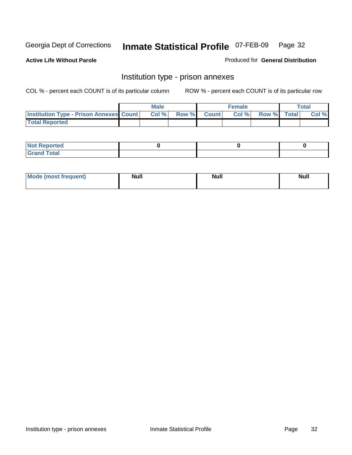**Active Life Without Parole** 

Produced for **General Distribution**

#### Institution type - prison annexes

|                                                | <b>Male</b> |              |                | <b>Female</b> |             | <b>Total</b> |
|------------------------------------------------|-------------|--------------|----------------|---------------|-------------|--------------|
| <b>Institution Type - Prison Annexes Count</b> | Col %       | <b>Row %</b> | <b>Count</b> Ⅰ | Col%          | Row % Total | Col %        |
| <b>Total Reported</b>                          |             |              |                |               |             |              |

| <b>Not Reported</b>            |  |  |
|--------------------------------|--|--|
| <b>Total</b><br>Croi<br>$\sim$ |  |  |

| Mode (most frequent) | <b>Null</b> | <b>Null</b> | <b>Null</b> |
|----------------------|-------------|-------------|-------------|
|                      |             |             |             |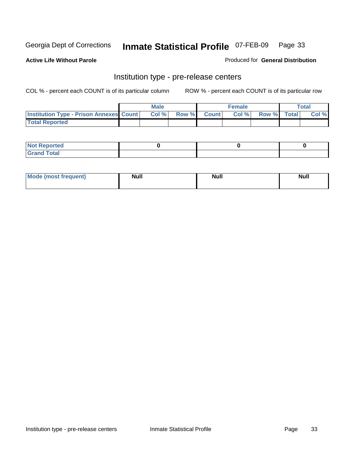**Active Life Without Parole** 

Produced for **General Distribution**

#### Institution type - pre-release centers

|                                                | <b>Male</b> |                    | <b>Female</b> |             | <b>Total</b> |
|------------------------------------------------|-------------|--------------------|---------------|-------------|--------------|
| <b>Institution Type - Prison Annexes Count</b> | Col %       | <b>Row % Count</b> | Col %         | Row % Total | Col %        |
| <b>Total Reported</b>                          |             |                    |               |             |              |

| <b>Not Reported</b>            |  |  |
|--------------------------------|--|--|
| <b>Total</b><br>Croi<br>$\sim$ |  |  |

| Mode (most frequent) | <b>Null</b> | <b>Null</b><br>_____ | <b>Null</b> |
|----------------------|-------------|----------------------|-------------|
|                      |             |                      |             |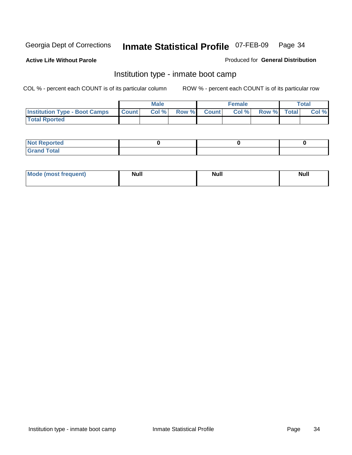**Active Life Without Parole** 

Produced for **General Distribution**

#### Institution type - inmate boot camp

|                                      |              | Male  |             | <b>Female</b> |             | <b>Total</b> |
|--------------------------------------|--------------|-------|-------------|---------------|-------------|--------------|
| <b>Institution Type - Boot Camps</b> | <b>Count</b> | Col % | Row % Count | Col%          | Row % Total | Col %        |
| <b>Total Rported</b>                 |              |       |             |               |             |              |

| <b>Not Reported</b>  |  |  |
|----------------------|--|--|
| <b>Total</b><br>Croy |  |  |

| Mode (most frequent) | <b>Null</b> | <b>Null</b> | <b>Null</b> |
|----------------------|-------------|-------------|-------------|
|                      |             |             |             |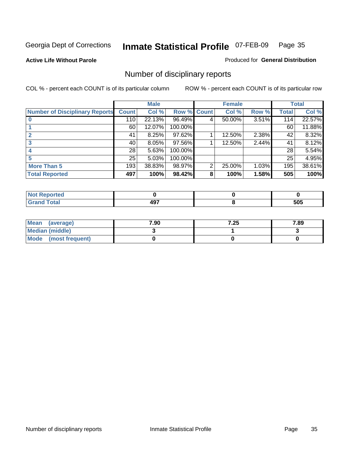**Active Life Without Parole** 

Produced for **General Distribution**

### Number of disciplinary reports

|                                       |                 | <b>Male</b> |             |   | <b>Female</b> |       |              | <b>Total</b> |
|---------------------------------------|-----------------|-------------|-------------|---|---------------|-------|--------------|--------------|
| <b>Number of Disciplinary Reports</b> | <b>Count</b>    | Col %       | Row % Count |   | Col %         | Row % | <b>Total</b> | Col %        |
|                                       | 110             | 22.13%      | 96.49%      | 4 | 50.00%        | 3.51% | 114          | 22.57%       |
|                                       | 60              | 12.07%      | 100.00%     |   |               |       | 60           | 11.88%       |
|                                       | 41              | 8.25%       | 97.62%      |   | 12.50%        | 2.38% | 42           | 8.32%        |
|                                       | 40              | 8.05%       | 97.56%      |   | 12.50%        | 2.44% | 41           | 8.12%        |
|                                       | 28              | 5.63%       | 100.00%     |   |               |       | 28           | 5.54%        |
|                                       | 25 <sup>1</sup> | 5.03%       | 100.00%     |   |               |       | 25           | 4.95%        |
| <b>More Than 5</b>                    | 193             | 38.83%      | 98.97%      | 2 | 25.00%        | 1.03% | 195          | 38.61%       |
| <b>Total Reported</b>                 | 497             | 100%        | 98.42%      | 8 | 100%          | 1.58% | 505          | 100%         |

| .<br>IN 6<br>чес. |               |                    |
|-------------------|---------------|--------------------|
| $\sim$            | - - -<br>$ -$ | -^-<br>วบว<br>$ -$ |

| Mean (average)       | 7.90 | 7.25 | 7.89 |
|----------------------|------|------|------|
| Median (middle)      |      |      |      |
| Mode (most frequent) |      |      |      |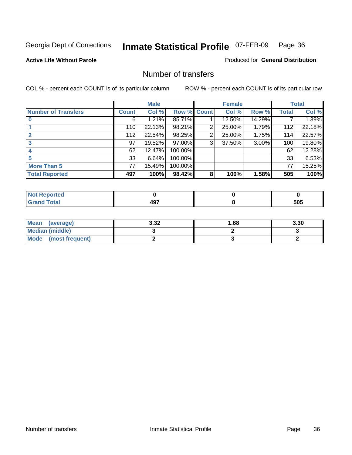**Active Life Without Parole** 

Produced for **General Distribution**

#### Number of transfers

|                            |              | <b>Male</b> |             |   | <b>Female</b> |          |              | <b>Total</b> |
|----------------------------|--------------|-------------|-------------|---|---------------|----------|--------------|--------------|
| <b>Number of Transfers</b> | <b>Count</b> | Col %       | Row % Count |   | Col %         | Row %    | <b>Total</b> | Col %        |
|                            | 6            | 1.21%       | 85.71%      |   | 12.50%        | 14.29%   |              | 1.39%        |
|                            | 110          | 22.13%      | 98.21%      | 2 | 25.00%        | 1.79%    | 112          | 22.18%       |
| $\mathbf{2}$               | 112          | 22.54%      | 98.25%      | 2 | 25.00%        | 1.75%    | 114          | 22.57%       |
| 3                          | 97           | 19.52%      | 97.00%      | 3 | 37.50%        | $3.00\%$ | 100          | 19.80%       |
|                            | 62           | 12.47%      | 100.00%     |   |               |          | 62           | 12.28%       |
|                            | 33           | 6.64%       | 100.00%     |   |               |          | 33           | 6.53%        |
| <b>More Than 5</b>         | 77           | 15.49%      | 100.00%     |   |               |          | 77           | 15.25%       |
| <b>Total Reported</b>      | 497          | 100%        | 98.42%      | 8 | 100%          | 1.58%    | 505          | 100%         |

| re o   |             |     |
|--------|-------------|-----|
| ______ | - - -<br>−. | 505 |

| Mean (average)       | 3.32 | 88. ا | 3.30 |
|----------------------|------|-------|------|
| Median (middle)      |      |       |      |
| Mode (most frequent) |      |       |      |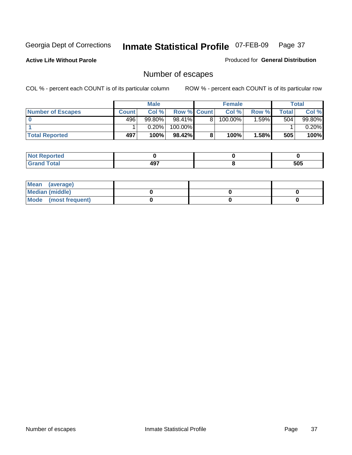**Active Life Without Parole** 

Produced for **General Distribution**

# Number of escapes

|                       |         | <b>Male</b> |                    | <b>Female</b>         |         |       | <b>Total</b> |
|-----------------------|---------|-------------|--------------------|-----------------------|---------|-------|--------------|
| Number of Escapes     | Count l | Col %       | <b>Row % Count</b> | Col%                  | Row %   | Total | Col %        |
|                       | 496     | $99.80\%$   | $98.41\%$          | $100.\overline{00\%}$ | $.59\%$ | 504   | 99.80%       |
|                       |         | 0.20%       | 100.00%            |                       |         |       | 0.20%        |
| <b>Total Reported</b> | 497     | 100%        | $98.42\%$          | 100%                  | 1.58%   | 505   | 100%         |

| тео                             |             |     |
|---------------------------------|-------------|-----|
| <b>otal</b><br>$\mathbf{v}$ and | 107<br>TV 1 | 505 |

| Mean (average)       |  |  |
|----------------------|--|--|
| Median (middle)      |  |  |
| Mode (most frequent) |  |  |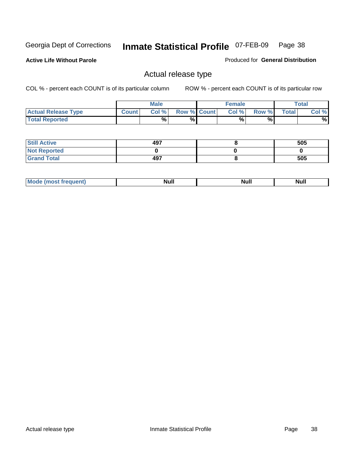**Active Life Without Parole** 

Produced for **General Distribution**

## Actual release type

|                            |              | <b>Male</b> |                    | <b>Female</b> |        |              | $\tau$ otal |
|----------------------------|--------------|-------------|--------------------|---------------|--------|--------------|-------------|
| <b>Actual Release Type</b> | <b>Count</b> | Col %1      | <b>Row % Count</b> | Col %1        | Row %I | <b>Total</b> | Col %       |
| <b>Total Reported</b>      |              | $\%$        | %                  | %             | %      |              | %           |

| <b>Still Active</b> | 497 | 505 |
|---------------------|-----|-----|
| <b>Not Reported</b> |     |     |
| <b>Grand Total</b>  | 497 | 505 |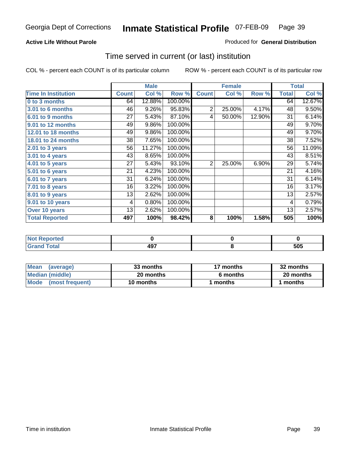### **Active Life Without Parole**

### Produced for **General Distribution**

## Time served in current (or last) institution

|                            |              | <b>Male</b> |         |                | <b>Female</b> |        |              | <b>Total</b> |
|----------------------------|--------------|-------------|---------|----------------|---------------|--------|--------------|--------------|
| <b>Time In Institution</b> | <b>Count</b> | Col %       | Row %   | <b>Count</b>   | Col %         | Row %  | <b>Total</b> | Col %        |
| 0 to 3 months              | 64           | 12.88%      | 100.00% |                |               |        | 64           | 12.67%       |
| 3.01 to 6 months           | 46           | 9.26%       | 95.83%  | 2              | 25.00%        | 4.17%  | 48           | 9.50%        |
| 6.01 to 9 months           | 27           | 5.43%       | 87.10%  | 4              | 50.00%        | 12.90% | 31           | 6.14%        |
| 9.01 to 12 months          | 49           | 9.86%       | 100.00% |                |               |        | 49           | 9.70%        |
| 12.01 to 18 months         | 49           | 9.86%       | 100.00% |                |               |        | 49           | 9.70%        |
| 18.01 to 24 months         | 38           | 7.65%       | 100.00% |                |               |        | 38           | 7.52%        |
| 2.01 to 3 years            | 56           | 11.27%      | 100.00% |                |               |        | 56           | 11.09%       |
| 3.01 to 4 years            | 43           | 8.65%       | 100.00% |                |               |        | 43           | 8.51%        |
| 4.01 to 5 years            | 27           | 5.43%       | 93.10%  | $\overline{2}$ | 25.00%        | 6.90%  | 29           | 5.74%        |
| 5.01 to 6 years            | 21           | 4.23%       | 100.00% |                |               |        | 21           | 4.16%        |
| 6.01 to 7 years            | 31           | 6.24%       | 100.00% |                |               |        | 31           | 6.14%        |
| 7.01 to 8 years            | 16           | 3.22%       | 100.00% |                |               |        | 16           | 3.17%        |
| 8.01 to 9 years            | 13           | 2.62%       | 100.00% |                |               |        | 13           | 2.57%        |
| 9.01 to 10 years           | 4            | 0.80%       | 100.00% |                |               |        | 4            | 0.79%        |
| Over 10 years              | 13           | 2.62%       | 100.00% |                |               |        | 13           | 2.57%        |
| <b>Total Reported</b>      | 497          | 100%        | 98.42%  | 8              | 100%          | 1.58%  | 505          | 100%         |

| <b>Not Reported</b> |             |     |
|---------------------|-------------|-----|
| <b>Total</b>        | 407<br>TV 1 | 505 |

| <b>Mean</b><br>(average) | 33 months | 17 months | 32 months |  |
|--------------------------|-----------|-----------|-----------|--|
| Median (middle)          | 20 months | 6 months  | 20 months |  |
| Mode<br>(most frequent)  | 10 months | ' months  | months    |  |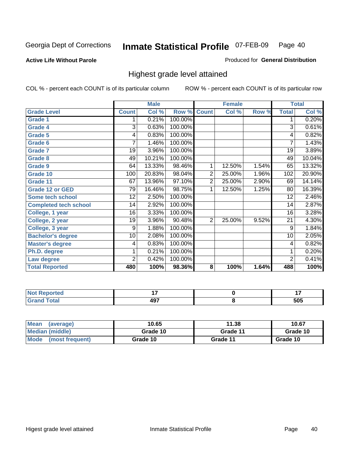### **Active Life Without Parole**

### Produced for **General Distribution**

## Highest grade level attained

|                              |                | <b>Male</b> |         |                | <b>Female</b> |       |                | <b>Total</b> |
|------------------------------|----------------|-------------|---------|----------------|---------------|-------|----------------|--------------|
| <b>Grade Level</b>           | <b>Count</b>   | Col %       | Row %   | <b>Count</b>   | Col %         | Row % | <b>Total</b>   | Col %        |
| <b>Grade 1</b>               | 1              | 0.21%       | 100.00% |                |               |       | 1              | 0.20%        |
| <b>Grade 4</b>               | 3              | 0.63%       | 100.00% |                |               |       | $\overline{3}$ | 0.61%        |
| Grade 5                      | 4              | 0.83%       | 100.00% |                |               |       | 4              | 0.82%        |
| Grade 6                      | 7              | 1.46%       | 100.00% |                |               |       | $\overline{7}$ | 1.43%        |
| <b>Grade 7</b>               | 19             | 3.96%       | 100.00% |                |               |       | 19             | 3.89%        |
| Grade 8                      | 49             | 10.21%      | 100.00% |                |               |       | 49             | 10.04%       |
| <b>Grade 9</b>               | 64             | 13.33%      | 98.46%  | 1              | 12.50%        | 1.54% | 65             | 13.32%       |
| Grade 10                     | 100            | 20.83%      | 98.04%  | $\overline{2}$ | 25.00%        | 1.96% | 102            | 20.90%       |
| Grade 11                     | 67             | 13.96%      | 97.10%  | $\overline{2}$ | 25.00%        | 2.90% | 69             | 14.14%       |
| <b>Grade 12 or GED</b>       | 79             | 16.46%      | 98.75%  | 1              | 12.50%        | 1.25% | 80             | 16.39%       |
| <b>Some tech school</b>      | 12             | 2.50%       | 100.00% |                |               |       | 12             | 2.46%        |
| <b>Completed tech school</b> | 14             | 2.92%       | 100.00% |                |               |       | 14             | 2.87%        |
| College, 1 year              | 16             | 3.33%       | 100.00% |                |               |       | 16             | 3.28%        |
| College, 2 year              | 19             | 3.96%       | 90.48%  | $\overline{2}$ | 25.00%        | 9.52% | 21             | 4.30%        |
| College, 3 year              | 9              | 1.88%       | 100.00% |                |               |       | 9              | 1.84%        |
| <b>Bachelor's degree</b>     | 10             | 2.08%       | 100.00% |                |               |       | 10             | 2.05%        |
| <b>Master's degree</b>       | 4              | 0.83%       | 100.00% |                |               |       | 4              | 0.82%        |
| Ph.D. degree                 | 1              | 0.21%       | 100.00% |                |               |       | 1              | 0.20%        |
| Law degree                   | $\overline{2}$ | 0.42%       | 100.00% |                |               |       | $\overline{2}$ | 0.41%        |
| <b>Total Reported</b>        | 480            | 100%        | 98.36%  | 8              | 100%          | 1.64% | 488            | 100%         |

| <b><i>Committee Address</i></b><br><b>Not Reported</b> |            |            |
|--------------------------------------------------------|------------|------------|
| $F0$ tal                                               | ៱៱៹<br>49. | cnc<br>ວບວ |

| Mean<br>(average)    | 10.65    | 11.38    | 10.67    |
|----------------------|----------|----------|----------|
| Median (middle)      | Grade 10 | Grade 11 | Grade 10 |
| Mode (most frequent) | Grade 10 | Grade 11 | Grade 10 |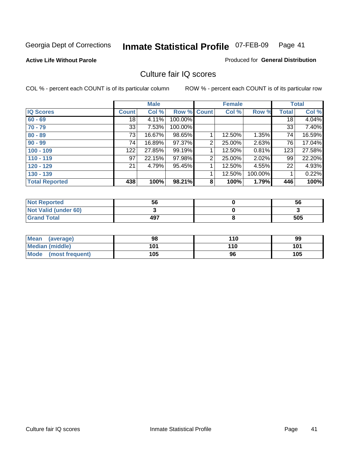### **Active Life Without Parole**

### Produced for **General Distribution**

## Culture fair IQ scores

|                       |              | <b>Male</b> |             |                | <b>Female</b> |          |              | <b>Total</b> |
|-----------------------|--------------|-------------|-------------|----------------|---------------|----------|--------------|--------------|
| <b>IQ Scores</b>      | <b>Count</b> | Col %       | Row % Count |                | Col %         | Row %    | <b>Total</b> | Col %        |
| $60 - 69$             | 18           | 4.11%       | 100.00%     |                |               |          | 18           | 4.04%        |
| $70 - 79$             | 33           | 7.53%       | 100.00%     |                |               |          | 33           | 7.40%        |
| $80 - 89$             | 73           | 16.67%      | 98.65%      |                | 12.50%        | $1.35\%$ | 74           | 16.59%       |
| $90 - 99$             | 74           | 16.89%      | 97.37%      | 2              | 25.00%        | 2.63%    | 76           | 17.04%       |
| $100 - 109$           | 122          | 27.85%      | 99.19%      |                | 12.50%        | 0.81%    | 123          | 27.58%       |
| $110 - 119$           | 97           | 22.15%      | 97.98%      | 2              | 25.00%        | 2.02%    | 99           | 22.20%       |
| $120 - 129$           | 21           | 4.79%       | 95.45%      | 1              | 12.50%        | 4.55%    | 22           | 4.93%        |
| $130 - 139$           |              |             |             |                | 12.50%        | 100.00%  |              | 0.22%        |
| <b>Total Reported</b> | 438          | 100%        | 98.21%      | 8 <sup>°</sup> | 100%          | 1.79%    | 446          | 100%         |

| <b>Not Reported</b>  | 56  | 56  |
|----------------------|-----|-----|
| Not Valid (under 60) |     |     |
| <b>Grand Total</b>   | 497 | 505 |

| <b>Mean</b><br>(average) | 98  | 110 | 99  |
|--------------------------|-----|-----|-----|
| <b>Median (middle)</b>   | 101 | 110 | 101 |
| Mode (most frequent)     | 105 | 96  | 105 |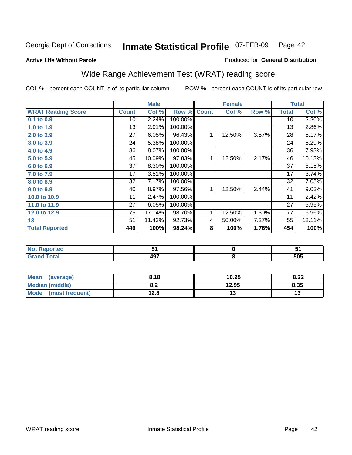### **Active Life Without Parole**

### Produced for **General Distribution**

# Wide Range Achievement Test (WRAT) reading score

|                           |              | <b>Male</b> |         |              | <b>Female</b> |       |              | <b>Total</b> |
|---------------------------|--------------|-------------|---------|--------------|---------------|-------|--------------|--------------|
| <b>WRAT Reading Score</b> | <b>Count</b> | Col %       | Row %   | <b>Count</b> | Col %         | Row % | <b>Total</b> | Col %        |
| 0.1 to 0.9                | 10           | 2.24%       | 100.00% |              |               |       | 10           | 2.20%        |
| 1.0 to 1.9                | 13           | 2.91%       | 100.00% |              |               |       | 13           | 2.86%        |
| 2.0 to 2.9                | 27           | 6.05%       | 96.43%  | 1            | 12.50%        | 3.57% | 28           | 6.17%        |
| 3.0 to 3.9                | 24           | 5.38%       | 100.00% |              |               |       | 24           | 5.29%        |
| 4.0 to 4.9                | 36           | 8.07%       | 100.00% |              |               |       | 36           | 7.93%        |
| 5.0 to 5.9                | 45           | 10.09%      | 97.83%  | 1            | 12.50%        | 2.17% | 46           | 10.13%       |
| 6.0 to 6.9                | 37           | 8.30%       | 100.00% |              |               |       | 37           | 8.15%        |
| 7.0 to 7.9                | 17           | 3.81%       | 100.00% |              |               |       | 17           | 3.74%        |
| 8.0 to 8.9                | 32           | 7.17%       | 100.00% |              |               |       | 32           | 7.05%        |
| 9.0 to 9.9                | 40           | 8.97%       | 97.56%  | 1            | 12.50%        | 2.44% | 41           | 9.03%        |
| 10.0 to 10.9              | 11           | 2.47%       | 100.00% |              |               |       | 11           | 2.42%        |
| 11.0 to 11.9              | 27           | 6.05%       | 100.00% |              |               |       | 27           | 5.95%        |
| 12.0 to 12.9              | 76           | 17.04%      | 98.70%  | 1            | 12.50%        | 1.30% | 77           | 16.96%       |
| 13                        | 51           | 11.43%      | 92.73%  | 4            | 50.00%        | 7.27% | 55           | 12.11%       |
| <b>Total Reported</b>     | 446          | 100%        | 98.24%  | 8            | 100%          | 1.76% | 454          | 100%         |
|                           |              |             |         |              |               |       |              |              |
| <b>Not Reported</b>       |              | 51          |         |              | $\pmb{0}$     |       |              | 51           |
| <b>Grand Total</b>        |              | 497         |         |              | 8             |       |              | 505          |

| <b>Mean</b><br>(average) | 8.18       | 10.25 | 8.22 |
|--------------------------|------------|-------|------|
| <b>Median (middle)</b>   | ה ה<br>o.z | 12.95 | 8.35 |
| Mode<br>(most frequent)  | 12.8       | ′∙    | ט ו  |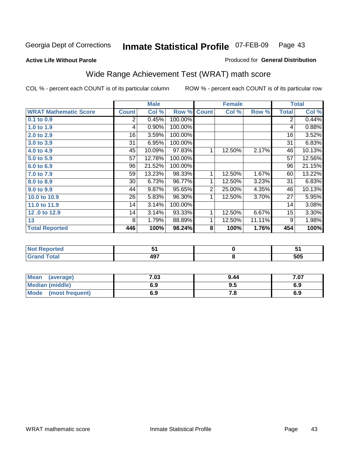### **Active Life Without Parole**

### Produced for **General Distribution**

# Wide Range Achievement Test (WRAT) math score

COL % - percent each COUNT is of its particular column ROW % - percent each COUNT is of its particular row

 **8**

|                              |              | <b>Male</b> |         |                | <b>Female</b> |        |              | <b>Total</b> |
|------------------------------|--------------|-------------|---------|----------------|---------------|--------|--------------|--------------|
| <b>WRAT Mathematic Score</b> | <b>Count</b> | Col %       | Row %   | <b>Count</b>   | Col %         | Row %  | <b>Total</b> | Col %        |
| 0.1 to 0.9                   | 2            | 0.45%       | 100.00% |                |               |        | 2            | 0.44%        |
| 1.0 to 1.9                   | 4            | 0.90%       | 100.00% |                |               |        | 4            | 0.88%        |
| 2.0 to 2.9                   | 16           | 3.59%       | 100.00% |                |               |        | 16           | 3.52%        |
| 3.0 to 3.9                   | 31           | 6.95%       | 100.00% |                |               |        | 31           | 6.83%        |
| 4.0 to 4.9                   | 45           | 10.09%      | 97.83%  | 1              | 12.50%        | 2.17%  | 46           | 10.13%       |
| 5.0 to 5.9                   | 57           | 12.78%      | 100.00% |                |               |        | 57           | 12.56%       |
| 6.0 to 6.9                   | 96           | 21.52%      | 100.00% |                |               |        | 96           | 21.15%       |
| 7.0 to 7.9                   | 59           | 13.23%      | 98.33%  | 1              | 12.50%        | 1.67%  | 60           | 13.22%       |
| 8.0 to 8.9                   | 30           | 6.73%       | 96.77%  | 1              | 12.50%        | 3.23%  | 31           | 6.83%        |
| 9.0 to 9.9                   | 44           | 9.87%       | 95.65%  | $\overline{2}$ | 25.00%        | 4.35%  | 46           | 10.13%       |
| 10.0 to 10.9                 | 26           | 5.83%       | 96.30%  | 1              | 12.50%        | 3.70%  | 27           | 5.95%        |
| 11.0 to 11.9                 | 14           | 3.14%       | 100.00% |                |               |        | 14           | 3.08%        |
| 12.0 to 12.9                 | 14           | 3.14%       | 93.33%  | 1              | 12.50%        | 6.67%  | 15           | 3.30%        |
| 13                           | 8            | 1.79%       | 88.89%  | 1              | 12.50%        | 11.11% | 9            | 1.98%        |
| <b>Total Reported</b>        | 446          | 100%        | 98.24%  | 8              | 100%          | 1.76%  | 454          | 100%         |
|                              |              |             |         |                |               |        |              |              |
| <b>Not Reported</b>          |              | 51          |         |                | $\mathbf 0$   |        |              | 51           |

| Mean (average)       | 7.03 | 9.44 | 7.07 |
|----------------------|------|------|------|
| Median (middle)      | 6.9  | 9.5  | 6.9  |
| Mode (most frequent) | 6.9  | 7.8  | 6.9  |

 **497**

 **Grand Total**

 **505**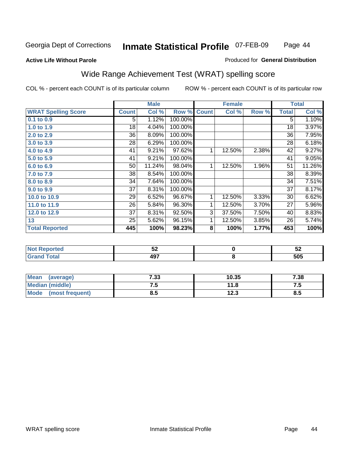### **Active Life Without Parole**

### Produced for **General Distribution**

# Wide Range Achievement Test (WRAT) spelling score

|                            |              | <b>Male</b> |         |              | <b>Female</b> |       |              | <b>Total</b> |
|----------------------------|--------------|-------------|---------|--------------|---------------|-------|--------------|--------------|
| <b>WRAT Spelling Score</b> | <b>Count</b> | Col %       | Row %   | <b>Count</b> | Col %         | Row % | <b>Total</b> | Col %        |
| 0.1 to 0.9                 | 5            | 1.12%       | 100.00% |              |               |       | 5            | 1.10%        |
| 1.0 to 1.9                 | 18           | 4.04%       | 100.00% |              |               |       | 18           | 3.97%        |
| 2.0 to 2.9                 | 36           | 8.09%       | 100.00% |              |               |       | 36           | 7.95%        |
| 3.0 to 3.9                 | 28           | 6.29%       | 100.00% |              |               |       | 28           | 6.18%        |
| 4.0 to 4.9                 | 41           | 9.21%       | 97.62%  | 1            | 12.50%        | 2.38% | 42           | 9.27%        |
| 5.0 to 5.9                 | 41           | 9.21%       | 100.00% |              |               |       | 41           | 9.05%        |
| 6.0 to 6.9                 | 50           | 11.24%      | 98.04%  | 1            | 12.50%        | 1.96% | 51           | 11.26%       |
| 7.0 to 7.9                 | 38           | 8.54%       | 100.00% |              |               |       | 38           | 8.39%        |
| 8.0 to 8.9                 | 34           | 7.64%       | 100.00% |              |               |       | 34           | 7.51%        |
| 9.0 to 9.9                 | 37           | 8.31%       | 100.00% |              |               |       | 37           | 8.17%        |
| 10.0 to 10.9               | 29           | 6.52%       | 96.67%  | 1            | 12.50%        | 3.33% | 30           | 6.62%        |
| 11.0 to 11.9               | 26           | 5.84%       | 96.30%  | 1            | 12.50%        | 3.70% | 27           | 5.96%        |
| 12.0 to 12.9               | 37           | 8.31%       | 92.50%  | 3            | 37.50%        | 7.50% | 40           | 8.83%        |
| 13                         | 25           | 5.62%       | 96.15%  | 1            | 12.50%        | 3.85% | 26           | 5.74%        |
| <b>Total Reported</b>      | 445          | 100%        | 98.23%  | 8            | 100%          | 1.77% | 453          | 100%         |
|                            |              |             |         |              |               |       |              |              |
| <b>Not Reported</b>        |              | 52          |         |              | $\pmb{0}$     |       |              | 52           |
| <b>Grand Total</b>         |              | 497         |         |              | 8             |       |              | 505          |

| Mean (average)       | 7.33 | 10.35 | 7.38 |
|----------------------|------|-------|------|
| Median (middle)      | ن. ا | 11.8  | r. 1 |
| Mode (most frequent) | 8.5  | 12.3  | 8.5  |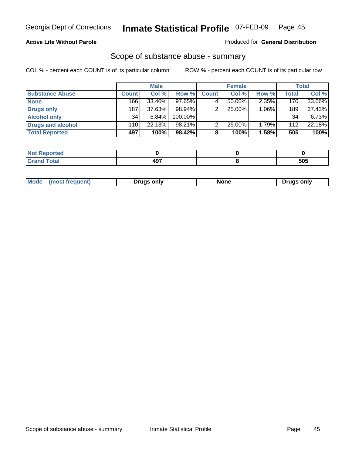### **Active Life Without Parole**

### Produced for **General Distribution**

## Scope of substance abuse - summary

|                        |              | <b>Male</b> |            |              | <b>Female</b> |       |              | <b>Total</b> |
|------------------------|--------------|-------------|------------|--------------|---------------|-------|--------------|--------------|
| <b>Substance Abuse</b> | <b>Count</b> | Col %       | Row %      | <b>Count</b> | Col %         | Row % | <b>Total</b> | Col %        |
| <b>None</b>            | 166          | 33.40%      | 97.65%     |              | $50.00\%$     | 2.35% | 170          | 33.66%       |
| Drugs only             | 187          | 37.63%      | $98.94\%$  |              | 25.00%        | 1.06% | 189          | 37.43%       |
| <b>Alcohol only</b>    | 34           | 6.84%       | $100.00\%$ |              |               |       | 34           | 6.73%        |
| Drugs and alcohol      | 110          | 22.13%      | 98.21%     | າ            | 25.00%        | 1.79% | 112          | 22.18%       |
| <b>Total Reported</b>  | 497          | 100%        | 98.42%     | 8            | 100%          | 1.58% | 505          | 100%         |

| Reported<br>$\sim$ |           |     |
|--------------------|-----------|-----|
| Total<br>$\sim$    | ᄳ<br>$ -$ | 505 |

|  | Mode<br>ונוצוווי | Druas onlv | None | only<br>Pruas . |
|--|------------------|------------|------|-----------------|
|--|------------------|------------|------|-----------------|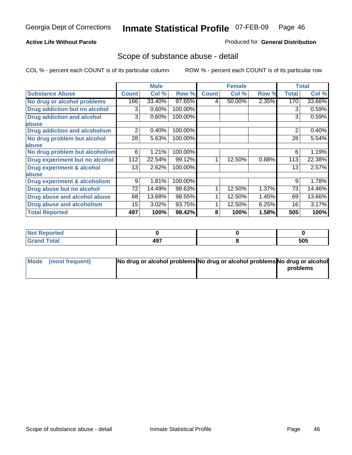## **Active Life Without Parole**

## Produced for **General Distribution**

## Scope of substance abuse - detail

|                                      |              | <b>Male</b> |         |              | <b>Female</b> |       |              | <b>Total</b> |
|--------------------------------------|--------------|-------------|---------|--------------|---------------|-------|--------------|--------------|
| <b>Substance Abuse</b>               | <b>Count</b> | Col %       | Row %   | <b>Count</b> | Col %         | Row % | <b>Total</b> | Col %        |
| No drug or alcohol problems          | 166          | 33.40%      | 97.65%  | 4            | 50.00%        | 2.35% | 170          | 33.66%       |
| Drug addiction but no alcohol        | 3            | 0.60%       | 100.00% |              |               |       | 3            | 0.59%        |
| <b>Drug addiction and alcohol</b>    | 3            | 0.60%       | 100.00% |              |               |       | 3            | 0.59%        |
| abuse                                |              |             |         |              |               |       |              |              |
| <b>Drug addiction and alcoholism</b> | 2            | 0.40%       | 100.00% |              |               |       | 2            | 0.40%        |
| No drug problem but alcohol          | 28           | 5.63%       | 100.00% |              |               |       | 28           | 5.54%        |
| abuse                                |              |             |         |              |               |       |              |              |
| No drug problem but alcoholism       | 6            | 1.21%       | 100.00% |              |               |       | 6            | 1.19%        |
| Drug experiment but no alcohol       | 112          | 22.54%      | 99.12%  |              | 12.50%        | 0.88% | 113          | 22.38%       |
| <b>Drug experiment &amp; alcohol</b> | 13           | 2.62%       | 100.00% |              |               |       | 13           | 2.57%        |
| abuse                                |              |             |         |              |               |       |              |              |
| Drug experiment & alcoholism         | 9            | 1.81%       | 100.00% |              |               |       | 9            | 1.78%        |
| Drug abuse but no alcohol            | 72           | 14.49%      | 98.63%  |              | 12.50%        | 1.37% | 73           | 14.46%       |
| Drug abuse and alcohol abuse         | 68           | 13.68%      | 98.55%  |              | 12.50%        | 1.45% | 69           | 13.66%       |
| <b>Drug abuse and alcoholism</b>     | 15           | 3.02%       | 93.75%  |              | 12.50%        | 6.25% | 16           | 3.17%        |
| <b>Total Reported</b>                | 497          | 100%        | 98.42%  | 8            | 100%          | 1.58% | 505          | 100%         |

| Not Reported |             |     |
|--------------|-------------|-----|
| <b>Total</b> | 107<br>- 91 | 505 |

| Mode (most frequent) | No drug or alcohol problems No drug or alcohol problems No drug or alcohol |          |
|----------------------|----------------------------------------------------------------------------|----------|
|                      |                                                                            | problems |
|                      |                                                                            |          |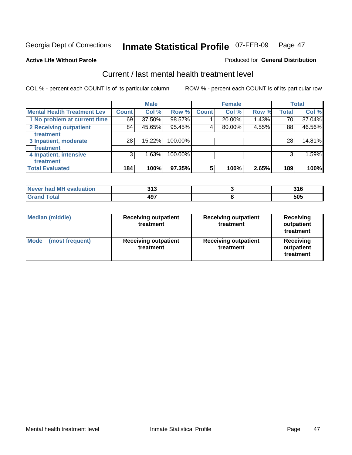**Active Life Without Parole** 

### Produced for **General Distribution**

## Current / last mental health treatment level

|                                    |              | <b>Male</b> |         |              | <b>Female</b> |       |              | <b>Total</b> |
|------------------------------------|--------------|-------------|---------|--------------|---------------|-------|--------------|--------------|
| <b>Mental Health Treatment Lev</b> | <b>Count</b> | Col %       | Row %   | <b>Count</b> | Col %         | Row % | <b>Total</b> | Col %        |
| 1 No problem at current time       | 69           | 37.50%      | 98.57%  |              | 20.00%        | 1.43% | 70           | 37.04%       |
| 2 Receiving outpatient             | 84           | 45.65%      | 95.45%  | 4            | 80.00%        | 4.55% | 88           | 46.56%       |
| treatment                          |              |             |         |              |               |       |              |              |
| 3 Inpatient, moderate              | 28           | 15.22%      | 100.00% |              |               |       | 28           | 14.81%       |
| <b>Treatment</b>                   |              |             |         |              |               |       |              |              |
| 4 Inpatient, intensive             | 3            | 1.63%       | 100.00% |              |               |       | 3            | 1.59%        |
| treatment                          |              |             |         |              |               |       |              |              |
| <b>Total Evaluated</b>             | 184          | 100%        | 97.35%  | 5            | 100%          | 2.65% | 189          | 100%         |

| Never had MH evaluation | າ4 າ<br>J I J | J I U |
|-------------------------|---------------|-------|
|                         | 107<br>וטו    | 505   |

| <b>Median (middle)</b>         | <b>Receiving outpatient</b><br>treatment | <b>Receiving outpatient</b><br>treatment | <b>Receiving</b><br>outpatient<br>treatment |
|--------------------------------|------------------------------------------|------------------------------------------|---------------------------------------------|
| <b>Mode</b><br>(most frequent) | <b>Receiving outpatient</b><br>treatment | <b>Receiving outpatient</b><br>treatment | Receiving<br>outpatient<br>treatment        |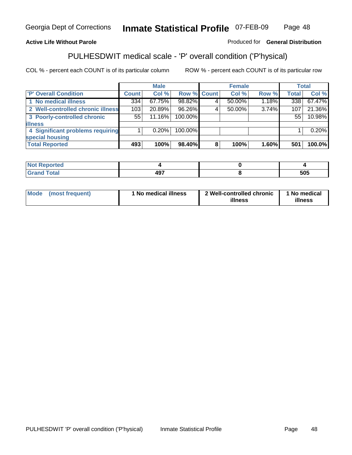## **Active Life Without Parole**

## Produced for **General Distribution**

# PULHESDWIT medical scale - 'P' overall condition ('P'hysical)

|                                   |         | <b>Male</b> |             | <b>Female</b> |          |              | <b>Total</b> |
|-----------------------------------|---------|-------------|-------------|---------------|----------|--------------|--------------|
| 'P' Overall Condition             | Count l | Col %       | Row % Count | Col %         | Row %    | <b>Total</b> | Col %        |
| 1 No medical illness              | 334     | 67.75%      | 98.82%      | $50.00\%$     | 1.18%    | 338          | 67.47%       |
| 2 Well-controlled chronic illness | 103     | 20.89%      | 96.26%      | 50.00%        | 3.74%    | 107          | 21.36%       |
| 3 Poorly-controlled chronic       | 55      | 11.16%      | 100.00%     |               |          | 55           | 10.98%       |
| <b>illness</b>                    |         |             |             |               |          |              |              |
| 4 Significant problems requiring  |         | 0.20%       | 100.00%     |               |          |              | 0.20%        |
| special housing                   |         |             |             |               |          |              |              |
| <b>Total Reported</b>             | 493     | 100%        | 98.40%      | 100%          | $1.60\%$ | 501          | 100.0%       |

| Not Reported |                  |     |
|--------------|------------------|-----|
| <b>otal</b>  | AQ7<br>т.<br>$-$ | 505 |

| Mode            | ' No medical illness | 2 Well-controlled chronic | 1 No medical |
|-----------------|----------------------|---------------------------|--------------|
| (most frequent) |                      | illness                   | illness      |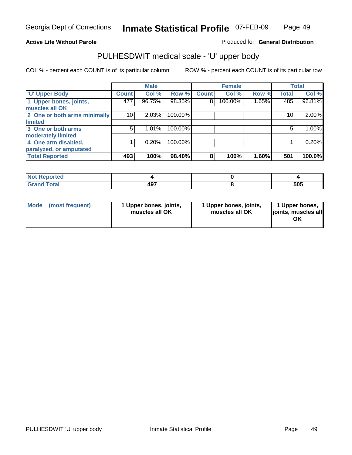### **Active Life Without Parole**

Produced for **General Distribution**

## PULHESDWIT medical scale - 'U' upper body

|                              |              | <b>Male</b> |         |              | <b>Female</b> |       |              | <b>Total</b> |
|------------------------------|--------------|-------------|---------|--------------|---------------|-------|--------------|--------------|
| <b>TU' Upper Body</b>        | <b>Count</b> | Col %       | Row %   | <b>Count</b> | Col %         | Row % | <b>Total</b> | Col %        |
| 1 Upper bones, joints,       | 477          | 96.75%      | 98.35%  | 8            | 100.00%       | 1.65% | 485          | 96.81%       |
| muscles all OK               |              |             |         |              |               |       |              |              |
| 2 One or both arms minimally | 10           | 2.03%       | 100.00% |              |               |       | 10           | $2.00\%$     |
| limited                      |              |             |         |              |               |       |              |              |
| 3 One or both arms           | 5            | 1.01%       | 100.00% |              |               |       | 5            | 1.00%        |
| moderately limited           |              |             |         |              |               |       |              |              |
| 4 One arm disabled,          |              | 0.20%       | 100.00% |              |               |       |              | 0.20%        |
| paralyzed, or amputated      |              |             |         |              |               |       |              |              |
| <b>Total Reported</b>        | 493          | 100%        | 98.40%  | 8            | 100%          | 1.60% | 501          | 100.0%       |

| $-1$<br>τeα<br>'N 6<br>.  |            |     |
|---------------------------|------------|-----|
| T <sub>ofol</sub><br>υιαι | 107<br>131 | 505 |

|  | Mode (most frequent) | 1 Upper bones, joints,<br>muscles all OK | 1 Upper bones, joints,<br>muscles all OK | 1 Upper bones,<br>joints, muscles all<br>OK |
|--|----------------------|------------------------------------------|------------------------------------------|---------------------------------------------|
|--|----------------------|------------------------------------------|------------------------------------------|---------------------------------------------|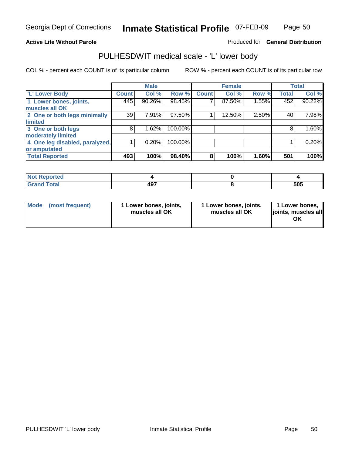### **Active Life Without Parole**

### Produced for **General Distribution**

## PULHESDWIT medical scale - 'L' lower body

|                                |              | <b>Male</b> |         |              | <b>Female</b> |       |              | <b>Total</b> |
|--------------------------------|--------------|-------------|---------|--------------|---------------|-------|--------------|--------------|
| 'L' Lower Body                 | <b>Count</b> | Col %       | Row %   | <b>Count</b> | Col %         | Row % | <b>Total</b> | Col %        |
| 1 Lower bones, joints,         | 445          | 90.26%      | 98.45%  |              | 87.50%        | 1.55% | 452          | 90.22%       |
| muscles all OK                 |              |             |         |              |               |       |              |              |
| 2 One or both legs minimally   | 39           | 7.91%       | 97.50%  |              | 12.50%        | 2.50% | 40           | 7.98%        |
| limited                        |              |             |         |              |               |       |              |              |
| 3 One or both legs             | 8            | 1.62%       | 100.00% |              |               |       | 8            | 1.60%        |
| moderately limited             |              |             |         |              |               |       |              |              |
| 4 One leg disabled, paralyzed, |              | 0.20%       | 100.00% |              |               |       |              | 0.20%        |
| or amputated                   |              |             |         |              |               |       |              |              |
| <b>Total Reported</b>          | 493          | 100%        | 98.40%  | 8            | 100%          | 1.60% | 501          | 100%         |

| <b>norted</b><br>NG    |            |     |
|------------------------|------------|-----|
| <b>Total</b><br>------ | 107<br>וטי | 505 |

|  | Mode (most frequent) | 1 Lower bones, joints,<br>muscles all OK | 1 Lower bones, joints,<br>muscles all OK | 1 Lower bones,<br>joints, muscles all<br>OK |
|--|----------------------|------------------------------------------|------------------------------------------|---------------------------------------------|
|--|----------------------|------------------------------------------|------------------------------------------|---------------------------------------------|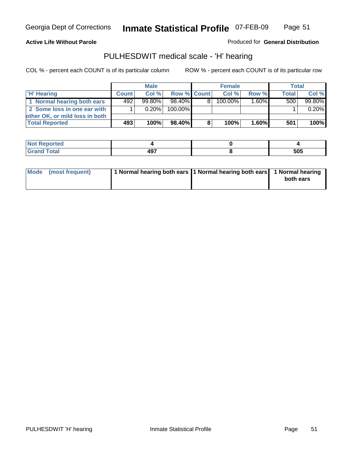### **Active Life Without Parole**

Produced for **General Distribution**

## PULHESDWIT medical scale - 'H' hearing

|                                |              | <b>Male</b> |             |    | <b>Female</b> |          | Total            |        |
|--------------------------------|--------------|-------------|-------------|----|---------------|----------|------------------|--------|
| 'H' Hearing                    | <b>Count</b> | Col%        | Row % Count |    | Col%          | Row %    | <b>Total</b>     | Col %  |
| 1 Normal hearing both ears     | 492          | $99.80\%$   | 98.40%      | 81 | 100.00%       | 1.60%    | 500 <sub>1</sub> | 99.80% |
| 2 Some loss in one ear with    |              | $0.20\%$    | 100.00%     |    |               |          |                  | 0.20%  |
| other OK, or mild loss in both |              |             |             |    |               |          |                  |        |
| <b>Total Reported</b>          | 493          | 100%        | 98.40%      |    | 100%          | $1.60\%$ | 501              | 100%   |

| ∘rted                 |                  |     |
|-----------------------|------------------|-----|
| <b>otal</b><br>______ | 107<br>$\cdot$ . | 505 |

| 1 Normal hearing both ears 1 Normal hearing both ears 1 Normal hearing<br>Mode (most frequent)<br>both ears |
|-------------------------------------------------------------------------------------------------------------|
|-------------------------------------------------------------------------------------------------------------|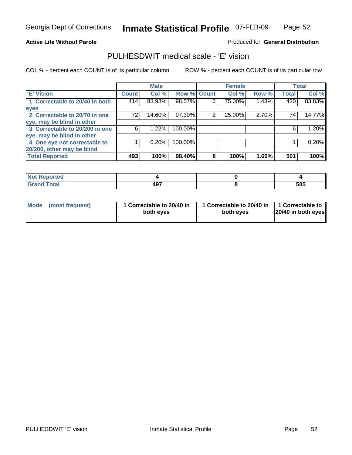Page 52

### **Active Life Without Parole**

### Produced for **General Distribution**

## PULHESDWIT medical scale - 'E' vision

|                                |              | <b>Male</b> |             |   | <b>Female</b> |       |              | <b>Total</b> |
|--------------------------------|--------------|-------------|-------------|---|---------------|-------|--------------|--------------|
| 'E' Vision                     | <b>Count</b> | Col %       | Row % Count |   | Col %         | Row % | <b>Total</b> | Col %        |
| 1 Correctable to 20/40 in both | 414          | 83.98%      | 98.57%      | 6 | 75.00%        | 1.43% | 420          | 83.83%       |
| eyes                           |              |             |             |   |               |       |              |              |
| 2 Correctable to 20/70 in one  | 72           | 14.60%      | 97.30%      | 2 | 25.00%        | 2.70% | 74           | 14.77%       |
| eye, may be blind in other     |              |             |             |   |               |       |              |              |
| 3 Correctable to 20/200 in one | 6            | 1.22%       | 100.00%     |   |               |       | 6            | 1.20%        |
| eye, may be blind in other     |              |             |             |   |               |       |              |              |
| 4 One eye not correctable to   |              | 0.20%       | 100.00%     |   |               |       |              | 0.20%        |
| 20/200, other may be blind     |              |             |             |   |               |       |              |              |
| <b>Total Reported</b>          | 493          | 100%        | 98.40%      | 8 | 100%          | 1.60% | 501          | 100%         |

| <b>Not Reported</b>  |            |     |
|----------------------|------------|-----|
| <b>Total</b><br>Cron | 107<br>491 | 505 |

| Mode (most frequent) | 1 Correctable to 20/40 in<br>both eves | 1 Correctable to 20/40 in   1 Correctable to  <br>both eves | 20/40 in both eyes |
|----------------------|----------------------------------------|-------------------------------------------------------------|--------------------|
|----------------------|----------------------------------------|-------------------------------------------------------------|--------------------|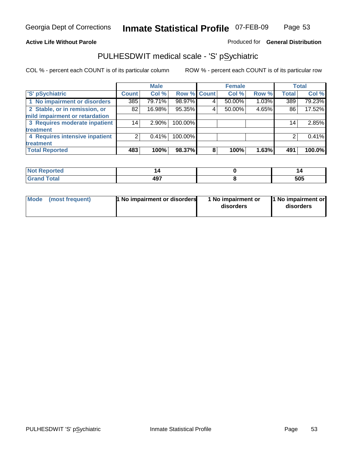## **Active Life Without Parole**

## Produced for **General Distribution**

## PULHESDWIT medical scale - 'S' pSychiatric

|                                |              | <b>Male</b> |             |   | <b>Female</b> |       |              | <b>Total</b> |
|--------------------------------|--------------|-------------|-------------|---|---------------|-------|--------------|--------------|
| 'S' pSychiatric                | <b>Count</b> | Col %       | Row % Count |   | Col %         | Row % | <b>Total</b> | Col %        |
| 1 No impairment or disorders   | 385          | 79.71%      | 98.97%      |   | 50.00%        | 1.03% | 389          | 79.23%       |
| 2 Stable, or in remission, or  | 82           | 16.98%      | 95.35%      | 4 | 50.00%        | 4.65% | 86           | 17.52%       |
| mild impairment or retardation |              |             |             |   |               |       |              |              |
| 3 Requires moderate inpatient  | 14           | $2.90\%$    | 100.00%     |   |               |       | 14           | 2.85%        |
| treatment                      |              |             |             |   |               |       |              |              |
| 4 Requires intensive inpatient | 2            | $0.41\%$    | 100.00%     |   |               |       |              | 0.41%        |
| treatment                      |              |             |             |   |               |       |              |              |
| <b>Total Reported</b>          | 483          | 100%        | 98.37%      | 8 | 100%          | 1.63% | 491          | 100.0%       |

| prieo       |           |     |
|-------------|-----------|-----|
| <b>otal</b> | 107<br>13 | 505 |

| <b>1 No impairment or disorders</b> | 1 No impairment or | 1 No impairment or |
|-------------------------------------|--------------------|--------------------|
| Mode (most frequent)                | disorders          | disorders          |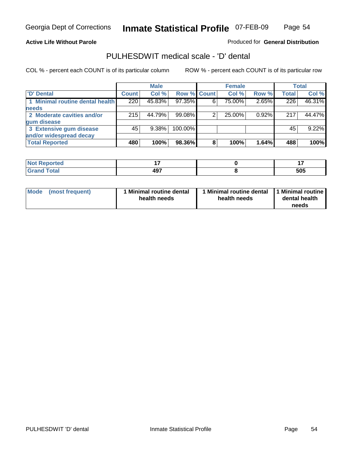Page 54

### **Active Life Without Parole**

Produced for **General Distribution**

## PULHESDWIT medical scale - 'D' dental

|                                 |              | <b>Male</b> |             |   | <b>Female</b> |       |              | <b>Total</b> |
|---------------------------------|--------------|-------------|-------------|---|---------------|-------|--------------|--------------|
| <b>D'</b> Dental                | <b>Count</b> | Col %       | Row % Count |   | Col %         | Row % | <b>Total</b> | Col %        |
| 1 Minimal routine dental health | 220          | 45.83%      | 97.35%      | 6 | 75.00%        | 2.65% | 226          | 46.31%       |
| <b>needs</b>                    |              |             |             |   |               |       |              |              |
| 2 Moderate cavities and/or      | 215          | 44.79%      | 99.08%      |   | 25.00%        | 0.92% | 217          | 44.47%       |
| gum disease                     |              |             |             |   |               |       |              |              |
| 3 Extensive gum disease         | 45           | $9.38\%$    | 100.00%     |   |               |       | 45           | 9.22%        |
| and/or widespread decay         |              |             |             |   |               |       |              |              |
| <b>Total Reported</b>           | 480          | 100%        | 98.36%      | 8 | 100%          | 1.64% | 488          | 100%         |

| <b>The Country of Country Country</b><br>тео | - -<br>.          | . .        |
|----------------------------------------------|-------------------|------------|
| Total                                        | ៱៱៹<br>13<br>$ -$ | EOE<br>ວບວ |

| Mode (most frequent) | <b>Minimal routine dental</b><br>health needs | 1 Minimal routine dental<br>health needs | 1 Minimal routine<br>dental health<br>needs |
|----------------------|-----------------------------------------------|------------------------------------------|---------------------------------------------|
|----------------------|-----------------------------------------------|------------------------------------------|---------------------------------------------|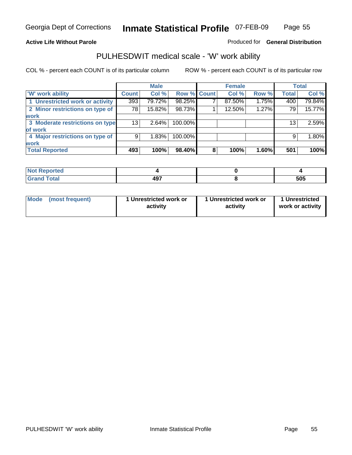**Active Life Without Parole** 

Produced for **General Distribution**

## PULHESDWIT medical scale - 'W' work ability

|                                 |              | <b>Male</b> |                    |   | <b>Female</b> |       |              | <b>Total</b> |
|---------------------------------|--------------|-------------|--------------------|---|---------------|-------|--------------|--------------|
| <b>W' work ability</b>          | <b>Count</b> | Col %       | <b>Row % Count</b> |   | Col %         | Row % | <b>Total</b> | Col %        |
| 1 Unrestricted work or activity | 393          | 79.72%      | 98.25%             |   | 87.50%        | 1.75% | 400          | 79.84%       |
| 2 Minor restrictions on type of | 781          | 15.82%      | 98.73%             |   | 12.50%        | 1.27% | 79           | 15.77%       |
| <b>work</b>                     |              |             |                    |   |               |       |              |              |
| 3 Moderate restrictions on type | 131          | 2.64%       | 100.00%            |   |               |       | 13           | 2.59%        |
| of work                         |              |             |                    |   |               |       |              |              |
| 4 Major restrictions on type of | 9            | 1.83%       | 100.00%            |   |               |       | 9            | 1.80%        |
| <b>work</b>                     |              |             |                    |   |               |       |              |              |
| <b>Total Reported</b>           | 493          | 100%        | 98.40%             | 8 | 100%          | 1.60% | 501          | 100%         |

| <b>Reported</b><br>. |            |     |
|----------------------|------------|-----|
| <b>Total</b><br>r.,  | 407<br>491 | 505 |

| Mode            | 1 Unrestricted work or | 1 Unrestricted work or | 1 Unrestricted   |
|-----------------|------------------------|------------------------|------------------|
| (most frequent) | activity               | activity               | work or activity |
|                 |                        |                        |                  |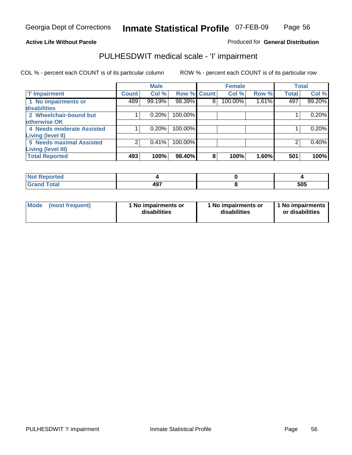## Page 56

### **Active Life Without Parole**

### Produced for **General Distribution**

## PULHESDWIT medical scale - 'I' impairment

|                                            |              | <b>Male</b> |                    |   | <b>Female</b> |       |              | <b>Total</b> |
|--------------------------------------------|--------------|-------------|--------------------|---|---------------|-------|--------------|--------------|
| <b>T' Impairment</b>                       | <b>Count</b> | Col %       | <b>Row % Count</b> |   | Col %         | Row % | <b>Total</b> | Col %        |
| 1 No impairments or<br><b>disabilities</b> | 489          | 99.19%      | 98.39%             | 8 | 100.00%       | 1.61% | 497          | 99.20%       |
| 2 Wheelchair-bound but                     |              | 0.20%       | 100.00%            |   |               |       |              | 0.20%        |
| otherwise OK                               |              |             |                    |   |               |       |              |              |
| 4 Needs moderate Assisted                  |              | 0.20%       | 100.00%            |   |               |       |              | 0.20%        |
| <b>Living (level II)</b>                   |              |             |                    |   |               |       |              |              |
| <b>5 Needs maximal Assisted</b>            |              | 0.41%       | 100.00%            |   |               |       |              | 0.40%        |
| <b>Living (level III)</b>                  |              |             |                    |   |               |       |              |              |
| <b>Total Reported</b>                      | 493          | 100%        | 98.40%             | 8 | 100%          | 1.60% | 501          | 100%         |

| Reported            |     |            |
|---------------------|-----|------------|
| <b>Total</b><br>Gra | 497 | ENE<br>ວບວ |

| Mode | (most frequent) | 1 No impairments or<br>disabilities | 1 No impairments or<br>disabilities | 1 No impairments  <br>or disabilities |
|------|-----------------|-------------------------------------|-------------------------------------|---------------------------------------|
|------|-----------------|-------------------------------------|-------------------------------------|---------------------------------------|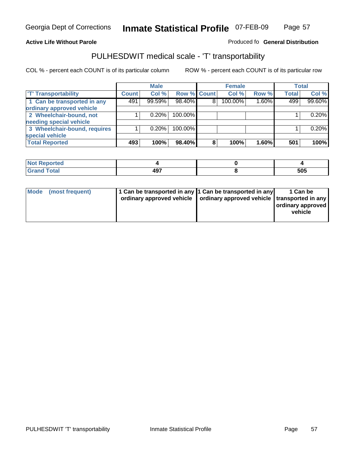### **Inmate Statistical Profile** 07-FEB-09 Page Page 57

### **Active Life Without Parole Produced fo Seneral Distribution**

## PULHESDWIT medical scale - 'T' transportability

|                              |              | <b>Male</b> |             |   | <b>Female</b> |          |              | <b>Total</b> |
|------------------------------|--------------|-------------|-------------|---|---------------|----------|--------------|--------------|
| <b>T' Transportability</b>   | <b>Count</b> | Col %       | Row % Count |   | Col %         | Row %    | <b>Total</b> | Col %        |
| 1 Can be transported in any  | 491          | 99.59%      | 98.40%      | 8 | 100.00%       | $1.60\%$ | 499          | 99.60%       |
| ordinary approved vehicle    |              |             |             |   |               |          |              |              |
| 2 Wheelchair-bound, not      |              | 0.20%       | 100.00%     |   |               |          |              | 0.20%        |
| needing special vehicle      |              |             |             |   |               |          |              |              |
| 3 Wheelchair-bound, requires |              | 0.20%       | 100.00%     |   |               |          |              | 0.20%        |
| special vehicle              |              |             |             |   |               |          |              |              |
| <b>Total Reported</b>        | 493          | 100%        | 98.40%      | 8 | 100%          | 1.60%    | 501          | 100%         |

| <b>Reported</b><br><b>NOT</b> |                             |            |
|-------------------------------|-----------------------------|------------|
| <b>c</b> otal                 | ៱៱៹<br><u>тм.</u><br>$   -$ | にハに<br>JUJ |

| Mode (most frequent) | 1 Can be transported in any 1 Can be transported in any | ordinary approved vehicle   ordinary approved vehicle   transported in any | 1 Can be<br>  ordinary approved  <br>vehicle |
|----------------------|---------------------------------------------------------|----------------------------------------------------------------------------|----------------------------------------------|
|----------------------|---------------------------------------------------------|----------------------------------------------------------------------------|----------------------------------------------|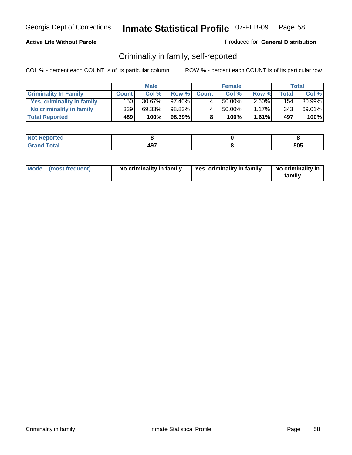### **Active Life Without Parole**

### Produced for **General Distribution**

## Criminality in family, self-reported

|                              |              | <b>Male</b> |        |              | <b>Female</b> |          |              | Total     |
|------------------------------|--------------|-------------|--------|--------------|---------------|----------|--------------|-----------|
| <b>Criminality In Family</b> | <b>Count</b> | Col %       | Row %  | <b>Count</b> | Col %         | Row %    | <b>Total</b> | Col %     |
| Yes, criminality in family   | 150 l        | $30.67\%$   | 97.40% | 4            | 50.00%        | $2.60\%$ | 154          | $30.99\%$ |
| No criminality in family     | 339          | 69.33%      | 98.83% | 4            | 50.00%        | $1.17\%$ | 343          | 69.01%    |
| <b>Total Reported</b>        | 489          | 100%        | 98.39% | 8            | 100%          | 1.61%    | 497          | 100%      |

| oorted<br><b>NOT</b><br>יסרו . |                     |     |
|--------------------------------|---------------------|-----|
| $\sim$ $\sim$<br>Grar<br>---   | 107<br>TJ 1<br>$ -$ | 505 |

| Mode (most frequent) |  | No criminality in family | Yes, criminality in family | No criminality in<br>family |
|----------------------|--|--------------------------|----------------------------|-----------------------------|
|----------------------|--|--------------------------|----------------------------|-----------------------------|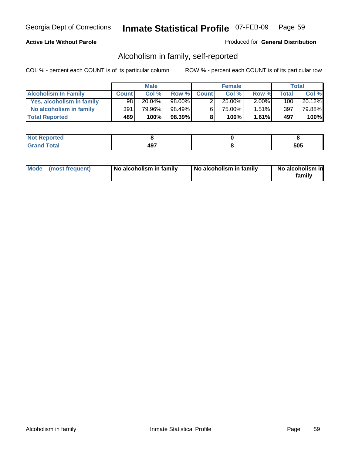### **Active Life Without Parole**

### Produced for **General Distribution**

## Alcoholism in family, self-reported

|                             |              | <b>Male</b> |        |              | <b>Female</b> |          |       | Total  |
|-----------------------------|--------------|-------------|--------|--------------|---------------|----------|-------|--------|
| <b>Alcoholism In Family</b> | <b>Count</b> | Col %       | Row %  | <b>Count</b> | Col %         | Row %    | Total | Col %  |
| Yes, alcoholism in family   | 98           | 20.04%      | 98.00% |              | $25.00\%$     | $2.00\%$ | 100   | 20.12% |
| No alcoholism in family     | 391          | 79.96%      | 98.49% | 6            | 75.00%        | $1.51\%$ | 397   | 79.88% |
| <b>Total Reported</b>       | 489          | 100%        | 98.39% | 8            | 100%          | $1.61\%$ | 497   | 100%   |

| oorted<br><b>NOT</b><br><b>IVGI</b> |             |            |
|-------------------------------------|-------------|------------|
| Total<br>Gran<br>---                | 497<br>$ -$ | rar<br>JUJ |

|  | Mode (most frequent) | No alcoholism in family | No alcoholism in family | No alcoholism in<br>familv |
|--|----------------------|-------------------------|-------------------------|----------------------------|
|--|----------------------|-------------------------|-------------------------|----------------------------|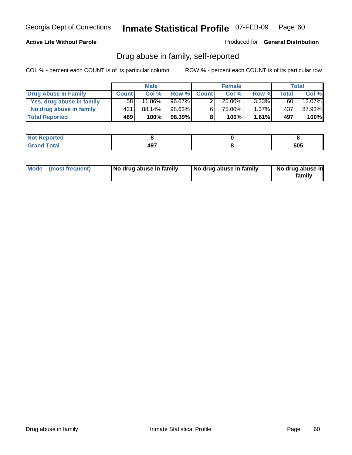### **Active Life Without Parole**

Produced for **General Distribution**

## Drug abuse in family, self-reported

|                           |              | <b>Male</b>            |        |              | <b>Female</b> |          |       | <b>Total</b> |
|---------------------------|--------------|------------------------|--------|--------------|---------------|----------|-------|--------------|
| Drug Abuse In Family      | <b>Count</b> | Col %                  | Row %  | <b>Count</b> | Col %         | Row %    | Total | Col %        |
| Yes, drug abuse in family | 58 I         | $11.\overline{86\%}$ i | 96.67% | ົ            | 25.00%        | $3.33\%$ | 60    | 12.07%       |
| No drug abuse in family   | 431          | $88.14\%$              | 98.63% | 6'           | 75.00%        | $1.37\%$ | 437   | 87.93%       |
| <b>Total Reported</b>     | 489          | 100%                   | 98.39% | 8            | 100%          | 1.61%    | 497   | 100%         |

| oorted<br><b>NOT</b><br><b>IVGI</b> |             |            |
|-------------------------------------|-------------|------------|
| Total<br>Gran<br>---                | 497<br>$ -$ | rar<br>JUJ |

|  | Mode (most frequent) | No drug abuse in family | No drug abuse in family | No drug abuse in<br>family |
|--|----------------------|-------------------------|-------------------------|----------------------------|
|--|----------------------|-------------------------|-------------------------|----------------------------|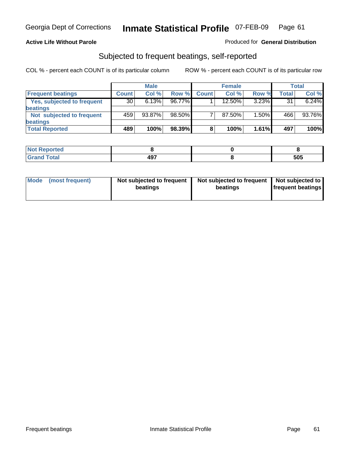### **Active Life Without Parole**

### Produced for **General Distribution**

## Subjected to frequent beatings, self-reported

|                            |              | <b>Male</b> |        |              | <b>Female</b> |       |       | <b>Total</b> |
|----------------------------|--------------|-------------|--------|--------------|---------------|-------|-------|--------------|
| <b>Frequent beatings</b>   | <b>Count</b> | Col%        | Row %  | <b>Count</b> | Col%          | Row % | Total | Col %        |
| Yes, subjected to frequent | 30           | 6.13%       | 96.77% |              | 12.50%        | 3.23% | 31    | 6.24%        |
| beatings                   |              |             |        |              |               |       |       |              |
| Not subjected to frequent  | 459'         | $93.87\%$   | 98.50% |              | 87.50%        | 1.50% | 466   | 93.76%       |
| beatings                   |              |             |        |              |               |       |       |              |
| <b>Total Reported</b>      | 489          | 100%        | 98.39% | 8            | 100%          | 1.61% | 497   | 100%         |

| Not Reported                      |     |     |
|-----------------------------------|-----|-----|
| T <sub>ofol</sub><br><b>Crops</b> | 497 | 505 |

| Mode<br>(most frequent) | beatings | Not subjected to frequent | Not subjected to frequent<br>beatings | Not subjected to<br><b>frequent beatings</b> |
|-------------------------|----------|---------------------------|---------------------------------------|----------------------------------------------|
|                         |          |                           |                                       |                                              |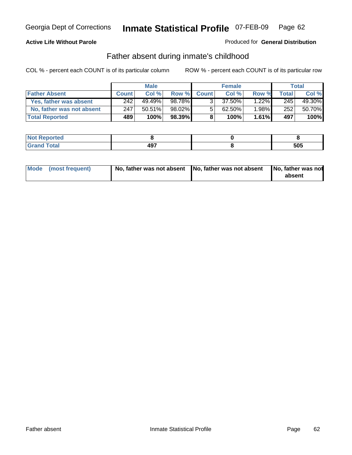### **Active Life Without Parole**

### Produced for **General Distribution**

## Father absent during inmate's childhood

|                           |              | <b>Male</b> |         |              | <b>Female</b> |          |       | Total  |
|---------------------------|--------------|-------------|---------|--------------|---------------|----------|-------|--------|
| <b>Father Absent</b>      | <b>Count</b> | Col %       | Row %   | <b>Count</b> | Col %         | Row %    | Total | Col %  |
| Yes, father was absent    | 242          | 49.49%      | 98.78%  | ર            | 37.50%        | $1.22\%$ | 245   | 49.30% |
| No, father was not absent | 247          | 50.51%      | 98.02%  | 5            | 62.50%        | $.98\%$  | 252   | 50.70% |
| <b>Total Reported</b>     | 489          | 100%        | 98.39%I | 8            | 100%          | 1.61%    | 497   | 100%   |

| <b>Not Reported</b>  |                   |     |
|----------------------|-------------------|-----|
| <b>Total</b><br>Gran | 407<br>т.<br>$ -$ | 505 |

| Mode (most frequent) |  | 「No, father was not absent ┃No, father was not absent ┃No, father was not | absent |
|----------------------|--|---------------------------------------------------------------------------|--------|
|----------------------|--|---------------------------------------------------------------------------|--------|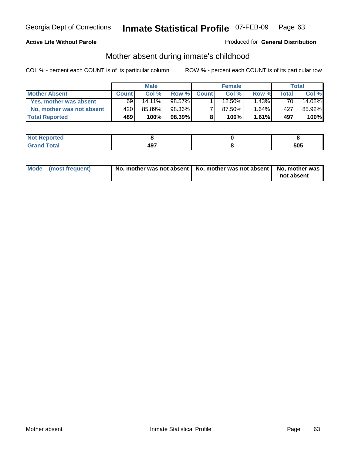### **Active Life Without Parole**

### Produced for **General Distribution**

# Mother absent during inmate's childhood

|                           |              | <b>Male</b> |        |              | <b>Female</b> |          |       | Total  |
|---------------------------|--------------|-------------|--------|--------------|---------------|----------|-------|--------|
| <b>Mother Absent</b>      | <b>Count</b> | Col %       | Row %  | <b>Count</b> | Col %         | Row %    | Total | Col %  |
| Yes, mother was absent    | 69           | $14.11\%$   | 98.57% |              | $12.50\%$     | $1.43\%$ | 70    | 14.08% |
| No, mother was not absent | 420          | 85.89%      | 98.36% |              | 87.50%        | 1.64%    | 427   | 85.92% |
| <b>Total Reported</b>     | 489          | 100%        | 98.39% | 8            | 100%          | 1.61%    | 497   | 100%   |

| Reported     |            |     |
|--------------|------------|-----|
| <b>Total</b> | 107<br>4J. | 505 |

| Mode (most frequent) | No, mother was not absent   No, mother was not absent   No, mother was | not absent |
|----------------------|------------------------------------------------------------------------|------------|
|----------------------|------------------------------------------------------------------------|------------|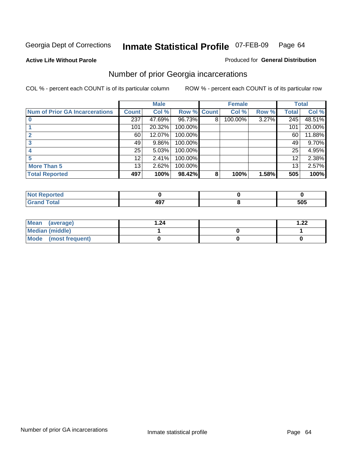**Active Life Without Parole** 

### Produced for **General Distribution**

## Number of prior Georgia incarcerations

|                                |                 | <b>Male</b> |                    |   | <b>Female</b> |       |       | <b>Total</b> |
|--------------------------------|-----------------|-------------|--------------------|---|---------------|-------|-------|--------------|
| Num of Prior GA Incarcerations | <b>Count</b>    | Col %       | <b>Row % Count</b> |   | Col %         | Row % | Total | Col %        |
|                                | 237             | 47.69%      | 96.73%             | 8 | 100.00%       | 3.27% | 245   | 48.51%       |
|                                | 101             | 20.32%      | 100.00%            |   |               |       | 101   | 20.00%       |
|                                | 60              | 12.07%      | 100.00%            |   |               |       | 60    | 11.88%       |
|                                | 49              | 9.86%       | 100.00%            |   |               |       | 49    | 9.70%        |
|                                | 25              | 5.03%       | 100.00%            |   |               |       | 25    | 4.95%        |
|                                | 12 <sup>2</sup> | 2.41%       | 100.00%            |   |               |       | 12    | 2.38%        |
| <b>More Than 5</b>             | 13 <sub>1</sub> | 2.62%       | 100.00%            |   |               |       | 13    | 2.57%        |
| <b>Total Reported</b>          | 497             | 100%        | 98.42%             | 8 | 100%          | 1.58% | 505   | 100%         |

| <u>sseppried</u><br>- 13 |     |     |
|--------------------------|-----|-----|
| <b>otal</b><br>$\sim$    | "~~ | 505 |

| Mean (average)       | 24. ا | ົດດ<br>$-1$ |
|----------------------|-------|-------------|
| Median (middle)      |       |             |
| Mode (most frequent) |       |             |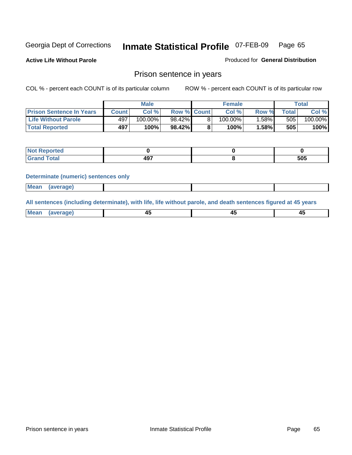**Active Life Without Parole** 

Produced for **General Distribution**

## Prison sentence in years

COL % - percent each COUNT is of its particular column ROW % - percent each COUNT is of its particular row

|                                 |         | <b>Male</b> |                    | <b>Female</b> |       |             | <b>Total</b> |
|---------------------------------|---------|-------------|--------------------|---------------|-------|-------------|--------------|
| <b>Prison Sentence In Years</b> | Count l | Col %       | <b>Row % Count</b> | Col %         | Row % | $\tau$ otal | Col %        |
| <b>Life Without Parole</b>      | 497     | 100.00%     | 98.42%             | $100.00\%$    | .58%  | 505         | 100.00%      |
| <b>Total Reported</b>           | 497     | 100%        | 98.42%             | 100%          | 1.58% | 505         | 100%         |

| Reported                                   |            |     |
|--------------------------------------------|------------|-----|
| <b>Total</b><br>"Gran.<br>$\mathbf{v}$ and | כמו<br>-31 | 505 |

### **Determinate (numeric) sentences only**

|--|

**All sentences (including determinate), with life, life without parole, and death sentences figured at 45 years**

| Me:<br>апет<br>.<br>᠇<br>$\sim$ | -- | т.<br>$\sim$ |
|---------------------------------|----|--------------|
|---------------------------------|----|--------------|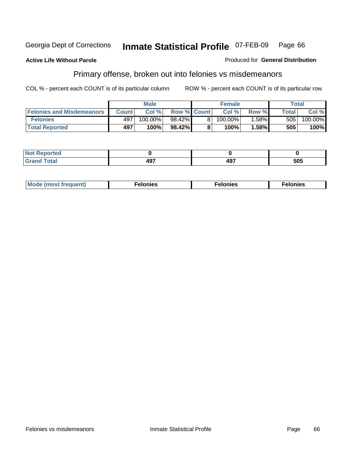### **Active Life Without Parole**

### Produced for **General Distribution**

# Primary offense, broken out into felonies vs misdemeanors

|                                  | <b>Male</b>  |         |                    | <b>Female</b> | Total |              |                       |
|----------------------------------|--------------|---------|--------------------|---------------|-------|--------------|-----------------------|
| <b>Felonies and Misdemeanors</b> | <b>Count</b> | Col%    | <b>Row % Count</b> | Col%          | Row % | <b>Total</b> | Col %                 |
| <b>Felonies</b>                  | 497          | 100.00% | 98.42%             | 100.00%       | .58%  | 505          | $100.\overline{00\%}$ |
| <b>Total Reported</b>            | 497          | 100%    | 98.42%I            | 100%          | .58%  | 505          | 100%                  |

| <b>Not</b><br>orted |         |      |     |
|---------------------|---------|------|-----|
| Grat                | $- - -$ | 107  | 505 |
| -----               | 1J I    | TV 1 |     |

| M<br>$\cdots$<br>пю.<br>. | nies<br>. | . |
|---------------------------|-----------|---|
|---------------------------|-----------|---|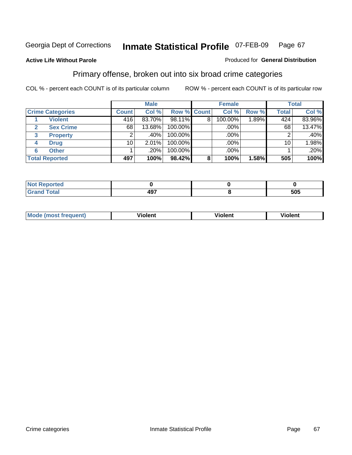### **Active Life Without Parole**

### Produced for **General Distribution**

## Primary offense, broken out into six broad crime categories

|                         | <b>Male</b>     |          |             | <b>Female</b> |         |          | <b>Total</b> |         |  |
|-------------------------|-----------------|----------|-------------|---------------|---------|----------|--------------|---------|--|
| <b>Crime Categories</b> | <b>Count</b>    | Col %    | Row % Count |               | Col %   | Row %    | <b>Total</b> | Col %   |  |
| <b>Violent</b>          | 416             | 83.70%   | 98.11%      | 8             | 100.00% | $1.89\%$ | 424          | 83.96%  |  |
| <b>Sex Crime</b><br>2   | 68              | 13.68%   | 100.00%     |               | .00%    |          | 68           | 13.47%  |  |
| <b>Property</b><br>3    |                 | $.40\%$  | 100.00%     |               | .00%    |          |              | $.40\%$ |  |
| <b>Drug</b><br>4        | 10 <sup>1</sup> | $2.01\%$ | 100.00%     |               | .00%    |          | 10           | 1.98%   |  |
| <b>Other</b><br>6       |                 | .20%     | 100.00%     |               | .00%    |          |              | .20%    |  |
| <b>Total Reported</b>   | 497             | 100%     | 98.42%      | 8             | 100%    | 1.58%    | 505          | 100%    |  |

| Reported<br>NG<br>.         |     |     |
|-----------------------------|-----|-----|
| <b>Total</b><br><b>CHAH</b> | 497 | 505 |

| Mo | n n | winlor" | ılen' |
|----|-----|---------|-------|
|    |     |         |       |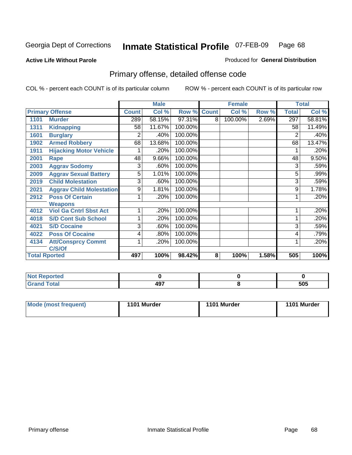### **Active Life Without Parole**

### Produced for **General Distribution**

# Primary offense, detailed offense code

|      |                                 |              | <b>Male</b> |             |   | <b>Female</b> |       |              | <b>Total</b> |
|------|---------------------------------|--------------|-------------|-------------|---|---------------|-------|--------------|--------------|
|      | <b>Primary Offense</b>          | <b>Count</b> | Col %       | Row % Count |   | Col %         | Row % | <b>Total</b> | Col %        |
| 1101 | <b>Murder</b>                   | 289          | 58.15%      | 97.31%      | 8 | 100.00%       | 2.69% | 297          | 58.81%       |
| 1311 | <b>Kidnapping</b>               | 58           | 11.67%      | 100.00%     |   |               |       | 58           | 11.49%       |
| 1601 | <b>Burglary</b>                 | 2            | .40%        | 100.00%     |   |               |       | 2            | .40%         |
| 1902 | <b>Armed Robbery</b>            | 68           | 13.68%      | 100.00%     |   |               |       | 68           | 13.47%       |
| 1911 | <b>Hijacking Motor Vehicle</b>  |              | .20%        | 100.00%     |   |               |       |              | .20%         |
| 2001 | Rape                            | 48           | 9.66%       | 100.00%     |   |               |       | 48           | 9.50%        |
| 2003 | <b>Aggrav Sodomy</b>            | 3            | .60%        | 100.00%     |   |               |       | 3            | .59%         |
| 2009 | <b>Aggrav Sexual Battery</b>    | 5            | 1.01%       | 100.00%     |   |               |       | 5            | .99%         |
| 2019 | <b>Child Molestation</b>        | 3            | .60%        | 100.00%     |   |               |       | 3            | .59%         |
| 2021 | <b>Aggrav Child Molestation</b> | 9            | 1.81%       | 100.00%     |   |               |       | 9            | 1.78%        |
| 2912 | <b>Poss Of Certain</b>          |              | .20%        | 100.00%     |   |               |       |              | .20%         |
|      | <b>Weapons</b>                  |              |             |             |   |               |       |              |              |
| 4012 | <b>Viol Ga Cntrl Sbst Act</b>   |              | .20%        | 100.00%     |   |               |       |              | .20%         |
| 4018 | <b>S/D Cont Sub School</b>      | 1            | .20%        | 100.00%     |   |               |       |              | .20%         |
| 4021 | <b>S/D Cocaine</b>              | 3            | .60%        | 100.00%     |   |               |       | 3            | .59%         |
| 4022 | <b>Poss Of Cocaine</b>          | 4            | .80%        | 100.00%     |   |               |       | 4            | .79%         |
| 4134 | <b>Att/Consprcy Commt</b>       | 1            | .20%        | 100.00%     |   |               |       | 1            | .20%         |
|      | C/S/Of                          |              |             |             |   |               |       |              |              |
|      | <b>Total Rported</b>            | 497          | 100%        | 98.42%      | 8 | 100%          | 1.58% | 505          | 100%         |

| Reported               |     |     |
|------------------------|-----|-----|
| <b>fotal</b><br>$\sim$ | 497 | 505 |

| Mode (most frequent) | 1101 Murder | 1101 Murder | 1101 Murder |
|----------------------|-------------|-------------|-------------|
|----------------------|-------------|-------------|-------------|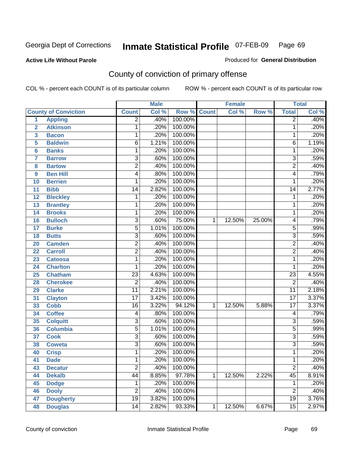### **Active Life Without Parole**

### Produced for **General Distribution**

# County of conviction of primary offense

|                |                             |                 | <b>Male</b> |         |              | <b>Female</b> |        |                 | <b>Total</b> |
|----------------|-----------------------------|-----------------|-------------|---------|--------------|---------------|--------|-----------------|--------------|
|                | <b>County of Conviction</b> | <b>Count</b>    | Col %       | Row %   | <b>Count</b> | Col %         | Row %  | <b>Total</b>    | Col %        |
| 1              | <b>Appling</b>              | $\overline{2}$  | .40%        | 100.00% |              |               |        | $\overline{2}$  | .40%         |
| $\overline{2}$ | <b>Atkinson</b>             | 1               | .20%        | 100.00% |              |               |        | 1               | .20%         |
| 3              | <b>Bacon</b>                | 1               | .20%        | 100.00% |              |               |        | 1               | .20%         |
| 5              | <b>Baldwin</b>              | $\overline{6}$  | 1.21%       | 100.00% |              |               |        | 6               | 1.19%        |
| 6              | <b>Banks</b>                | 1               | .20%        | 100.00% |              |               |        | 1               | .20%         |
| $\overline{7}$ | <b>Barrow</b>               | 3               | .60%        | 100.00% |              |               |        | $\overline{3}$  | .59%         |
| 8              | <b>Bartow</b>               | $\overline{2}$  | .40%        | 100.00% |              |               |        | $\overline{2}$  | .40%         |
| 9              | <b>Ben Hill</b>             | 4               | .80%        | 100.00% |              |               |        | 4               | .79%         |
| 10             | <b>Berrien</b>              | 1               | .20%        | 100.00% |              |               |        | 1               | .20%         |
| 11             | <b>Bibb</b>                 | $\overline{14}$ | 2.82%       | 100.00% |              |               |        | $\overline{14}$ | 2.77%        |
| 12             | <b>Bleckley</b>             | 1               | .20%        | 100.00% |              |               |        | 1               | .20%         |
| 13             | <b>Brantley</b>             | 1               | .20%        | 100.00% |              |               |        | 1               | .20%         |
| 14             | <b>Brooks</b>               | 1               | .20%        | 100.00% |              |               |        | 1               | .20%         |
| 16             | <b>Bulloch</b>              | 3               | .60%        | 75.00%  | $\mathbf{1}$ | 12.50%        | 25.00% | 4               | .79%         |
| 17             | <b>Burke</b>                | $\overline{5}$  | 1.01%       | 100.00% |              |               |        | $\overline{5}$  | .99%         |
| 18             | <b>Butts</b>                | $\overline{3}$  | .60%        | 100.00% |              |               |        | $\overline{3}$  | .59%         |
| 20             | <b>Camden</b>               | $\overline{2}$  | .40%        | 100.00% |              |               |        | $\overline{2}$  | .40%         |
| 22             | <b>Carroll</b>              | $\overline{2}$  | .40%        | 100.00% |              |               |        | $\overline{2}$  | .40%         |
| 23             | <b>Catoosa</b>              | 1               | .20%        | 100.00% |              |               |        | 1               | .20%         |
| 24             | <b>Charlton</b>             | 1               | .20%        | 100.00% |              |               |        | 1               | .20%         |
| 25             | <b>Chatham</b>              | $\overline{23}$ | 4.63%       | 100.00% |              |               |        | $\overline{23}$ | 4.55%        |
| 28             | <b>Cherokee</b>             | $\overline{2}$  | .40%        | 100.00% |              |               |        | $\overline{2}$  | .40%         |
| 29             | <b>Clarke</b>               | $\overline{11}$ | 2.21%       | 100.00% |              |               |        | $\overline{11}$ | 2.18%        |
| 31             | <b>Clayton</b>              | 17              | 3.42%       | 100.00% |              |               |        | $\overline{17}$ | 3.37%        |
| 33             | <b>Cobb</b>                 | 16              | 3.22%       | 94.12%  | 1            | 12.50%        | 5.88%  | $\overline{17}$ | 3.37%        |
| 34             | <b>Coffee</b>               | 4               | .80%        | 100.00% |              |               |        | 4               | .79%         |
| 35             | <b>Colquitt</b>             | $\overline{3}$  | .60%        | 100.00% |              |               |        | $\overline{3}$  | .59%         |
| 36             | <b>Columbia</b>             | $\overline{5}$  | 1.01%       | 100.00% |              |               |        | $\overline{5}$  | .99%         |
| 37             | <b>Cook</b>                 | $\overline{3}$  | .60%        | 100.00% |              |               |        | $\overline{3}$  | .59%         |
| 38             | <b>Coweta</b>               | $\overline{3}$  | .60%        | 100.00% |              |               |        | $\overline{3}$  | .59%         |
| 40             | <b>Crisp</b>                | 1               | .20%        | 100.00% |              |               |        | 1               | .20%         |
| 41             | <b>Dade</b>                 | 1               | .20%        | 100.00% |              |               |        | 1               | .20%         |
| 43             | <b>Decatur</b>              | $\overline{2}$  | .40%        | 100.00% |              |               |        | $\overline{2}$  | .40%         |
| 44             | <b>Dekalb</b>               | $\overline{44}$ | 8.85%       | 97.78%  | $\mathbf{1}$ | 12.50%        | 2.22%  | $\overline{45}$ | 8.91%        |
| 45             | <b>Dodge</b>                | 1               | .20%        | 100.00% |              |               |        | 1               | .20%         |
| 46             | <b>Dooly</b>                | $\overline{2}$  | .40%        | 100.00% |              |               |        | $\overline{2}$  | .40%         |
| 47             | <b>Dougherty</b>            | $\overline{19}$ | 3.82%       | 100.00% |              |               |        | $\overline{19}$ | 3.76%        |
| 48             | <b>Douglas</b>              | $\overline{14}$ | 2.82%       | 93.33%  | 1            | 12.50%        | 6.67%  | $\overline{15}$ | 2.97%        |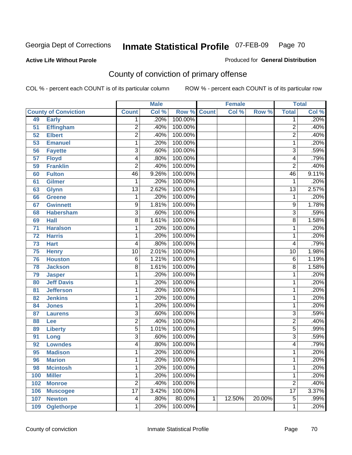### **Active Life Without Parole**

### Produced for **General Distribution**

# County of conviction of primary offense

|     |                             |                         | <b>Male</b> |             |   | <b>Female</b> |        |                 | <b>Total</b> |
|-----|-----------------------------|-------------------------|-------------|-------------|---|---------------|--------|-----------------|--------------|
|     | <b>County of Conviction</b> | <b>Count</b>            | Col %       | Row % Count |   | Col %         | Row %  | <b>Total</b>    | Col %        |
| 49  | <b>Early</b>                | 1                       | .20%        | 100.00%     |   |               |        | 1               | .20%         |
| 51  | <b>Effingham</b>            | 2                       | .40%        | 100.00%     |   |               |        | $\overline{2}$  | .40%         |
| 52  | <b>Elbert</b>               | $\overline{2}$          | .40%        | 100.00%     |   |               |        | $\overline{2}$  | .40%         |
| 53  | <b>Emanuel</b>              | 1                       | .20%        | 100.00%     |   |               |        | 1               | .20%         |
| 56  | <b>Fayette</b>              | 3                       | .60%        | 100.00%     |   |               |        | 3               | .59%         |
| 57  | <b>Floyd</b>                | 4                       | .80%        | 100.00%     |   |               |        | 4               | .79%         |
| 59  | <b>Franklin</b>             | $\overline{2}$          | .40%        | 100.00%     |   |               |        | $\overline{2}$  | .40%         |
| 60  | <b>Fulton</b>               | 46                      | 9.26%       | 100.00%     |   |               |        | 46              | 9.11%        |
| 61  | <b>Gilmer</b>               | 1                       | .20%        | 100.00%     |   |               |        | 1               | .20%         |
| 63  | <b>Glynn</b>                | $\overline{13}$         | 2.62%       | 100.00%     |   |               |        | $\overline{13}$ | 2.57%        |
| 66  | <b>Greene</b>               | 1                       | .20%        | 100.00%     |   |               |        | $\mathbf 1$     | .20%         |
| 67  | <b>Gwinnett</b>             | 9                       | 1.81%       | 100.00%     |   |               |        | 9               | 1.78%        |
| 68  | <b>Habersham</b>            | 3                       | .60%        | 100.00%     |   |               |        | $\overline{3}$  | .59%         |
| 69  | <b>Hall</b>                 | 8                       | 1.61%       | 100.00%     |   |               |        | 8               | 1.58%        |
| 71  | <b>Haralson</b>             | 1                       | .20%        | 100.00%     |   |               |        | 1               | .20%         |
| 72  | <b>Harris</b>               | 1                       | .20%        | 100.00%     |   |               |        | 1               | .20%         |
| 73  | <b>Hart</b>                 | 4                       | .80%        | 100.00%     |   |               |        | 4               | .79%         |
| 75  | <b>Henry</b>                | $\overline{10}$         | 2.01%       | 100.00%     |   |               |        | 10              | 1.98%        |
| 76  | <b>Houston</b>              | 6                       | 1.21%       | 100.00%     |   |               |        | 6               | 1.19%        |
| 78  | <b>Jackson</b>              | 8                       | 1.61%       | 100.00%     |   |               |        | 8               | 1.58%        |
| 79  | <b>Jasper</b>               | 1                       | .20%        | 100.00%     |   |               |        | 1               | .20%         |
| 80  | <b>Jeff Davis</b>           | 1                       | .20%        | 100.00%     |   |               |        | 1               | .20%         |
| 81  | <b>Jefferson</b>            | 1                       | .20%        | 100.00%     |   |               |        | 1               | .20%         |
| 82  | <b>Jenkins</b>              | 1                       | .20%        | 100.00%     |   |               |        | 1               | .20%         |
| 84  | <b>Jones</b>                | 1                       | .20%        | 100.00%     |   |               |        | 1               | .20%         |
| 87  | <b>Laurens</b>              | 3                       | .60%        | 100.00%     |   |               |        | 3               | .59%         |
| 88  | Lee                         | $\overline{2}$          | .40%        | 100.00%     |   |               |        | $\overline{2}$  | .40%         |
| 89  | <b>Liberty</b>              | $\overline{5}$          | 1.01%       | 100.00%     |   |               |        | $\overline{5}$  | .99%         |
| 91  | Long                        | $\overline{3}$          | .60%        | 100.00%     |   |               |        | $\overline{3}$  | .59%         |
| 92  | <b>Lowndes</b>              | 4                       | .80%        | 100.00%     |   |               |        | 4               | .79%         |
| 95  | <b>Madison</b>              | 1                       | .20%        | 100.00%     |   |               |        | 1               | .20%         |
| 96  | <b>Marion</b>               | 1                       | .20%        | 100.00%     |   |               |        | 1               | .20%         |
| 98  | <b>Mcintosh</b>             | 1                       | .20%        | 100.00%     |   |               |        | 1               | .20%         |
| 100 | <b>Miller</b>               | 1                       | .20%        | 100.00%     |   |               |        | 1               | .20%         |
| 102 | <b>Monroe</b>               | $\overline{2}$          | .40%        | 100.00%     |   |               |        | $\overline{2}$  | .40%         |
| 106 | <b>Muscogee</b>             | $\overline{17}$         | 3.42%       | 100.00%     |   |               |        | $\overline{17}$ | 3.37%        |
| 107 | <b>Newton</b>               | $\overline{\mathbf{4}}$ | .80%        | 80.00%      | 1 | 12.50%        | 20.00% | $\overline{5}$  | .99%         |
| 109 | <b>Oglethorpe</b>           | 1                       | .20%        | 100.00%     |   |               |        | 1               | .20%         |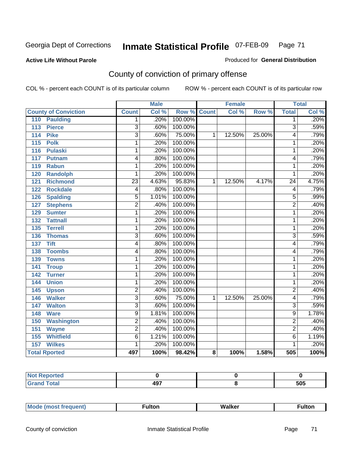### **Active Life Without Parole**

### Produced for **General Distribution**

# County of conviction of primary offense

|                                     | <b>Male</b>     |       | <b>Female</b>      |   |        | <b>Total</b> |                 |       |
|-------------------------------------|-----------------|-------|--------------------|---|--------|--------------|-----------------|-------|
| <b>County of Conviction</b>         | <b>Count</b>    | Col % | <b>Row % Count</b> |   | Col %  | Row %        | <b>Total</b>    | Col % |
| 110<br><b>Paulding</b>              | 1               | .20%  | 100.00%            |   |        |              | $\overline{1}$  | .20%  |
| $\overline{113}$<br><b>Pierce</b>   | $\overline{3}$  | .60%  | 100.00%            |   |        |              | $\overline{3}$  | .59%  |
| <b>Pike</b><br>114                  | $\overline{3}$  | .60%  | 75.00%             | 1 | 12.50% | 25.00%       | 4               | .79%  |
| $\overline{115}$<br><b>Polk</b>     | 1               | .20%  | 100.00%            |   |        |              | 1               | .20%  |
| $\frac{116}{116}$<br><b>Pulaski</b> | 1               | .20%  | 100.00%            |   |        |              | 1               | .20%  |
| 117<br><b>Putnam</b>                | 4               | .80%  | 100.00%            |   |        |              | 4               | .79%  |
| 119<br><b>Rabun</b>                 | 1               | .20%  | 100.00%            |   |        |              | $\mathbf{1}$    | .20%  |
| <b>Randolph</b><br>120              | 1               | .20%  | 100.00%            |   |        |              | 1               | .20%  |
| $\overline{121}$<br><b>Richmond</b> | $\overline{23}$ | 4.63% | 95.83%             | 1 | 12.50% | 4.17%        | $\overline{24}$ | 4.75% |
| <b>Rockdale</b><br>122              | 4               | .80%  | 100.00%            |   |        |              | 4               | .79%  |
| <b>Spalding</b><br>126              | 5               | 1.01% | 100.00%            |   |        |              | 5               | .99%  |
| <b>Stephens</b><br>127              | $\overline{2}$  | .40%  | 100.00%            |   |        |              | $\overline{2}$  | .40%  |
| 129<br><b>Sumter</b>                | 1               | .20%  | 100.00%            |   |        |              | $\overline{1}$  | .20%  |
| <b>Tattnall</b><br>132              | 1               | .20%  | 100.00%            |   |        |              | 1               | .20%  |
| <b>Terrell</b><br>135               | 1               | .20%  | 100.00%            |   |        |              | 1               | .20%  |
| 136<br><b>Thomas</b>                | $\overline{3}$  | .60%  | 100.00%            |   |        |              | 3               | .59%  |
| <b>Tift</b><br>137                  | 4               | .80%  | 100.00%            |   |        |              | 4               | .79%  |
| <b>Toombs</b><br>138                | 4               | .80%  | 100.00%            |   |        |              | 4               | .79%  |
| 139<br><b>Towns</b>                 | 1               | .20%  | 100.00%            |   |        |              | $\mathbf{1}$    | .20%  |
| 141<br><b>Troup</b>                 | 1               | .20%  | 100.00%            |   |        |              | 1               | .20%  |
| 142<br><b>Turner</b>                | 1               | .20%  | 100.00%            |   |        |              | $\mathbf{1}$    | .20%  |
| <b>Union</b><br>144                 | 1               | .20%  | 100.00%            |   |        |              | $\mathbf{1}$    | .20%  |
| 145<br><b>Upson</b>                 | $\overline{2}$  | .40%  | 100.00%            |   |        |              | $\overline{2}$  | .40%  |
| <b>Walker</b><br>146                | 3               | .60%  | 75.00%             | 1 | 12.50% | 25.00%       | 4               | .79%  |
| <b>Walton</b><br>147                | 3               | .60%  | 100.00%            |   |        |              | $\overline{3}$  | .59%  |
| <b>Ware</b><br>148                  | $\overline{9}$  | 1.81% | 100.00%            |   |        |              | $\overline{9}$  | 1.78% |
| 150<br><b>Washington</b>            | $\overline{2}$  | .40%  | 100.00%            |   |        |              | $\overline{2}$  | .40%  |
| 151<br><b>Wayne</b>                 | $\overline{2}$  | .40%  | 100.00%            |   |        |              | $\overline{2}$  | .40%  |
| 155<br><b>Whitfield</b>             | $\overline{6}$  | 1.21% | 100.00%            |   |        |              | $\overline{6}$  | 1.19% |
| <b>Wilkes</b><br>157                | 1               | .20%  | 100.00%            |   |        |              | 1               | .20%  |
| <b>Total Rported</b>                | 497             | 100%  | 98.42%             | 8 | 100%   | 1.58%        | 505             | 100%  |

| Reported<br>NOT.<br>$\cdots$ |     |     |
|------------------------------|-----|-----|
| <b>Total</b>                 | 497 | 505 |

| _____ |  | Мe | τοη<br>ur. | <b>Walker</b> | ultor |
|-------|--|----|------------|---------------|-------|
|-------|--|----|------------|---------------|-------|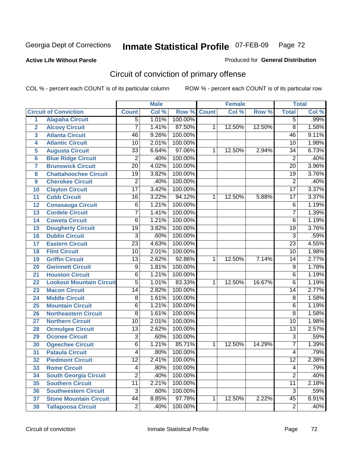### **Active Life Without Parole**

### Produced for **General Distribution**

# Circuit of conviction of primary offense

|                         |                                 | <b>Male</b>     |       | <b>Female</b> |              |        | <b>Total</b> |                 |       |
|-------------------------|---------------------------------|-----------------|-------|---------------|--------------|--------|--------------|-----------------|-------|
|                         | <b>Circuit of Conviction</b>    | <b>Count</b>    | Col % | Row %         | <b>Count</b> | Col %  | Row %        | <b>Total</b>    | Col % |
| 1                       | <b>Alapaha Circuit</b>          | $\overline{5}$  | 1.01% | 100.00%       |              |        |              | 5               | .99%  |
| $\overline{2}$          | <b>Alcovy Circuit</b>           | 7               | 1.41% | 87.50%        | 1            | 12.50% | 12.50%       | $\overline{8}$  | 1.58% |
| $\overline{3}$          | <b>Atlanta Circuit</b>          | 46              | 9.26% | 100.00%       |              |        |              | 46              | 9.11% |
| 4                       | <b>Atlantic Circuit</b>         | $\overline{10}$ | 2.01% | 100.00%       |              |        |              | 10              | 1.98% |
| 5                       | <b>Augusta Circuit</b>          | $\overline{33}$ | 6.64% | 97.06%        | 1            | 12.50% | 2.94%        | 34              | 6.73% |
| $6\phantom{a}$          | <b>Blue Ridge Circuit</b>       | $\overline{2}$  | .40%  | 100.00%       |              |        |              | $\overline{2}$  | .40%  |
| $\overline{\mathbf{7}}$ | <b>Brunswick Circuit</b>        | $\overline{20}$ | 4.02% | 100.00%       |              |        |              | $\overline{20}$ | 3.96% |
| 8                       | <b>Chattahoochee Circuit</b>    | $\overline{19}$ | 3.82% | 100.00%       |              |        |              | $\overline{19}$ | 3.76% |
| 9                       | <b>Cherokee Circuit</b>         | $\overline{2}$  | .40%  | 100.00%       |              |        |              | $\overline{2}$  | .40%  |
| 10                      | <b>Clayton Circuit</b>          | $\overline{17}$ | 3.42% | 100.00%       |              |        |              | $\overline{17}$ | 3.37% |
| 11                      | <b>Cobb Circuit</b>             | 16              | 3.22% | 94.12%        | 1            | 12.50% | 5.88%        | $\overline{17}$ | 3.37% |
| 12                      | <b>Conasauga Circuit</b>        | $\overline{6}$  | 1.21% | 100.00%       |              |        |              | 6               | 1.19% |
| 13                      | <b>Cordele Circuit</b>          | 7               | 1.41% | 100.00%       |              |        |              | $\overline{7}$  | 1.39% |
| 14                      | <b>Coweta Circuit</b>           | 6               | 1.21% | 100.00%       |              |        |              | $\overline{6}$  | 1.19% |
| 15                      | <b>Dougherty Circuit</b>        | $\overline{19}$ | 3.82% | 100.00%       |              |        |              | $\overline{19}$ | 3.76% |
| 16                      | <b>Dublin Circuit</b>           | $\overline{3}$  | .60%  | 100.00%       |              |        |              | $\overline{3}$  | .59%  |
| 17                      | <b>Eastern Circuit</b>          | $\overline{23}$ | 4.63% | 100.00%       |              |        |              | $\overline{23}$ | 4.55% |
| 18                      | <b>Flint Circuit</b>            | $\overline{10}$ | 2.01% | 100.00%       |              |        |              | 10              | 1.98% |
| 19                      | <b>Griffin Circuit</b>          | $\overline{13}$ | 2.62% | 92.86%        | $\mathbf{1}$ | 12.50% | 7.14%        | 14              | 2.77% |
| 20                      | <b>Gwinnett Circuit</b>         | $\overline{9}$  | 1.81% | 100.00%       |              |        |              | $\overline{9}$  | 1.78% |
| 21                      | <b>Houston Circuit</b>          | $\overline{6}$  | 1.21% | 100.00%       |              |        |              | $\overline{6}$  | 1.19% |
| 22                      | <b>Lookout Mountain Circuit</b> | $\overline{5}$  | 1.01% | 83.33%        | 1            | 12.50% | 16.67%       | 6               | 1.19% |
| 23                      | <b>Macon Circuit</b>            | $\overline{14}$ | 2.82% | 100.00%       |              |        |              | 14              | 2.77% |
| 24                      | <b>Middle Circuit</b>           | $\overline{8}$  | 1.61% | 100.00%       |              |        |              | $\overline{8}$  | 1.58% |
| 25                      | <b>Mountain Circuit</b>         | 6               | 1.21% | 100.00%       |              |        |              | 6               | 1.19% |
| 26                      | <b>Northeastern Circuit</b>     | $\overline{8}$  | 1.61% | 100.00%       |              |        |              | $\overline{8}$  | 1.58% |
| 27                      | <b>Northern Circuit</b>         | $\overline{10}$ | 2.01% | 100.00%       |              |        |              | 10              | 1.98% |
| 28                      | <b>Ocmulgee Circuit</b>         | $\overline{13}$ | 2.62% | 100.00%       |              |        |              | $\overline{13}$ | 2.57% |
| 29                      | <b>Oconee Circuit</b>           | $\overline{3}$  | .60%  | 100.00%       |              |        |              | $\overline{3}$  | .59%  |
| 30                      | <b>Ogeechee Circuit</b>         | $\overline{6}$  | 1.21% | 85.71%        | 1            | 12.50% | 14.29%       | $\overline{7}$  | 1.39% |
| $\overline{31}$         | <b>Pataula Circuit</b>          | 4               | .80%  | 100.00%       |              |        |              | 4               | .79%  |
| 32                      | <b>Piedmont Circuit</b>         | 12              | 2.41% | 100.00%       |              |        |              | 12              | 2.38% |
| 33                      | <b>Rome Circuit</b>             | 4               | .80%  | 100.00%       |              |        |              | 4               | .79%  |
| 34                      | <b>South Georgia Circuit</b>    | $\overline{2}$  | .40%  | 100.00%       |              |        |              | $\overline{2}$  | .40%  |
| 35                      | <b>Southern Circuit</b>         | $\overline{11}$ | 2.21% | 100.00%       |              |        |              | $\overline{11}$ | 2.18% |
| 36                      | <b>Southwestern Circuit</b>     | $\overline{3}$  | .60%  | 100.00%       |              |        |              | $\overline{3}$  | .59%  |
| 37                      | <b>Stone Mountain Circuit</b>   | 44              | 8.85% | 97.78%        | 1            | 12.50% | 2.22%        | $\overline{45}$ | 8.91% |
| 38                      | <b>Tallapoosa Circuit</b>       | $\overline{2}$  | .40%  | 100.00%       |              |        |              | $\overline{2}$  | .40%  |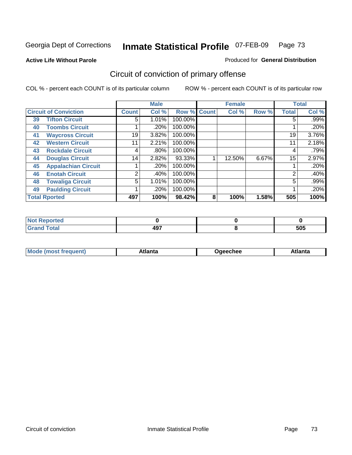**Active Life Without Parole** 

#### Produced for **General Distribution**

# Circuit of conviction of primary offense

|    |                              |              | <b>Male</b> |         |              | <b>Female</b> |       |              | <b>Total</b> |
|----|------------------------------|--------------|-------------|---------|--------------|---------------|-------|--------------|--------------|
|    | <b>Circuit of Conviction</b> | <b>Count</b> | Col %       | Row %   | <b>Count</b> | Col %         | Row % | <b>Total</b> | Col %        |
| 39 | <b>Tifton Circuit</b>        | 5            | 1.01%       | 100.00% |              |               |       | 5            | $.99\%$      |
| 40 | <b>Toombs Circuit</b>        |              | $.20\%$     | 100.00% |              |               |       |              | .20%         |
| 41 | <b>Waycross Circuit</b>      | 19           | 3.82%       | 100.00% |              |               |       | 19           | 3.76%        |
| 42 | <b>Western Circuit</b>       | 11           | 2.21%       | 100.00% |              |               |       | 11           | 2.18%        |
| 43 | <b>Rockdale Circuit</b>      | 4            | $.80\%$     | 100.00% |              |               |       | 4            | .79%         |
| 44 | <b>Douglas Circuit</b>       | 14           | 2.82%       | 93.33%  |              | 12.50%        | 6.67% | 15           | 2.97%        |
| 45 | <b>Appalachian Circuit</b>   |              | .20%        | 100.00% |              |               |       |              | .20%         |
| 46 | <b>Enotah Circuit</b>        | 2            | .40%        | 100.00% |              |               |       | 2            | .40%         |
| 48 | <b>Towaliga Circuit</b>      | 5            | 1.01%       | 100.00% |              |               |       | 5            | $.99\%$      |
| 49 | <b>Paulding Circuit</b>      |              | .20%        | 100.00% |              |               |       |              | .20%         |
|    | <b>Total Rported</b>         | 497          | 100%        | 98.42%  | 8            | 100%          | 1.58% | 505          | 100%         |

| oorted<br>' NOT<br><b>IJCP</b> |     |     |
|--------------------------------|-----|-----|
| <b>otal</b>                    | 497 | 505 |

| <b>Mo</b><br>$\blacksquare$<br>'rer<br>ו ואח | .tlantə | Jaeechee | \tlanta |
|----------------------------------------------|---------|----------|---------|
|----------------------------------------------|---------|----------|---------|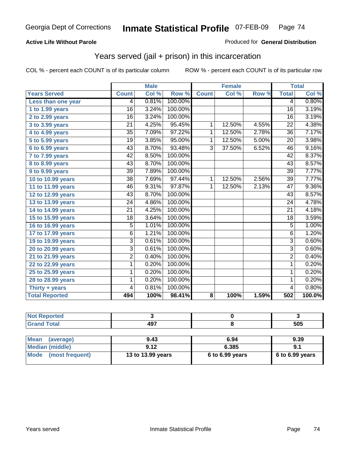#### **Active Life Without Parole**

#### Produced for **General Distribution**

### Years served (jail + prison) in this incarceration

|                       |                 | <b>Male</b> |         |                | <b>Female</b> |       |                 | <b>Total</b> |
|-----------------------|-----------------|-------------|---------|----------------|---------------|-------|-----------------|--------------|
| <b>Years Served</b>   | <b>Count</b>    | Col %       | Row %   | <b>Count</b>   | Col %         | Row % | <b>Total</b>    | Col %        |
| Less than one year    | 4               | 0.81%       | 100.00% |                |               |       | 4               | 0.80%        |
| 1 to 1.99 years       | 16              | 3.24%       | 100.00% |                |               |       | 16              | 3.19%        |
| 2 to 2.99 years       | $\overline{16}$ | 3.24%       | 100.00% |                |               |       | $\overline{16}$ | 3.19%        |
| 3 to 3.99 years       | 21              | 4.25%       | 95.45%  | 1              | 12.50%        | 4.55% | 22              | 4.38%        |
| 4 to 4.99 years       | 35              | 7.09%       | 97.22%  | 1              | 12.50%        | 2.78% | 36              | 7.17%        |
| 5 to 5.99 years       | 19              | 3.85%       | 95.00%  | $\mathbf{1}$   | 12.50%        | 5.00% | $\overline{20}$ | 3.98%        |
| 6 to 6.99 years       | $\overline{43}$ | 8.70%       | 93.48%  | $\overline{3}$ | 37.50%        | 6.52% | $\overline{46}$ | 9.16%        |
| 7 to 7.99 years       | 42              | 8.50%       | 100.00% |                |               |       | 42              | 8.37%        |
| 8 to 8.99 years       | 43              | 8.70%       | 100.00% |                |               |       | 43              | 8.57%        |
| 9 to 9.99 years       | $\overline{39}$ | 7.89%       | 100.00% |                |               |       | $\overline{39}$ | 7.77%        |
| 10 to 10.99 years     | $\overline{38}$ | 7.69%       | 97.44%  | 1              | 12.50%        | 2.56% | $\overline{39}$ | 7.77%        |
| 11 to 11.99 years     | 46              | 9.31%       | 97.87%  | $\mathbf 1$    | 12.50%        | 2.13% | 47              | 9.36%        |
| 12 to 12.99 years     | 43              | 8.70%       | 100.00% |                |               |       | 43              | 8.57%        |
| 13 to 13.99 years     | 24              | 4.86%       | 100.00% |                |               |       | $\overline{24}$ | 4.78%        |
| 14 to 14.99 years     | 21              | 4.25%       | 100.00% |                |               |       | 21              | 4.18%        |
| 15 to 15.99 years     | $\overline{18}$ | 3.64%       | 100.00% |                |               |       | $\overline{18}$ | 3.59%        |
| 16 to 16.99 years     | 5               | 1.01%       | 100.00% |                |               |       | 5               | 1.00%        |
| 17 to 17.99 years     | $\overline{6}$  | 1.21%       | 100.00% |                |               |       | $\overline{6}$  | 1.20%        |
| 19 to 19.99 years     | 3               | 0.61%       | 100.00% |                |               |       | $\overline{3}$  | 0.60%        |
| 20 to 20.99 years     | 3               | 0.61%       | 100.00% |                |               |       | $\overline{3}$  | 0.60%        |
| 21 to 21.99 years     | 2               | 0.40%       | 100.00% |                |               |       | $\overline{2}$  | 0.40%        |
| 22 to 22.99 years     | 1               | 0.20%       | 100.00% |                |               |       | $\overline{1}$  | 0.20%        |
| 25 to 25.99 years     | 1               | 0.20%       | 100.00% |                |               |       | 1               | 0.20%        |
| 28 to 28.99 years     | 1               | 0.20%       | 100.00% |                |               |       | 1               | 0.20%        |
| Thirty + years        | 4               | 0.81%       | 100.00% |                |               |       | 4               | 0.80%        |
| <b>Total Reported</b> | 494             | 100%        | 98.41%  | 8              | 100%          | 1.59% | 502             | 100.0%       |

| المتحدقين<br>prted<br>w |     |            |
|-------------------------|-----|------------|
|                         | 107 | ドハド<br>ວບວ |

| <b>Mean</b><br>(average) | 9.43              | 6.94              | 9.39              |
|--------------------------|-------------------|-------------------|-------------------|
| Median (middle)          | 9.12              | 6.385             | 9.1               |
| Mode (most frequent)     | 13 to 13.99 years | $6$ to 6.99 years | $6$ to 6.99 years |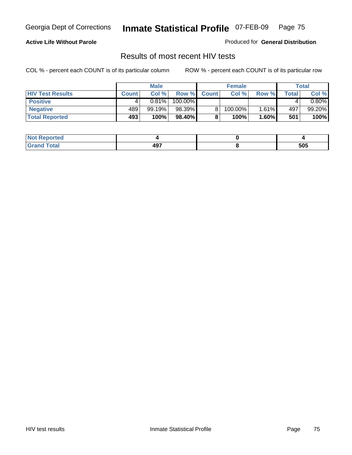#### **Active Life Without Parole**

Produced for **General Distribution**

### Results of most recent HIV tests

|                         |              | <b>Male</b> |         |              | <b>Female</b> |       |        | Total  |
|-------------------------|--------------|-------------|---------|--------------|---------------|-------|--------|--------|
| <b>HIV Test Results</b> | <b>Count</b> | Col %       | Row %I  | <b>Count</b> | Col %         | Row % | Total. | Col %  |
| <b>Positive</b>         |              | $0.81\%$    | 100.00% |              |               |       |        | 0.80%  |
| <b>Negative</b>         | 489          | 99.19%      | 98.39%  |              | 100.00%       | 1.61% | 497    | 99.20% |
| <b>Total Reported</b>   | 493          | 100%        | 98.40%  |              | 100%          | 1.60% | 501    | 100%   |

| <b>Not Reported</b> |                       |     |
|---------------------|-----------------------|-----|
| <b>Total</b><br>Grr | A <sub>0</sub><br>791 | 505 |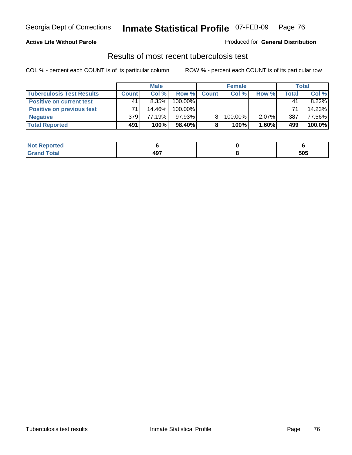#### **Active Life Without Parole**

#### Produced for **General Distribution**

### Results of most recent tuberculosis test

|                                  |              | <b>Male</b> |           |              | <b>Female</b> |          |              | Total  |
|----------------------------------|--------------|-------------|-----------|--------------|---------------|----------|--------------|--------|
| <b>Tuberculosis Test Results</b> | <b>Count</b> | Col%        | Row %     | <b>Count</b> | Col%          | Row %    | <b>Total</b> | Col %  |
| <b>Positive on current test</b>  | 41           | $8.35\%$    | 100.00%   |              |               |          | 41           | 8.22%  |
| <b>Positive on previous test</b> | 71           | 14.46%      | 100.00%   |              |               |          | 71           | 14.23% |
| <b>Negative</b>                  | 379          | 77.19%      | 97.93%    |              | 100.00%       | $2.07\%$ | 387          | 77.56% |
| <b>Total Reported</b>            | 491          | 100%        | $98.40\%$ | 8            | 100%          | $1.60\%$ | 499          | 100.0% |

| <b>Not</b><br><b>Reported</b> |                    |     |
|-------------------------------|--------------------|-----|
| <b>Total</b>                  | <b>AQ7</b><br>77 I | 505 |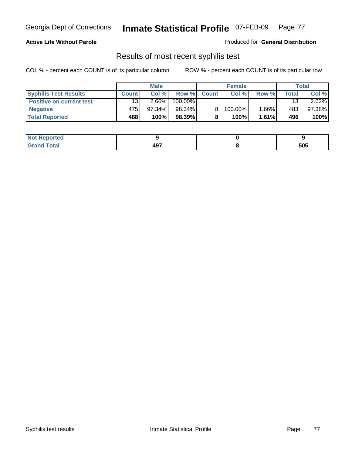#### **Active Life Without Parole**

Produced for **General Distribution**

### Results of most recent syphilis test

|                                 |              | <b>Male</b> |         |              | <b>Female</b> |          |       | <b>Total</b> |
|---------------------------------|--------------|-------------|---------|--------------|---------------|----------|-------|--------------|
| <b>Syphilis Test Results</b>    | <b>Count</b> | Col %       | Row %   | <b>Count</b> | Col %         | Row %    | Total | Col %        |
| <b>Positive on current test</b> | 13           | $2.66\%$    | 100.00% |              |               |          | 13    | $2.62\%$     |
| <b>Negative</b>                 | 475          | $97.34\%$   | 98.34%  |              | 100.00%       | $1.66\%$ | 483   | 97.38%       |
| <b>Total Reported</b>           | 488          | 100%        | 98.39%  |              | 100%          | $1.61\%$ | 496   | 100%         |

| <b>Not Reported</b> |     |     |
|---------------------|-----|-----|
| <b>Total</b>        | 497 | 505 |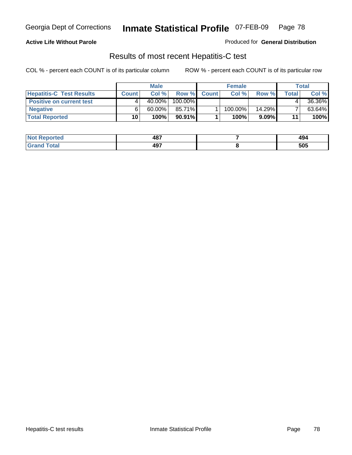#### **Active Life Without Parole**

Produced for **General Distribution**

### Results of most recent Hepatitis-C test

|                                 | <b>Male</b>  |           |           | <b>Female</b> |         |           | Total |        |
|---------------------------------|--------------|-----------|-----------|---------------|---------|-----------|-------|--------|
| <b>Hepatitis-C Test Results</b> | <b>Count</b> | Col %     | Row %     | <b>Count</b>  | Col %   | Row %     | Total | Col %  |
| <b>Positive on current test</b> |              | $40.00\%$ | 100.00%   |               |         |           |       | 36.36% |
| <b>Negative</b>                 |              | $60.00\%$ | 85.71%    |               | 100.00% | $14.29\%$ |       | 63.64% |
| <b>Total Reported</b>           | 10           | 100%      | $90.91\%$ |               | 100%    | $9.09\%$  | 11    | 100%   |

| <b>Not Reported</b> | 487 | 494 |
|---------------------|-----|-----|
| <b>Grand Total</b>  | 497 | 505 |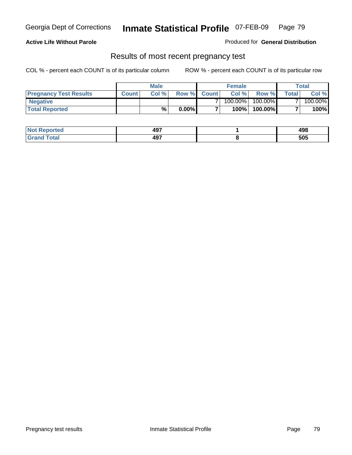#### **Active Life Without Parole**

Produced for **General Distribution**

### Results of most recent pregnancy test

|                               | <b>Male</b>  |      |          | <b>Female</b>  |            |         | <b>Total</b>   |         |
|-------------------------------|--------------|------|----------|----------------|------------|---------|----------------|---------|
| <b>Pregnancy Test Results</b> | <b>Count</b> | Col% | Row %    | <b>Count</b> Ⅰ | Col %      | Row %   | <b>Total</b> I | Col %   |
| <b>Negative</b>               |              |      |          |                | $100.00\%$ | 100.00% |                | 100.00% |
| <b>Total Reported</b>         |              | %    | $0.00\%$ |                | 100%       | 100.00% |                | 100%    |

| orted        | 497 | 10 Q<br>490 |
|--------------|-----|-------------|
| <b>Total</b> | 497 | 505         |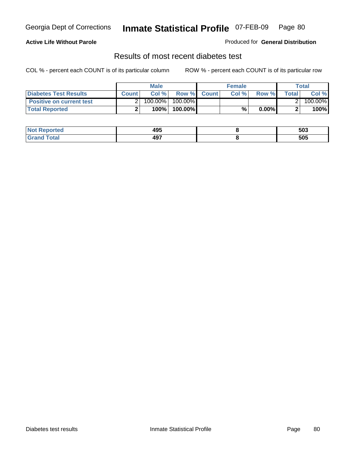#### **Active Life Without Parole**

#### Produced for **General Distribution**

### Results of most recent diabetes test

|                                 |              | <b>Male</b> |            |             | <b>Female</b> |          |        | Total   |
|---------------------------------|--------------|-------------|------------|-------------|---------------|----------|--------|---------|
| <b>Diabetes Test Results</b>    | <b>Count</b> | Col %       |            | Row % Count | Col%          | Row %    | Totall | Col %   |
| <b>Positive on current test</b> |              | 100.00%     | $100.00\%$ |             |               |          |        | 100.00% |
| <b>Total Reported</b>           |              | 100%        | 100.00%    |             | %.            | $0.00\%$ |        | 100%    |

| orted      | 495 | 503 |
|------------|-----|-----|
| <b>ota</b> | 497 | 505 |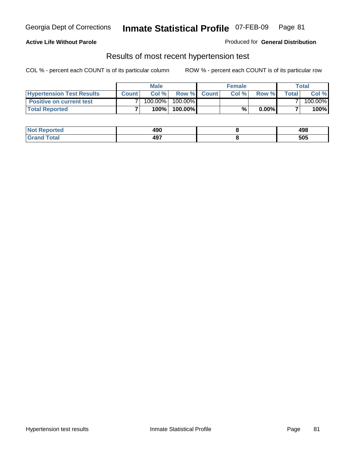#### **Active Life Without Parole**

#### Produced for **General Distribution**

### Results of most recent hypertension test

|                                  |              | <b>Male</b> |            |             | <b>Female</b> |          |         | Total   |
|----------------------------------|--------------|-------------|------------|-------------|---------------|----------|---------|---------|
| <b>Hypertension Test Results</b> | <b>Count</b> | Col%        |            | Row % Count | Col%          | Row %    | Total i | Col %   |
| <b>Positive on current test</b>  |              | 100.00%     | $100.00\%$ |             |               |          |         | 100.00% |
| <b>Total Reported</b>            |              | 100%        | 100.00%    |             | %             | $0.00\%$ |         | 100%    |

| corted<br>NC         | 100<br>4JU<br>__ | ៱៱៰<br>490<br>__ |
|----------------------|------------------|------------------|
| <b>cotal</b><br>. Gr | 497<br>77,       | 505              |